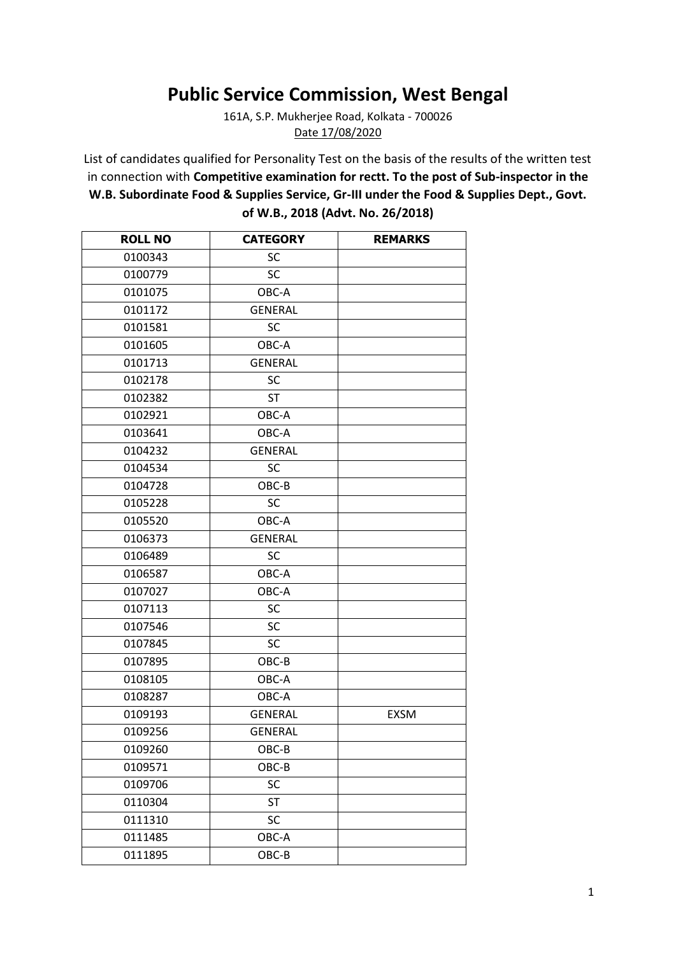## **Public Service Commission, West Bengal**

161A, S.P. Mukherjee Road, Kolkata - 700026 Date 17/08/2020

List of candidates qualified for Personality Test on the basis of the results of the written test in connection with **Competitive examination for rectt. To the post of Sub-inspector in the W.B. Subordinate Food & Supplies Service, Gr-III under the Food & Supplies Dept., Govt. of W.B., 2018 (Advt. No. 26/2018)**

| <b>ROLL NO</b> | <b>CATEGORY</b> | <b>REMARKS</b> |
|----------------|-----------------|----------------|
| 0100343        | SC              |                |
| 0100779        | <b>SC</b>       |                |
| 0101075        | OBC-A           |                |
| 0101172        | <b>GENERAL</b>  |                |
| 0101581        | SC              |                |
| 0101605        | OBC-A           |                |
| 0101713        | <b>GENERAL</b>  |                |
| 0102178        | SC              |                |
| 0102382        | <b>ST</b>       |                |
| 0102921        | OBC-A           |                |
| 0103641        | OBC-A           |                |
| 0104232        | <b>GENERAL</b>  |                |
| 0104534        | <b>SC</b>       |                |
| 0104728        | OBC-B           |                |
| 0105228        | SC              |                |
| 0105520        | OBC-A           |                |
| 0106373        | <b>GENERAL</b>  |                |
| 0106489        | SC              |                |
| 0106587        | OBC-A           |                |
| 0107027        | OBC-A           |                |
| 0107113        | SC              |                |
| 0107546        | <b>SC</b>       |                |
| 0107845        | <b>SC</b>       |                |
| 0107895        | OBC-B           |                |
| 0108105        | OBC-A           |                |
| 0108287        | OBC-A           |                |
| 0109193        | <b>GENERAL</b>  | <b>EXSM</b>    |
| 0109256        | <b>GENERAL</b>  |                |
| 0109260        | OBC-B           |                |
| 0109571        | OBC-B           |                |
| 0109706        | SC              |                |
| 0110304        | <b>ST</b>       |                |
| 0111310        | SC              |                |
| 0111485        | OBC-A           |                |
| 0111895        | OBC-B           |                |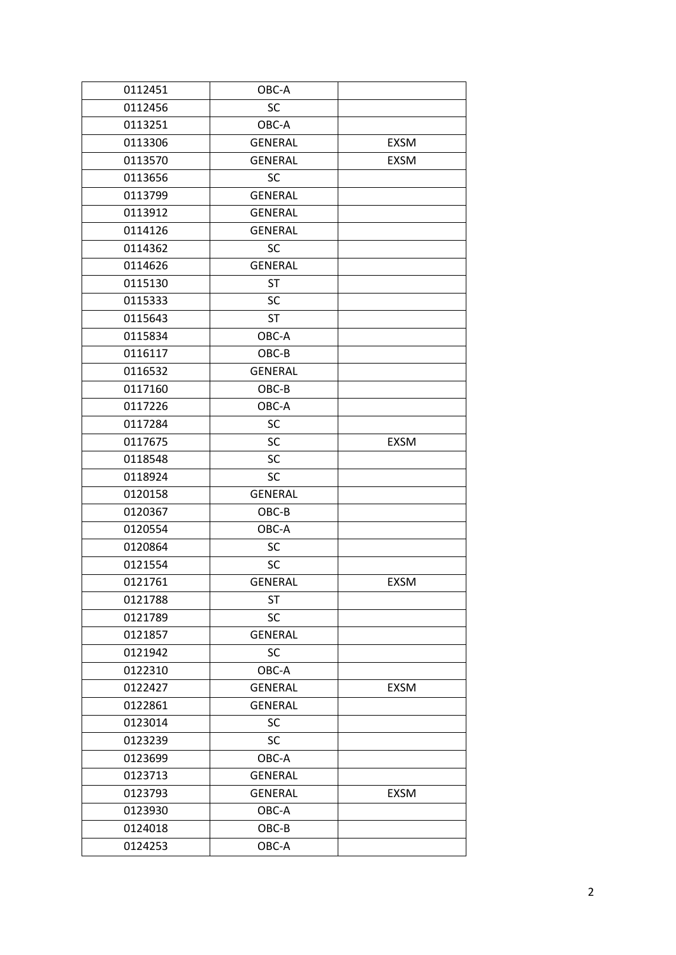| 0112451 | OBC-A          |             |
|---------|----------------|-------------|
| 0112456 | SC             |             |
| 0113251 | OBC-A          |             |
| 0113306 | <b>GENERAL</b> | <b>EXSM</b> |
| 0113570 | <b>GENERAL</b> | <b>EXSM</b> |
| 0113656 | <b>SC</b>      |             |
| 0113799 | <b>GENERAL</b> |             |
| 0113912 | <b>GENERAL</b> |             |
| 0114126 | <b>GENERAL</b> |             |
| 0114362 | SC             |             |
| 0114626 | <b>GENERAL</b> |             |
| 0115130 | <b>ST</b>      |             |
| 0115333 | SC             |             |
| 0115643 | ST             |             |
| 0115834 | OBC-A          |             |
| 0116117 | OBC-B          |             |
| 0116532 | <b>GENERAL</b> |             |
| 0117160 | OBC-B          |             |
| 0117226 | OBC-A          |             |
| 0117284 | SC             |             |
| 0117675 | SC             | <b>EXSM</b> |
| 0118548 | SC             |             |
| 0118924 | <b>SC</b>      |             |
| 0120158 | <b>GENERAL</b> |             |
| 0120367 | OBC-B          |             |
| 0120554 | OBC-A          |             |
| 0120864 | SC             |             |
| 0121554 | SC             |             |
| 0121761 | <b>GENERAL</b> | <b>EXSM</b> |
| 0121788 | ST             |             |
| 0121789 | SC             |             |
| 0121857 | <b>GENERAL</b> |             |
| 0121942 | <b>SC</b>      |             |
| 0122310 | OBC-A          |             |
| 0122427 | <b>GENERAL</b> | <b>EXSM</b> |
| 0122861 | <b>GENERAL</b> |             |
| 0123014 | SC             |             |
| 0123239 | SC             |             |
| 0123699 | OBC-A          |             |
| 0123713 | <b>GENERAL</b> |             |
| 0123793 | <b>GENERAL</b> | <b>EXSM</b> |
| 0123930 | OBC-A          |             |
| 0124018 | OBC-B          |             |
| 0124253 | OBC-A          |             |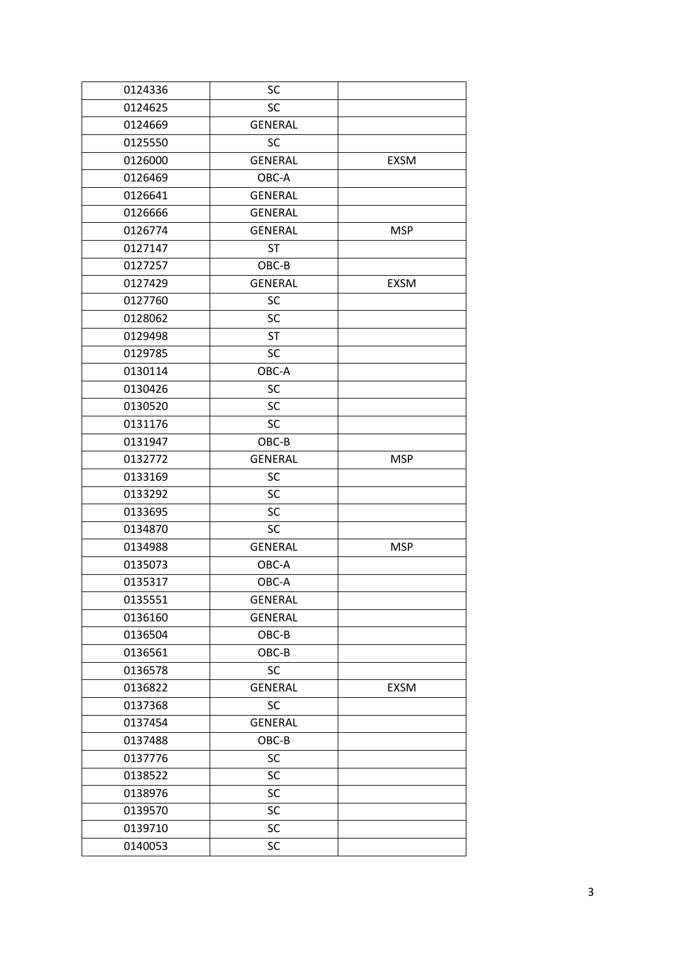| 0124336 | SC             |             |
|---------|----------------|-------------|
| 0124625 | SC             |             |
| 0124669 | <b>GENERAL</b> |             |
| 0125550 | <b>SC</b>      |             |
| 0126000 | <b>GENERAL</b> | <b>EXSM</b> |
| 0126469 | OBC-A          |             |
| 0126641 | <b>GENERAL</b> |             |
| 0126666 | <b>GENERAL</b> |             |
| 0126774 | GENERAL        | <b>MSP</b>  |
| 0127147 | <b>ST</b>      |             |
| 0127257 | OBC-B          |             |
| 0127429 | <b>GENERAL</b> | <b>EXSM</b> |
| 0127760 | SC             |             |
| 0128062 | SC             |             |
| 0129498 | <b>ST</b>      |             |
| 0129785 | SC             |             |
| 0130114 | OBC-A          |             |
| 0130426 | <b>SC</b>      |             |
| 0130520 | SC             |             |
| 0131176 | <b>SC</b>      |             |
| 0131947 | OBC-B          |             |
| 0132772 | <b>GENERAL</b> | <b>MSP</b>  |
| 0133169 | <b>SC</b>      |             |
| 0133292 | SC             |             |
| 0133695 | SC             |             |
| 0134870 | SC             |             |
| 0134988 | <b>GENERAL</b> | <b>MSP</b>  |
| 0135073 | OBC-A          |             |
| 0135317 | OBC-A          |             |
| 0135551 | <b>GENERAL</b> |             |
| 0136160 | <b>GENERAL</b> |             |
| 0136504 | OBC-B          |             |
| 0136561 | OBC-B          |             |
| 0136578 | <b>SC</b>      |             |
| 0136822 | <b>GENERAL</b> | <b>EXSM</b> |
| 0137368 | SC             |             |
| 0137454 | <b>GENERAL</b> |             |
| 0137488 | OBC-B          |             |
| 0137776 | SC             |             |
| 0138522 | SC             |             |
| 0138976 | SC             |             |
| 0139570 | SC             |             |
| 0139710 | SC             |             |
| 0140053 | SC             |             |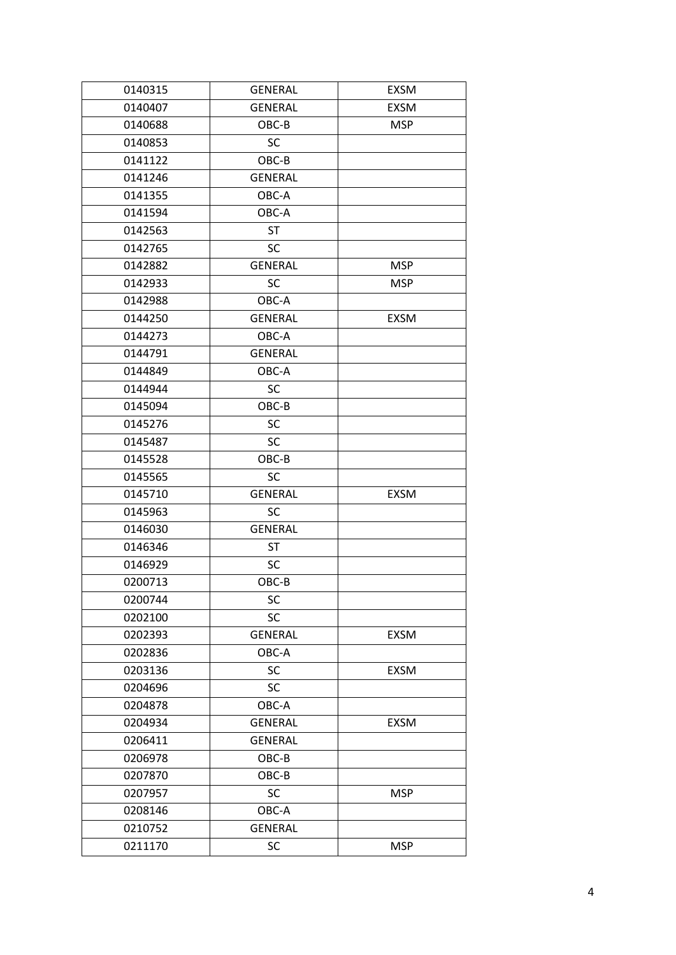| 0140315 | <b>GENERAL</b> | <b>EXSM</b> |
|---------|----------------|-------------|
| 0140407 | <b>GENERAL</b> | <b>EXSM</b> |
| 0140688 | OBC-B          | <b>MSP</b>  |
| 0140853 | <b>SC</b>      |             |
| 0141122 | OBC-B          |             |
| 0141246 | <b>GENERAL</b> |             |
| 0141355 | OBC-A          |             |
| 0141594 | OBC-A          |             |
| 0142563 | <b>ST</b>      |             |
| 0142765 | <b>SC</b>      |             |
| 0142882 | <b>GENERAL</b> | <b>MSP</b>  |
| 0142933 | <b>SC</b>      | <b>MSP</b>  |
| 0142988 | OBC-A          |             |
| 0144250 | <b>GENERAL</b> | <b>EXSM</b> |
| 0144273 | OBC-A          |             |
| 0144791 | <b>GENERAL</b> |             |
| 0144849 | OBC-A          |             |
| 0144944 | SC             |             |
| 0145094 | OBC-B          |             |
| 0145276 | <b>SC</b>      |             |
| 0145487 | SC             |             |
| 0145528 | OBC-B          |             |
| 0145565 | <b>SC</b>      |             |
| 0145710 | <b>GENERAL</b> | <b>EXSM</b> |
| 0145963 | SC             |             |
| 0146030 | <b>GENERAL</b> |             |
| 0146346 | <b>ST</b>      |             |
| 0146929 | SC             |             |
| 0200713 | OBC-B          |             |
| 0200744 | SC             |             |
| 0202100 | SC             |             |
| 0202393 | <b>GENERAL</b> | EXSM        |
| 0202836 | OBC-A          |             |
| 0203136 | SC             | <b>EXSM</b> |
| 0204696 | SC             |             |
| 0204878 | OBC-A          |             |
| 0204934 | <b>GENERAL</b> | <b>EXSM</b> |
| 0206411 | <b>GENERAL</b> |             |
| 0206978 | OBC-B          |             |
| 0207870 | OBC-B          |             |
| 0207957 | SC             | <b>MSP</b>  |
| 0208146 | OBC-A          |             |
| 0210752 | <b>GENERAL</b> |             |
| 0211170 | SC             | <b>MSP</b>  |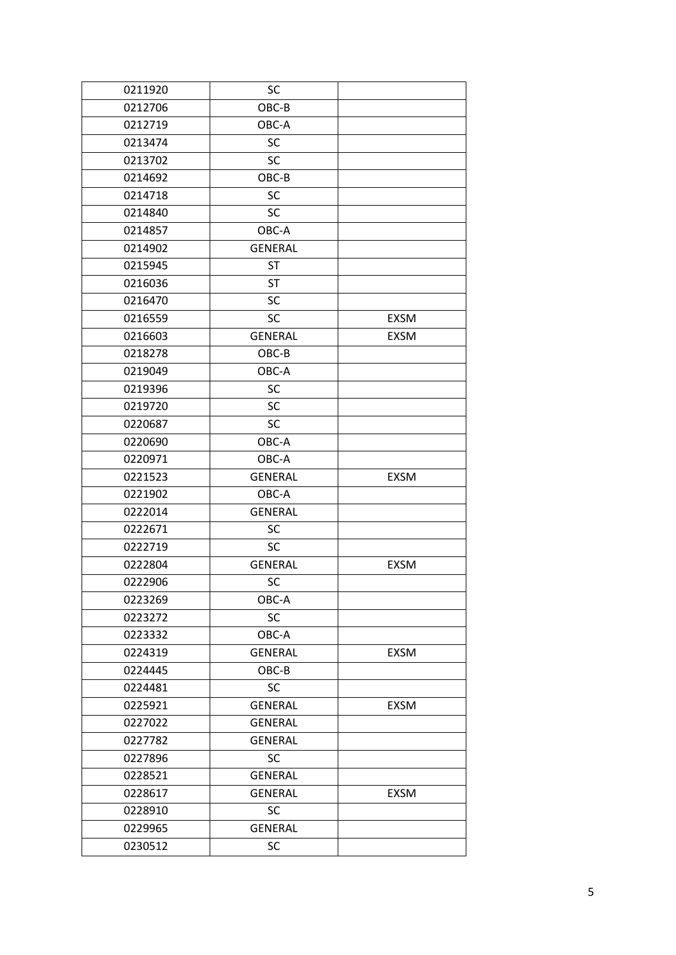| 0211920 | SC             |             |
|---------|----------------|-------------|
| 0212706 | OBC-B          |             |
| 0212719 | OBC-A          |             |
| 0213474 | SC             |             |
| 0213702 | SC             |             |
| 0214692 | OBC-B          |             |
| 0214718 | SC             |             |
| 0214840 | SC             |             |
| 0214857 | OBC-A          |             |
| 0214902 | <b>GENERAL</b> |             |
| 0215945 | <b>ST</b>      |             |
| 0216036 | <b>ST</b>      |             |
| 0216470 | <b>SC</b>      |             |
| 0216559 | <b>SC</b>      | <b>EXSM</b> |
| 0216603 | <b>GENERAL</b> | <b>EXSM</b> |
| 0218278 | OBC-B          |             |
| 0219049 | OBC-A          |             |
| 0219396 | <b>SC</b>      |             |
| 0219720 | SC             |             |
| 0220687 | <b>SC</b>      |             |
| 0220690 | OBC-A          |             |
| 0220971 | OBC-A          |             |
| 0221523 | <b>GENERAL</b> | <b>EXSM</b> |
| 0221902 | OBC-A          |             |
| 0222014 | <b>GENERAL</b> |             |
| 0222671 | SC             |             |
| 0222719 | SC             |             |
| 0222804 | <b>GENERAL</b> | <b>EXSM</b> |
| 0222906 | SC             |             |
| 0223269 | OBC-A          |             |
| 0223272 | <b>SC</b>      |             |
| 0223332 | OBC-A          |             |
| 0224319 | <b>GENERAL</b> | EXSM        |
| 0224445 | OBC-B          |             |
| 0224481 | SC             |             |
| 0225921 | <b>GENERAL</b> | EXSM        |
| 0227022 | <b>GENERAL</b> |             |
| 0227782 | <b>GENERAL</b> |             |
| 0227896 | <b>SC</b>      |             |
| 0228521 | <b>GENERAL</b> |             |
| 0228617 | <b>GENERAL</b> | <b>EXSM</b> |
| 0228910 | SC             |             |
| 0229965 | <b>GENERAL</b> |             |
| 0230512 | SC             |             |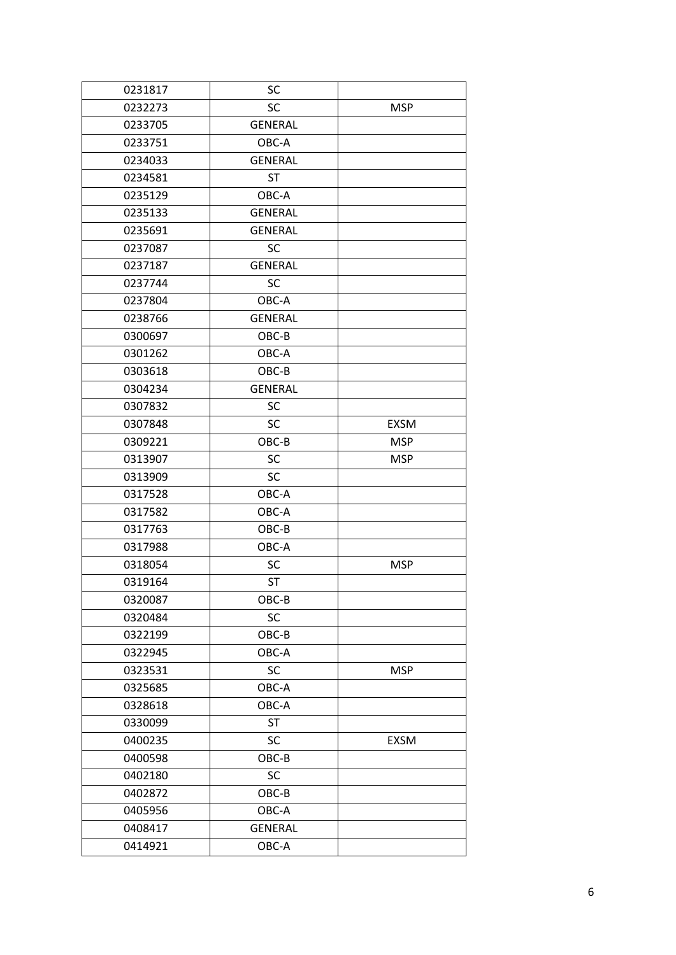| 0231817 | <b>SC</b>      |            |
|---------|----------------|------------|
| 0232273 | SC             | <b>MSP</b> |
| 0233705 | <b>GENERAL</b> |            |
| 0233751 | OBC-A          |            |
| 0234033 | <b>GENERAL</b> |            |
| 0234581 | <b>ST</b>      |            |
| 0235129 | OBC-A          |            |
| 0235133 | <b>GENERAL</b> |            |
| 0235691 | <b>GENERAL</b> |            |
| 0237087 | <b>SC</b>      |            |
| 0237187 | <b>GENERAL</b> |            |
| 0237744 | <b>SC</b>      |            |
| 0237804 | OBC-A          |            |
| 0238766 | <b>GENERAL</b> |            |
| 0300697 | OBC-B          |            |
| 0301262 | OBC-A          |            |
| 0303618 | OBC-B          |            |
| 0304234 | <b>GENERAL</b> |            |
| 0307832 | SC             |            |
| 0307848 | SC             | EXSM       |
| 0309221 | OBC-B          | <b>MSP</b> |
| 0313907 | SC             | <b>MSP</b> |
| 0313909 | SC             |            |
| 0317528 | OBC-A          |            |
| 0317582 | OBC-A          |            |
| 0317763 | OBC-B          |            |
| 0317988 | OBC-A          |            |
| 0318054 | <b>SC</b>      | <b>MSP</b> |
| 0319164 | <b>ST</b>      |            |
| 0320087 | OBC-B          |            |
| 0320484 | SC             |            |
| 0322199 | OBC-B          |            |
| 0322945 | OBC-A          |            |
| 0323531 | SC             | <b>MSP</b> |
| 0325685 | OBC-A          |            |
| 0328618 | OBC-A          |            |
| 0330099 | <b>ST</b>      |            |
| 0400235 | SC             | EXSM       |
| 0400598 | OBC-B          |            |
| 0402180 | SC             |            |
| 0402872 | OBC-B          |            |
| 0405956 | OBC-A          |            |
| 0408417 | <b>GENERAL</b> |            |
| 0414921 | OBC-A          |            |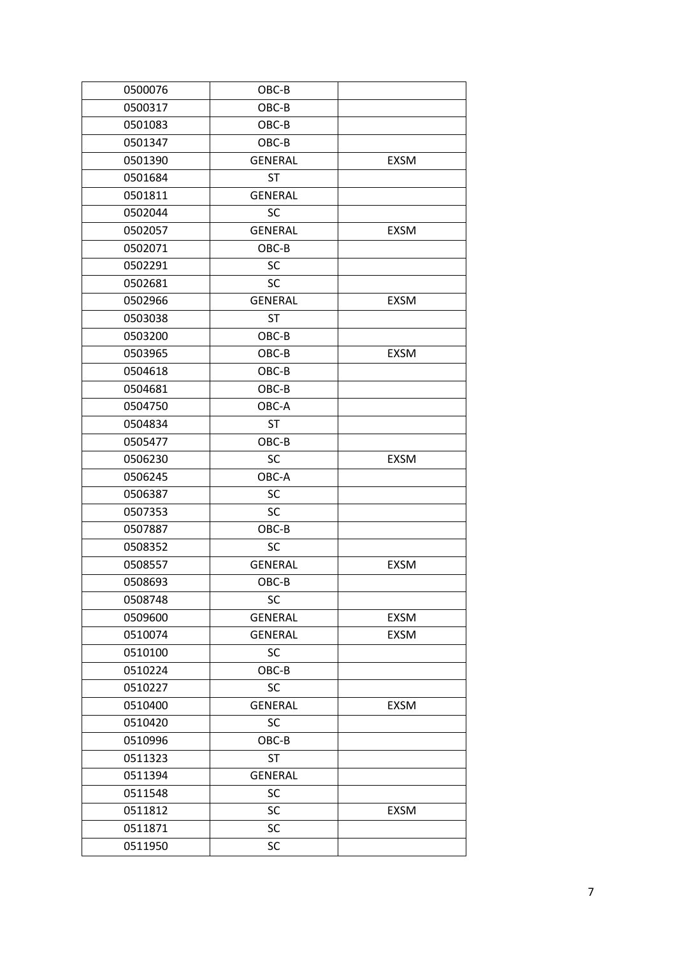| 0500076 | OBC-B          |             |
|---------|----------------|-------------|
| 0500317 | OBC-B          |             |
| 0501083 | OBC-B          |             |
| 0501347 | OBC-B          |             |
| 0501390 | <b>GENERAL</b> | <b>EXSM</b> |
| 0501684 | <b>ST</b>      |             |
| 0501811 | <b>GENERAL</b> |             |
| 0502044 | SC             |             |
| 0502057 | <b>GENERAL</b> | <b>EXSM</b> |
| 0502071 | OBC-B          |             |
| 0502291 | <b>SC</b>      |             |
| 0502681 | <b>SC</b>      |             |
| 0502966 | <b>GENERAL</b> | EXSM        |
| 0503038 | <b>ST</b>      |             |
| 0503200 | OBC-B          |             |
| 0503965 | OBC-B          | <b>EXSM</b> |
| 0504618 | OBC-B          |             |
| 0504681 | OBC-B          |             |
| 0504750 | OBC-A          |             |
| 0504834 | <b>ST</b>      |             |
| 0505477 | OBC-B          |             |
| 0506230 | SC             | <b>EXSM</b> |
| 0506245 | OBC-A          |             |
| 0506387 | SC             |             |
| 0507353 | SC             |             |
| 0507887 | OBC-B          |             |
| 0508352 | <b>SC</b>      |             |
| 0508557 | <b>GENERAL</b> | <b>EXSM</b> |
| 0508693 | OBC-B          |             |
| 0508748 | SC             |             |
| 0509600 | <b>GENERAL</b> | EXSM        |
| 0510074 | <b>GENERAL</b> | EXSM        |
| 0510100 | SC             |             |
| 0510224 | OBC-B          |             |
| 0510227 | SC             |             |
| 0510400 | <b>GENERAL</b> | EXSM        |
| 0510420 | SC             |             |
| 0510996 | OBC-B          |             |
| 0511323 | <b>ST</b>      |             |
| 0511394 | <b>GENERAL</b> |             |
| 0511548 | SC             |             |
| 0511812 | SC             | EXSM        |
| 0511871 | <b>SC</b>      |             |
| 0511950 | SC             |             |
|         |                |             |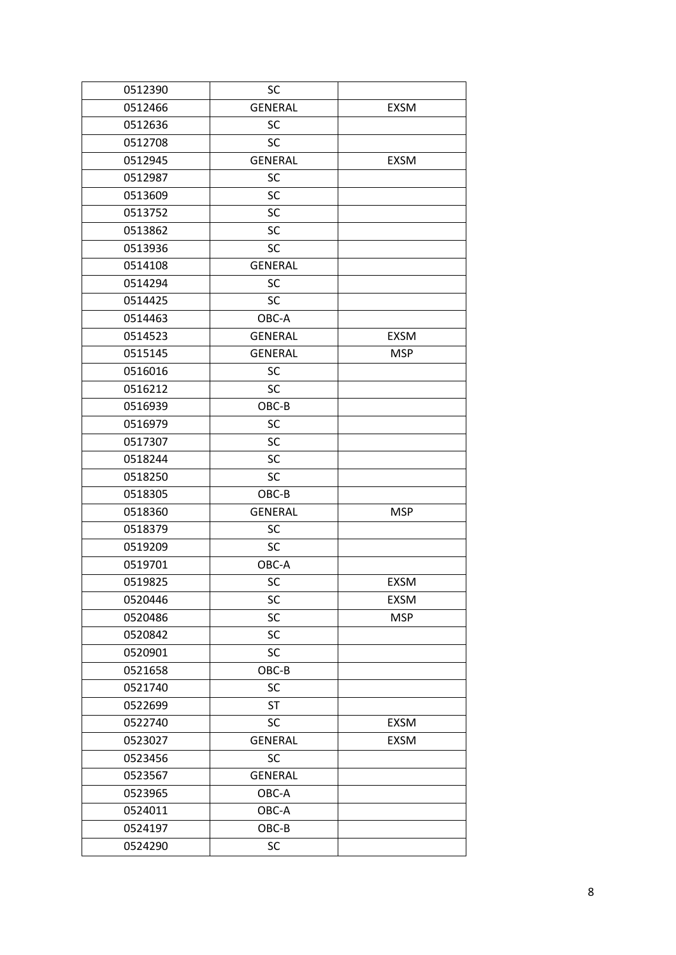| 0512390 | SC             |             |
|---------|----------------|-------------|
| 0512466 | <b>GENERAL</b> | <b>EXSM</b> |
| 0512636 | SC             |             |
| 0512708 | SC             |             |
| 0512945 | <b>GENERAL</b> | <b>EXSM</b> |
| 0512987 | SC             |             |
| 0513609 | SC             |             |
| 0513752 | SC             |             |
| 0513862 | SC             |             |
| 0513936 | SC             |             |
| 0514108 | <b>GENERAL</b> |             |
| 0514294 | SC             |             |
| 0514425 | SC             |             |
| 0514463 | OBC-A          |             |
| 0514523 | <b>GENERAL</b> | <b>EXSM</b> |
| 0515145 | <b>GENERAL</b> | <b>MSP</b>  |
| 0516016 | SC             |             |
| 0516212 | SC             |             |
| 0516939 | OBC-B          |             |
| 0516979 | SC             |             |
| 0517307 | SC             |             |
| 0518244 | SC             |             |
| 0518250 | <b>SC</b>      |             |
| 0518305 | OBC-B          |             |
| 0518360 | <b>GENERAL</b> | <b>MSP</b>  |
| 0518379 | <b>SC</b>      |             |
| 0519209 | SC             |             |
| 0519701 | OBC-A          |             |
| 0519825 | SC             | <b>EXSM</b> |
| 0520446 | SC             | <b>EXSM</b> |
| 0520486 | SC             | <b>MSP</b>  |
| 0520842 | SC             |             |
| 0520901 | SC             |             |
| 0521658 | OBC-B          |             |
| 0521740 | SC             |             |
| 0522699 | <b>ST</b>      |             |
| 0522740 | SC             | <b>EXSM</b> |
| 0523027 | <b>GENERAL</b> | <b>EXSM</b> |
| 0523456 | SC             |             |
| 0523567 | <b>GENERAL</b> |             |
| 0523965 | OBC-A          |             |
| 0524011 | OBC-A          |             |
| 0524197 | OBC-B          |             |
| 0524290 | SC             |             |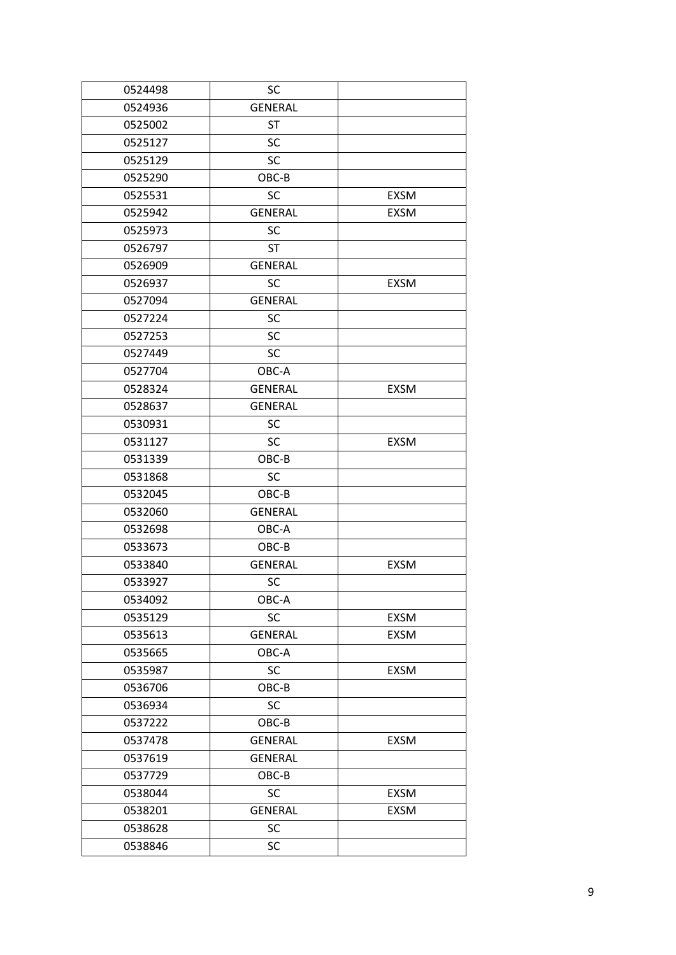| 0524498 | SC             |             |
|---------|----------------|-------------|
| 0524936 | <b>GENERAL</b> |             |
| 0525002 | <b>ST</b>      |             |
| 0525127 | SC             |             |
| 0525129 | SC             |             |
| 0525290 | OBC-B          |             |
| 0525531 | SC             | <b>EXSM</b> |
| 0525942 | <b>GENERAL</b> | EXSM        |
| 0525973 | <b>SC</b>      |             |
| 0526797 | <b>ST</b>      |             |
| 0526909 | <b>GENERAL</b> |             |
| 0526937 | SC             | <b>EXSM</b> |
| 0527094 | <b>GENERAL</b> |             |
| 0527224 | <b>SC</b>      |             |
| 0527253 | SC             |             |
| 0527449 | <b>SC</b>      |             |
| 0527704 | OBC-A          |             |
| 0528324 | <b>GENERAL</b> | <b>EXSM</b> |
| 0528637 | <b>GENERAL</b> |             |
| 0530931 | SC             |             |
| 0531127 | SC             | <b>EXSM</b> |
| 0531339 | OBC-B          |             |
| 0531868 | <b>SC</b>      |             |
| 0532045 | OBC-B          |             |
| 0532060 | <b>GENERAL</b> |             |
| 0532698 | OBC-A          |             |
| 0533673 | OBC-B          |             |
| 0533840 | <b>GENERAL</b> | <b>EXSM</b> |
| 0533927 | SC             |             |
| 0534092 | OBC-A          |             |
| 0535129 | SC             | EXSM        |
| 0535613 | <b>GENERAL</b> | EXSM        |
| 0535665 | OBC-A          |             |
| 0535987 | <b>SC</b>      | <b>EXSM</b> |
| 0536706 | OBC-B          |             |
| 0536934 | SC             |             |
| 0537222 | OBC-B          |             |
| 0537478 | <b>GENERAL</b> | <b>EXSM</b> |
| 0537619 | <b>GENERAL</b> |             |
| 0537729 | OBC-B          |             |
| 0538044 | <b>SC</b>      | <b>EXSM</b> |
| 0538201 | <b>GENERAL</b> | <b>EXSM</b> |
| 0538628 | SC             |             |
| 0538846 | SC             |             |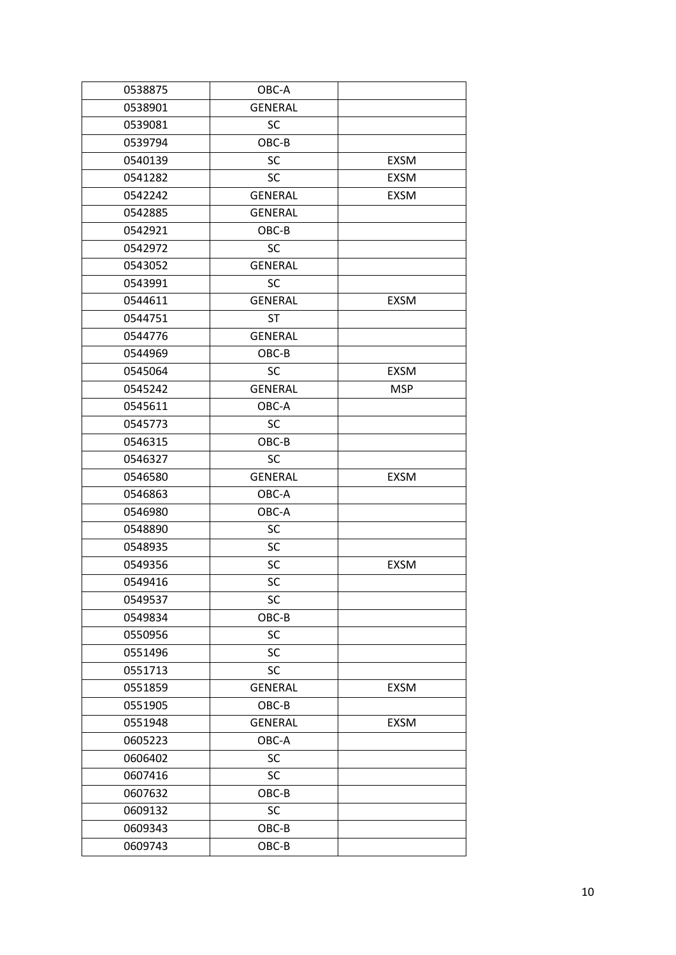| 0538875 | OBC-A          |             |
|---------|----------------|-------------|
| 0538901 | <b>GENERAL</b> |             |
| 0539081 | SC             |             |
| 0539794 | OBC-B          |             |
| 0540139 | SC             | <b>EXSM</b> |
| 0541282 | <b>SC</b>      | <b>EXSM</b> |
| 0542242 | <b>GENERAL</b> | <b>EXSM</b> |
| 0542885 | <b>GENERAL</b> |             |
| 0542921 | OBC-B          |             |
| 0542972 | <b>SC</b>      |             |
| 0543052 | <b>GENERAL</b> |             |
| 0543991 | <b>SC</b>      |             |
| 0544611 | <b>GENERAL</b> | EXSM        |
| 0544751 | <b>ST</b>      |             |
| 0544776 | <b>GENERAL</b> |             |
| 0544969 | OBC-B          |             |
| 0545064 | <b>SC</b>      | <b>EXSM</b> |
| 0545242 | <b>GENERAL</b> | <b>MSP</b>  |
| 0545611 | OBC-A          |             |
| 0545773 | <b>SC</b>      |             |
| 0546315 | OBC-B          |             |
| 0546327 | <b>SC</b>      |             |
| 0546580 | <b>GENERAL</b> | <b>EXSM</b> |
| 0546863 | OBC-A          |             |
| 0546980 | OBC-A          |             |
| 0548890 | SC             |             |
| 0548935 | SC             |             |
| 0549356 | SC             | <b>EXSM</b> |
| 0549416 | SC             |             |
| 0549537 | SC             |             |
| 0549834 | OBC-B          |             |
| 0550956 | SC             |             |
| 0551496 | SC             |             |
| 0551713 | SC             |             |
| 0551859 | <b>GENERAL</b> | <b>EXSM</b> |
| 0551905 | OBC-B          |             |
| 0551948 | <b>GENERAL</b> | EXSM        |
| 0605223 | OBC-A          |             |
| 0606402 | SC             |             |
| 0607416 | SC             |             |
| 0607632 | OBC-B          |             |
| 0609132 | SC             |             |
| 0609343 | OBC-B          |             |
| 0609743 | OBC-B          |             |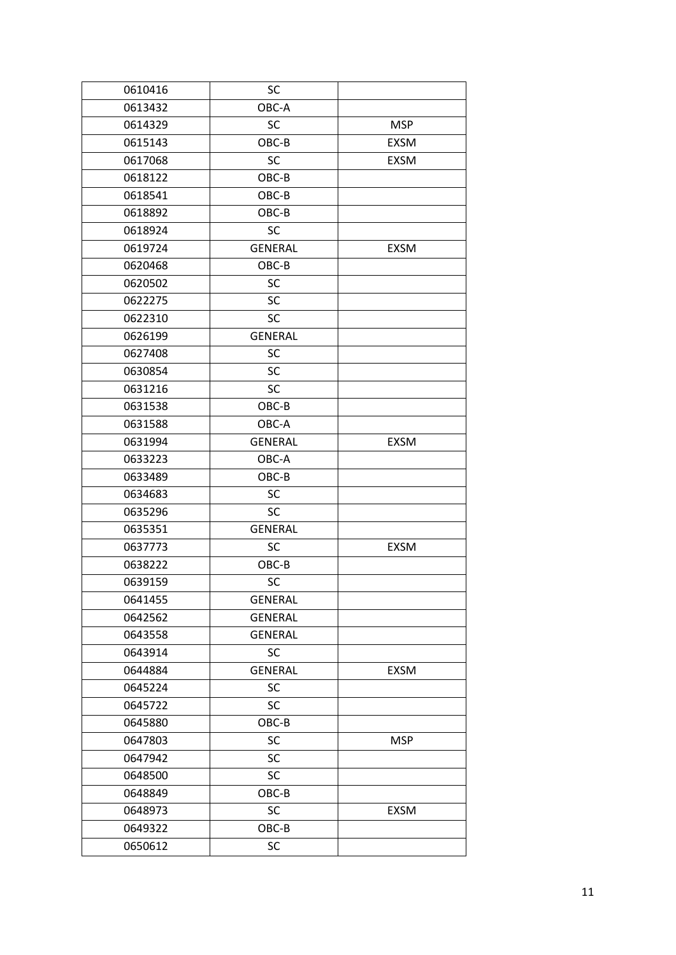| 0610416 | SC             |             |
|---------|----------------|-------------|
| 0613432 | OBC-A          |             |
| 0614329 | SC             | <b>MSP</b>  |
| 0615143 | OBC-B          | <b>EXSM</b> |
| 0617068 | <b>SC</b>      | <b>EXSM</b> |
| 0618122 | OBC-B          |             |
| 0618541 | OBC-B          |             |
| 0618892 | OBC-B          |             |
| 0618924 | SC             |             |
| 0619724 | <b>GENERAL</b> | <b>EXSM</b> |
| 0620468 | OBC-B          |             |
| 0620502 | SC             |             |
| 0622275 | SC             |             |
| 0622310 | <b>SC</b>      |             |
| 0626199 | <b>GENERAL</b> |             |
| 0627408 | SC             |             |
| 0630854 | SC             |             |
| 0631216 | <b>SC</b>      |             |
| 0631538 | OBC-B          |             |
| 0631588 | OBC-A          |             |
| 0631994 | <b>GENERAL</b> | <b>EXSM</b> |
| 0633223 | OBC-A          |             |
| 0633489 | OBC-B          |             |
| 0634683 | SC             |             |
| 0635296 | SC             |             |
| 0635351 | <b>GENERAL</b> |             |
| 0637773 | SC             | <b>EXSM</b> |
| 0638222 | OBC-B          |             |
| 0639159 | SC             |             |
| 0641455 | <b>GENERAL</b> |             |
| 0642562 | <b>GENERAL</b> |             |
| 0643558 | <b>GENERAL</b> |             |
| 0643914 | <b>SC</b>      |             |
| 0644884 | <b>GENERAL</b> | <b>EXSM</b> |
| 0645224 | SC             |             |
| 0645722 | SC             |             |
| 0645880 | OBC-B          |             |
| 0647803 | SC             | <b>MSP</b>  |
| 0647942 | SC             |             |
| 0648500 | SC             |             |
| 0648849 | OBC-B          |             |
| 0648973 | SC             | <b>EXSM</b> |
| 0649322 | OBC-B          |             |
| 0650612 | SC             |             |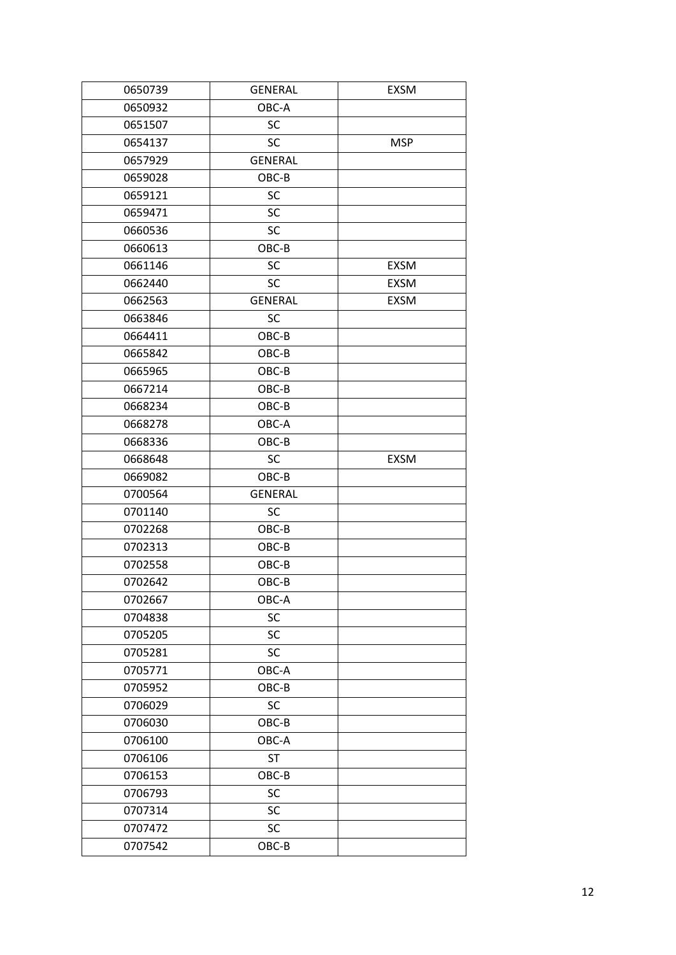| 0650739 | <b>GENERAL</b> | <b>EXSM</b> |
|---------|----------------|-------------|
| 0650932 | OBC-A          |             |
| 0651507 | <b>SC</b>      |             |
| 0654137 | <b>SC</b>      | <b>MSP</b>  |
| 0657929 | <b>GENERAL</b> |             |
| 0659028 | OBC-B          |             |
| 0659121 | <b>SC</b>      |             |
| 0659471 | <b>SC</b>      |             |
| 0660536 | SC             |             |
| 0660613 | OBC-B          |             |
| 0661146 | SC             | <b>EXSM</b> |
| 0662440 | <b>SC</b>      | <b>EXSM</b> |
| 0662563 | <b>GENERAL</b> | <b>EXSM</b> |
| 0663846 | <b>SC</b>      |             |
| 0664411 | OBC-B          |             |
| 0665842 | OBC-B          |             |
| 0665965 | OBC-B          |             |
| 0667214 | OBC-B          |             |
| 0668234 | OBC-B          |             |
| 0668278 | OBC-A          |             |
| 0668336 | OBC-B          |             |
| 0668648 | <b>SC</b>      | <b>EXSM</b> |
| 0669082 | OBC-B          |             |
| 0700564 | <b>GENERAL</b> |             |
| 0701140 | SC             |             |
| 0702268 | OBC-B          |             |
| 0702313 | $OBC-B$        |             |
| 0702558 | OBC-B          |             |
| 0702642 | OBC-B          |             |
| 0702667 | OBC-A          |             |
| 0704838 | SC             |             |
| 0705205 | SC             |             |
| 0705281 | <b>SC</b>      |             |
| 0705771 | OBC-A          |             |
| 0705952 | OBC-B          |             |
| 0706029 | SC             |             |
| 0706030 | OBC-B          |             |
| 0706100 | OBC-A          |             |
| 0706106 | <b>ST</b>      |             |
| 0706153 | OBC-B          |             |
| 0706793 | SC             |             |
| 0707314 | SC             |             |
| 0707472 | SC             |             |
| 0707542 | OBC-B          |             |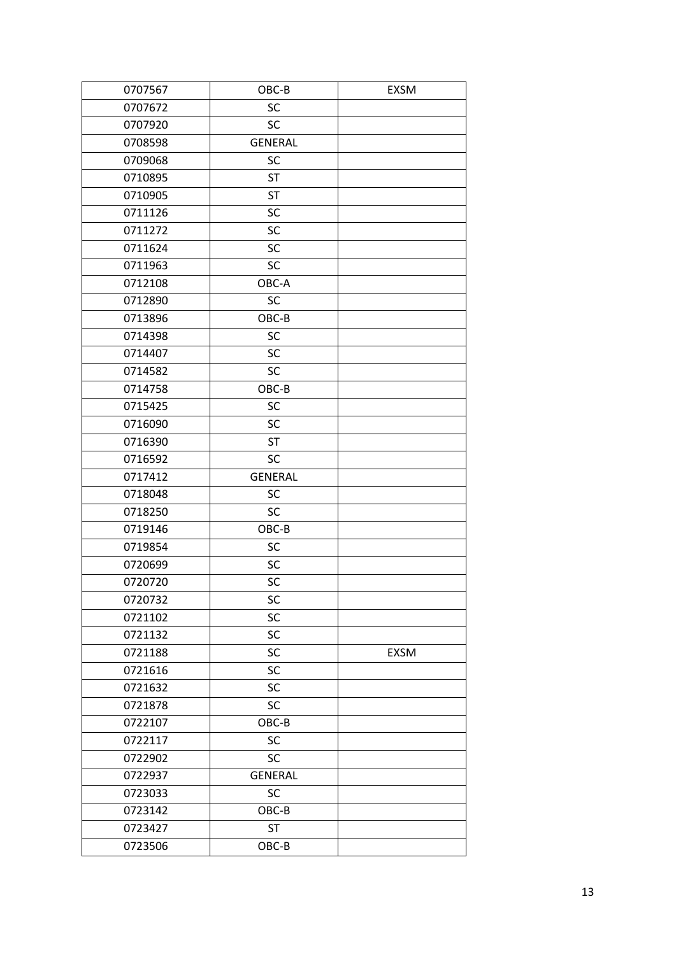| 0707567 | OBC-B          | <b>EXSM</b> |
|---------|----------------|-------------|
| 0707672 | SC             |             |
| 0707920 | SC             |             |
| 0708598 | <b>GENERAL</b> |             |
| 0709068 | SC             |             |
| 0710895 | <b>ST</b>      |             |
| 0710905 | <b>ST</b>      |             |
| 0711126 | SC             |             |
| 0711272 | SC             |             |
| 0711624 | SC             |             |
| 0711963 | SC             |             |
| 0712108 | OBC-A          |             |
| 0712890 | SC             |             |
| 0713896 | OBC-B          |             |
| 0714398 | SC             |             |
| 0714407 | SC             |             |
| 0714582 | SC             |             |
| 0714758 | OBC-B          |             |
| 0715425 | SC             |             |
| 0716090 | SC             |             |
| 0716390 | <b>ST</b>      |             |
| 0716592 | SC             |             |
| 0717412 | <b>GENERAL</b> |             |
| 0718048 | SC             |             |
| 0718250 | SC             |             |
| 0719146 | OBC-B          |             |
| 0719854 | SC             |             |
| 0720699 | SC             |             |
| 0720720 | SC             |             |
| 0720732 | SC             |             |
| 0721102 | SC             |             |
| 0721132 | SC             |             |
| 0721188 | SC             | EXSM        |
| 0721616 | SC             |             |
| 0721632 | SC             |             |
| 0721878 | SC             |             |
| 0722107 | OBC-B          |             |
| 0722117 | SC             |             |
| 0722902 | <b>SC</b>      |             |
| 0722937 | <b>GENERAL</b> |             |
| 0723033 | SC             |             |
| 0723142 | OBC-B          |             |
| 0723427 | <b>ST</b>      |             |
| 0723506 | OBC-B          |             |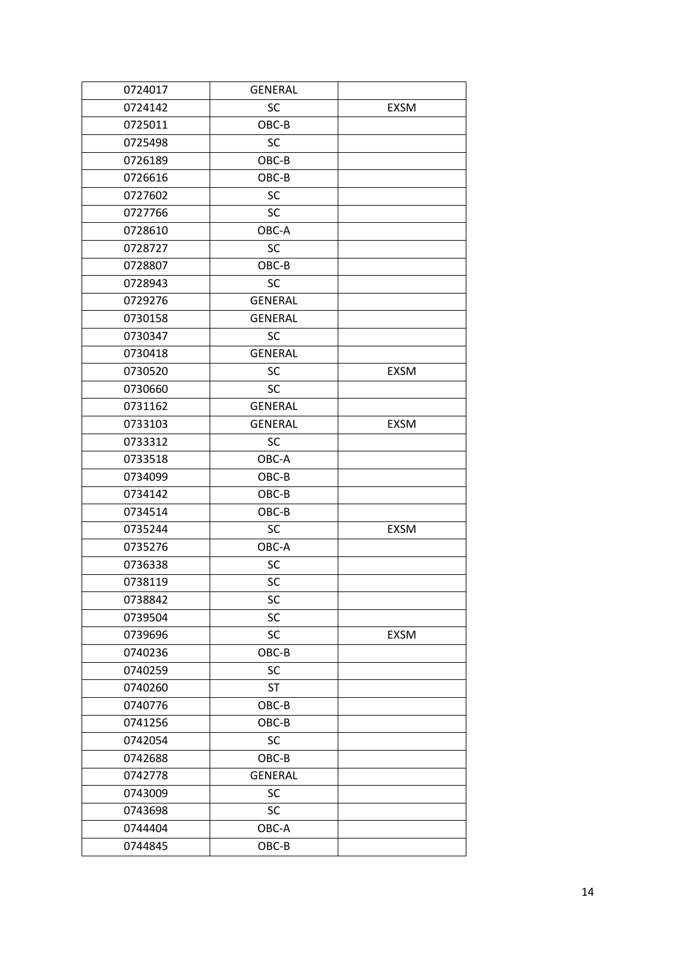| 0724017 | <b>GENERAL</b> |             |
|---------|----------------|-------------|
| 0724142 | SC             | <b>EXSM</b> |
| 0725011 | OBC-B          |             |
| 0725498 | <b>SC</b>      |             |
| 0726189 | OBC-B          |             |
| 0726616 | OBC-B          |             |
| 0727602 | <b>SC</b>      |             |
| 0727766 | <b>SC</b>      |             |
| 0728610 | OBC-A          |             |
| 0728727 | SC             |             |
| 0728807 | OBC-B          |             |
| 0728943 | SC             |             |
| 0729276 | <b>GENERAL</b> |             |
| 0730158 | <b>GENERAL</b> |             |
| 0730347 | <b>SC</b>      |             |
| 0730418 | <b>GENERAL</b> |             |
| 0730520 | <b>SC</b>      | <b>EXSM</b> |
| 0730660 | SC             |             |
| 0731162 | <b>GENERAL</b> |             |
| 0733103 | <b>GENERAL</b> | <b>EXSM</b> |
| 0733312 | <b>SC</b>      |             |
| 0733518 | OBC-A          |             |
| 0734099 | OBC-B          |             |
| 0734142 | OBC-B          |             |
| 0734514 | OBC-B          |             |
| 0735244 | SC             | <b>EXSM</b> |
| 0735276 | OBC-A          |             |
| 0736338 | SC             |             |
| 0738119 | SC             |             |
| 0738842 | SC             |             |
| 0739504 | SC             |             |
| 0739696 | SC             | EXSM        |
| 0740236 | $OBC-B$        |             |
| 0740259 | SC             |             |
| 0740260 | <b>ST</b>      |             |
| 0740776 | OBC-B          |             |
| 0741256 | OBC-B          |             |
| 0742054 | SC             |             |
| 0742688 | OBC-B          |             |
| 0742778 | <b>GENERAL</b> |             |
| 0743009 | SC             |             |
| 0743698 | SC             |             |
| 0744404 | OBC-A          |             |
| 0744845 | OBC-B          |             |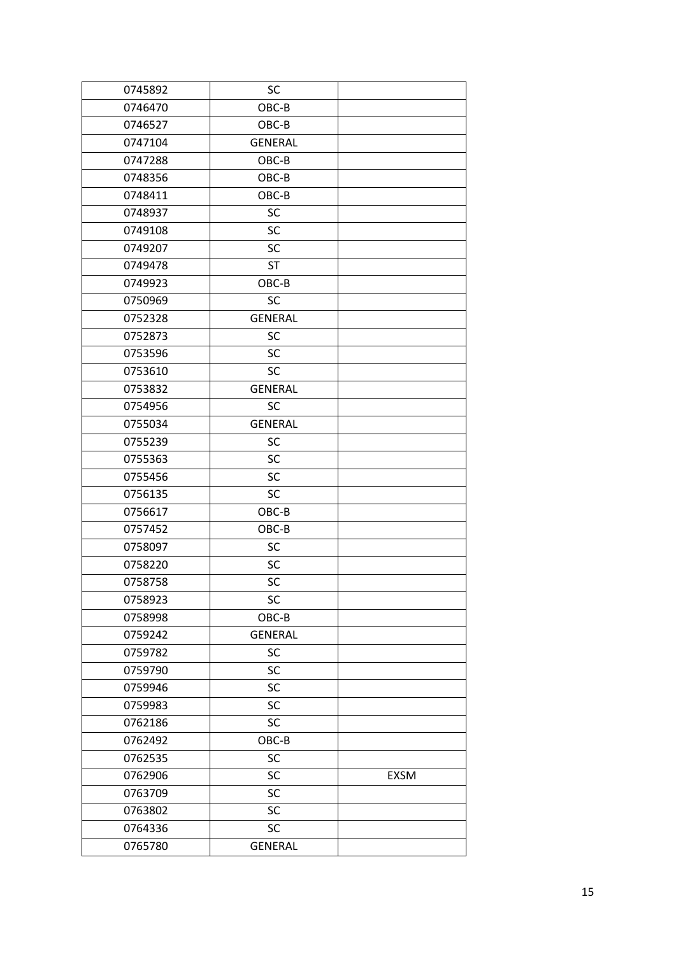| 0745892 | SC             |             |
|---------|----------------|-------------|
| 0746470 | OBC-B          |             |
| 0746527 | OBC-B          |             |
| 0747104 | <b>GENERAL</b> |             |
| 0747288 | OBC-B          |             |
| 0748356 | OBC-B          |             |
| 0748411 | OBC-B          |             |
| 0748937 | SC             |             |
| 0749108 | SC             |             |
| 0749207 | SC             |             |
| 0749478 | <b>ST</b>      |             |
| 0749923 | OBC-B          |             |
| 0750969 | SC             |             |
| 0752328 | <b>GENERAL</b> |             |
| 0752873 | SC             |             |
| 0753596 | SC             |             |
| 0753610 | <b>SC</b>      |             |
| 0753832 | <b>GENERAL</b> |             |
| 0754956 | SC             |             |
| 0755034 | <b>GENERAL</b> |             |
| 0755239 | SC             |             |
| 0755363 | SC             |             |
| 0755456 | SC             |             |
| 0756135 | SC             |             |
| 0756617 | OBC-B          |             |
| 0757452 | OBC-B          |             |
| 0758097 | SC             |             |
| 0758220 | SC             |             |
| 0758758 | SC             |             |
| 0758923 | SC             |             |
| 0758998 | OBC-B          |             |
| 0759242 | <b>GENERAL</b> |             |
| 0759782 | SC             |             |
| 0759790 | SC             |             |
| 0759946 | SC             |             |
| 0759983 | SC             |             |
| 0762186 | SC             |             |
| 0762492 | OBC-B          |             |
| 0762535 | SC             |             |
| 0762906 | SC             | <b>EXSM</b> |
| 0763709 | SC             |             |
| 0763802 | SC             |             |
| 0764336 | SC             |             |
| 0765780 | <b>GENERAL</b> |             |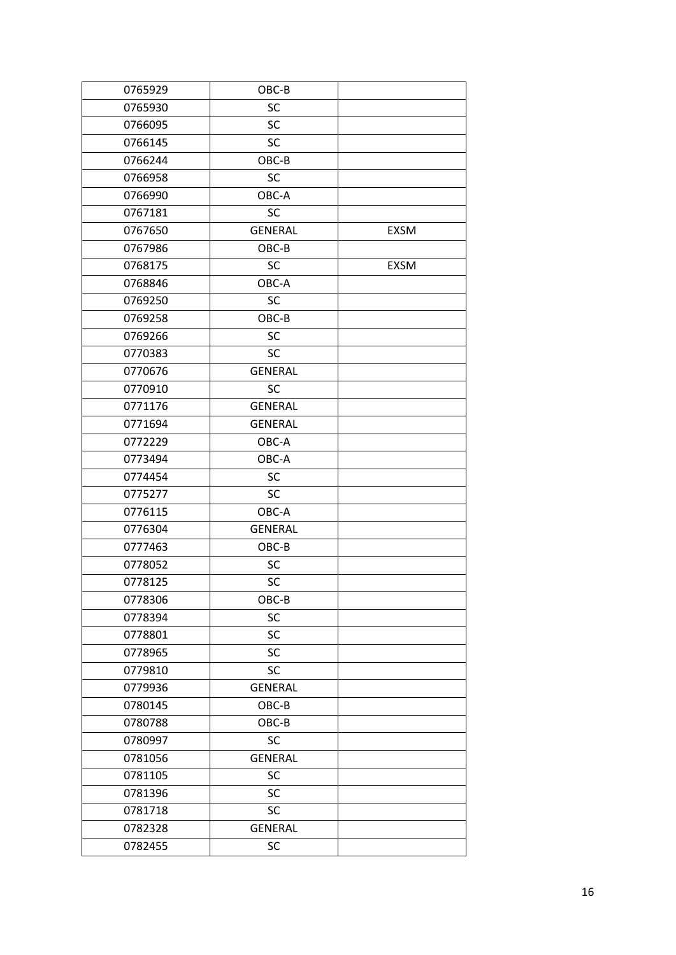| 0765929 | OBC-B          |             |
|---------|----------------|-------------|
| 0765930 | SC             |             |
| 0766095 | SC             |             |
| 0766145 | SC             |             |
| 0766244 | OBC-B          |             |
| 0766958 | SC             |             |
| 0766990 | OBC-A          |             |
| 0767181 | SC             |             |
| 0767650 | <b>GENERAL</b> | <b>EXSM</b> |
| 0767986 | OBC-B          |             |
| 0768175 | <b>SC</b>      | <b>EXSM</b> |
| 0768846 | OBC-A          |             |
| 0769250 | SC             |             |
| 0769258 | OBC-B          |             |
| 0769266 | <b>SC</b>      |             |
| 0770383 | SC             |             |
| 0770676 | <b>GENERAL</b> |             |
| 0770910 | <b>SC</b>      |             |
| 0771176 | <b>GENERAL</b> |             |
| 0771694 | <b>GENERAL</b> |             |
| 0772229 | OBC-A          |             |
| 0773494 | OBC-A          |             |
| 0774454 | <b>SC</b>      |             |
| 0775277 | <b>SC</b>      |             |
| 0776115 | OBC-A          |             |
| 0776304 | <b>GENERAL</b> |             |
| 0777463 | OBC-B          |             |
| 0778052 | SC             |             |
| 0778125 | SC             |             |
| 0778306 | OBC-B          |             |
| 0778394 | SC             |             |
| 0778801 | SC             |             |
| 0778965 | SC             |             |
| 0779810 | SC             |             |
| 0779936 | <b>GENERAL</b> |             |
| 0780145 | OBC-B          |             |
| 0780788 | OBC-B          |             |
| 0780997 | SC             |             |
| 0781056 | <b>GENERAL</b> |             |
| 0781105 | SC             |             |
| 0781396 | SC             |             |
| 0781718 | SC             |             |
| 0782328 | <b>GENERAL</b> |             |
| 0782455 | SC             |             |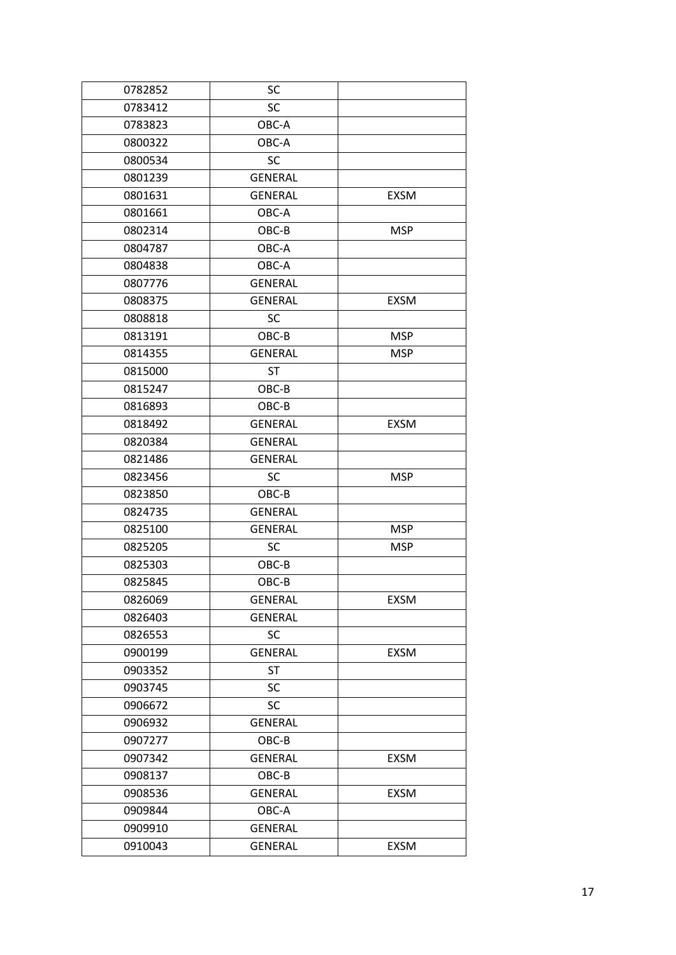| 0782852 | SC             |             |
|---------|----------------|-------------|
| 0783412 | SC             |             |
| 0783823 | OBC-A          |             |
| 0800322 | OBC-A          |             |
| 0800534 | SC             |             |
| 0801239 | <b>GENERAL</b> |             |
| 0801631 | <b>GENERAL</b> | <b>EXSM</b> |
| 0801661 | OBC-A          |             |
| 0802314 | OBC-B          | <b>MSP</b>  |
| 0804787 | OBC-A          |             |
| 0804838 | OBC-A          |             |
| 0807776 | <b>GENERAL</b> |             |
| 0808375 | <b>GENERAL</b> | EXSM        |
| 0808818 | <b>SC</b>      |             |
| 0813191 | OBC-B          | <b>MSP</b>  |
| 0814355 | <b>GENERAL</b> | MSP         |
| 0815000 | <b>ST</b>      |             |
| 0815247 | OBC-B          |             |
| 0816893 | OBC-B          |             |
| 0818492 | <b>GENERAL</b> | <b>EXSM</b> |
| 0820384 | <b>GENERAL</b> |             |
| 0821486 | <b>GENERAL</b> |             |
| 0823456 | <b>SC</b>      | <b>MSP</b>  |
| 0823850 | OBC-B          |             |
| 0824735 | <b>GENERAL</b> |             |
| 0825100 | <b>GENERAL</b> | <b>MSP</b>  |
| 0825205 | <b>SC</b>      | <b>MSP</b>  |
| 0825303 | OBC-B          |             |
| 0825845 | OBC-B          |             |
| 0826069 | <b>GENERAL</b> | <b>EXSM</b> |
| 0826403 | <b>GENERAL</b> |             |
| 0826553 | SC             |             |
| 0900199 | <b>GENERAL</b> | <b>EXSM</b> |
| 0903352 | <b>ST</b>      |             |
| 0903745 | SC             |             |
| 0906672 | SC             |             |
| 0906932 | <b>GENERAL</b> |             |
| 0907277 | OBC-B          |             |
| 0907342 | <b>GENERAL</b> | <b>EXSM</b> |
| 0908137 | OBC-B          |             |
| 0908536 | <b>GENERAL</b> | <b>EXSM</b> |
| 0909844 | OBC-A          |             |
| 0909910 | <b>GENERAL</b> |             |
| 0910043 | <b>GENERAL</b> | <b>EXSM</b> |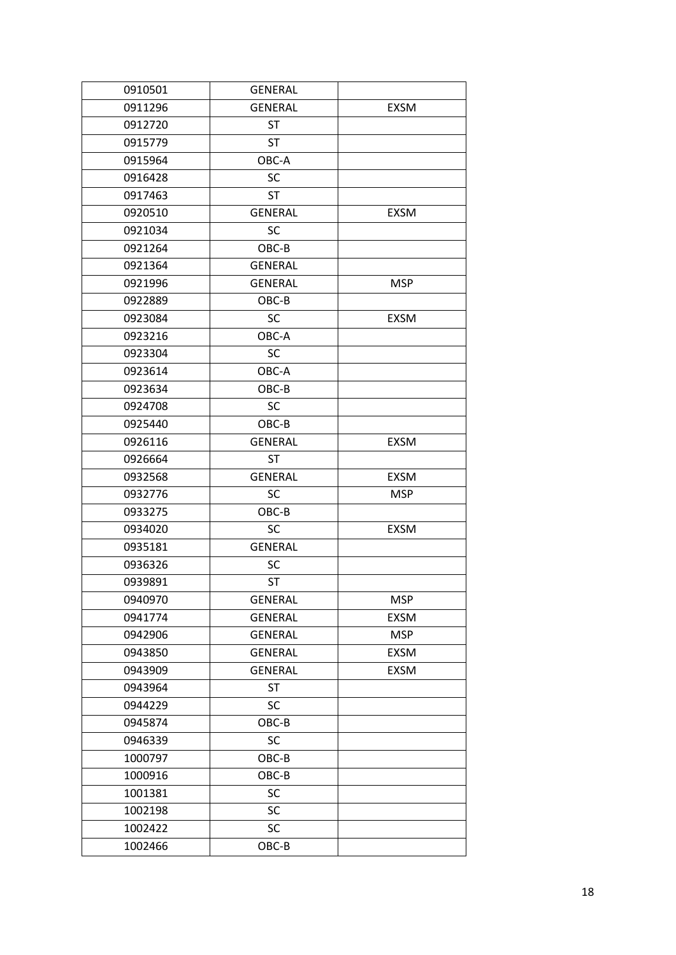| 0910501 | <b>GENERAL</b> |             |
|---------|----------------|-------------|
| 0911296 | <b>GENERAL</b> | <b>EXSM</b> |
| 0912720 | <b>ST</b>      |             |
| 0915779 | <b>ST</b>      |             |
| 0915964 | OBC-A          |             |
| 0916428 | SC             |             |
| 0917463 | <b>ST</b>      |             |
| 0920510 | <b>GENERAL</b> | <b>EXSM</b> |
| 0921034 | SC             |             |
| 0921264 | OBC-B          |             |
| 0921364 | <b>GENERAL</b> |             |
| 0921996 | <b>GENERAL</b> | <b>MSP</b>  |
| 0922889 | OBC-B          |             |
| 0923084 | <b>SC</b>      | <b>EXSM</b> |
| 0923216 | OBC-A          |             |
| 0923304 | <b>SC</b>      |             |
| 0923614 | OBC-A          |             |
| 0923634 | OBC-B          |             |
| 0924708 | SC             |             |
| 0925440 | OBC-B          |             |
| 0926116 | <b>GENERAL</b> | <b>EXSM</b> |
| 0926664 | <b>ST</b>      |             |
| 0932568 | <b>GENERAL</b> | <b>EXSM</b> |
| 0932776 | <b>SC</b>      | MSP         |
| 0933275 | OBC-B          |             |
| 0934020 | SC             | EXSM        |
| 0935181 | <b>GENERAL</b> |             |
| 0936326 | <b>SC</b>      |             |
| 0939891 | <b>ST</b>      |             |
| 0940970 | <b>GENERAL</b> | <b>MSP</b>  |
| 0941774 | <b>GENERAL</b> | <b>EXSM</b> |
| 0942906 | <b>GENERAL</b> | <b>MSP</b>  |
| 0943850 | <b>GENERAL</b> | EXSM        |
| 0943909 | <b>GENERAL</b> | <b>EXSM</b> |
| 0943964 | <b>ST</b>      |             |
| 0944229 | SC             |             |
| 0945874 | OBC-B          |             |
| 0946339 | SC             |             |
| 1000797 | OBC-B          |             |
| 1000916 | OBC-B          |             |
| 1001381 | SC             |             |
| 1002198 | SC             |             |
| 1002422 | SC             |             |
| 1002466 | OBC-B          |             |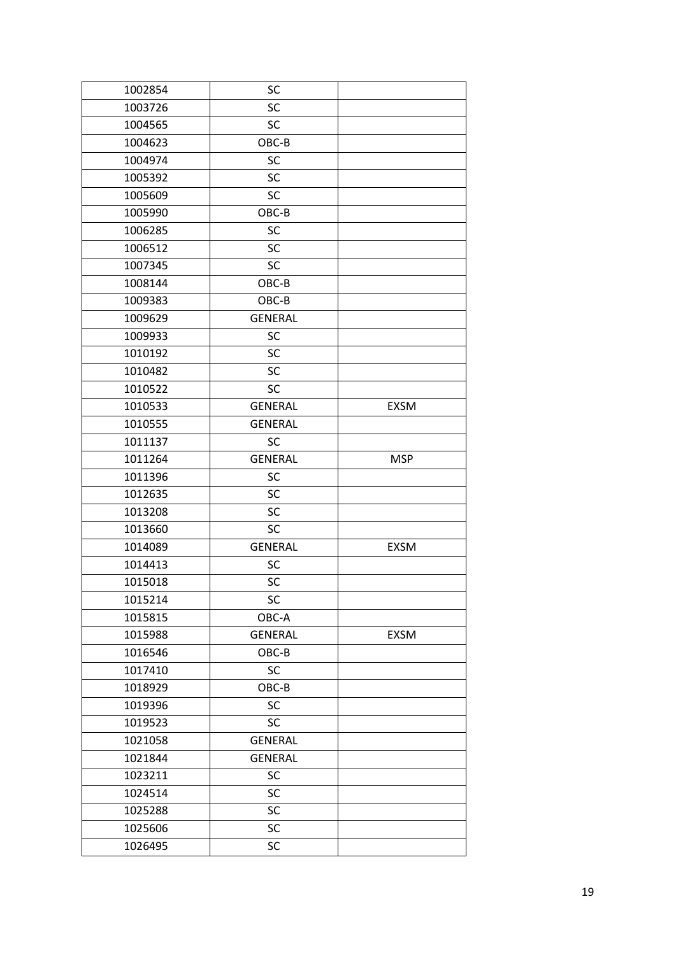| 1002854 | SC             |             |
|---------|----------------|-------------|
| 1003726 | <b>SC</b>      |             |
| 1004565 | <b>SC</b>      |             |
| 1004623 | OBC-B          |             |
| 1004974 | SC             |             |
| 1005392 | SC             |             |
| 1005609 | SC             |             |
| 1005990 | OBC-B          |             |
| 1006285 | <b>SC</b>      |             |
| 1006512 | SC             |             |
| 1007345 | SC             |             |
| 1008144 | OBC-B          |             |
| 1009383 | OBC-B          |             |
| 1009629 | <b>GENERAL</b> |             |
| 1009933 | SC             |             |
| 1010192 | SC             |             |
| 1010482 | SC             |             |
| 1010522 | <b>SC</b>      |             |
| 1010533 | <b>GENERAL</b> | <b>EXSM</b> |
| 1010555 | <b>GENERAL</b> |             |
| 1011137 | <b>SC</b>      |             |
| 1011264 | <b>GENERAL</b> | <b>MSP</b>  |
| 1011396 | SC             |             |
| 1012635 | SC             |             |
| 1013208 | <b>SC</b>      |             |
| 1013660 | SC             |             |
| 1014089 | <b>GENERAL</b> | <b>EXSM</b> |
| 1014413 | SC             |             |
| 1015018 | SC             |             |
| 1015214 | SC             |             |
| 1015815 | OBC-A          |             |
| 1015988 | <b>GENERAL</b> | EXSM        |
| 1016546 | OBC-B          |             |
| 1017410 | SC             |             |
| 1018929 | OBC-B          |             |
| 1019396 | SC             |             |
| 1019523 | <b>SC</b>      |             |
| 1021058 | <b>GENERAL</b> |             |
| 1021844 | <b>GENERAL</b> |             |
| 1023211 | SC             |             |
| 1024514 | SC             |             |
| 1025288 | SC             |             |
| 1025606 | SC             |             |
| 1026495 | SC             |             |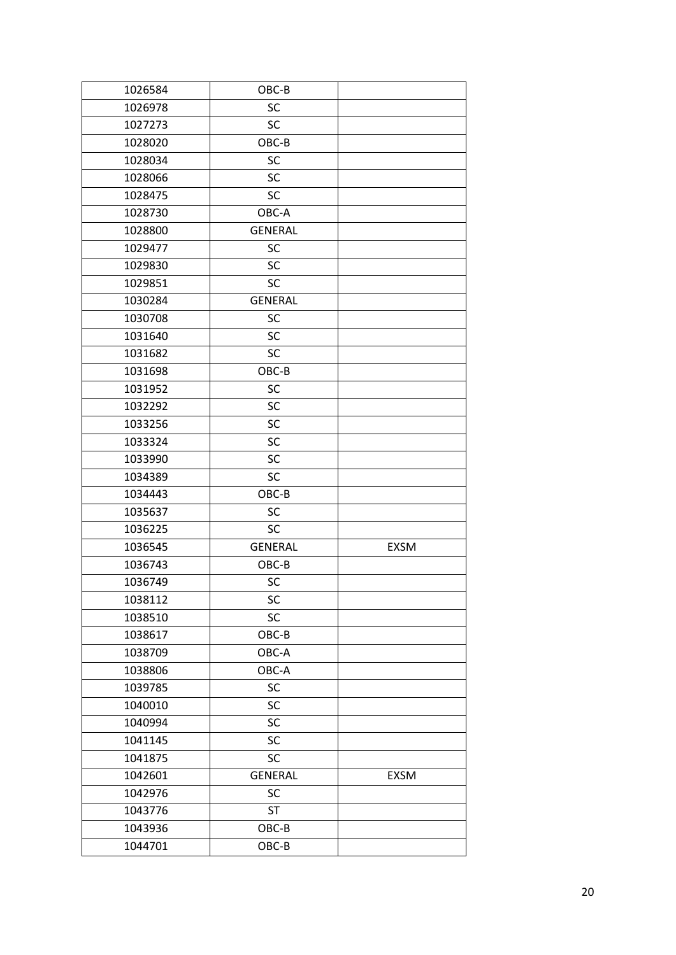| 1026584 | OBC-B          |             |
|---------|----------------|-------------|
| 1026978 | SC             |             |
| 1027273 | <b>SC</b>      |             |
| 1028020 | OBC-B          |             |
| 1028034 | SC             |             |
| 1028066 | <b>SC</b>      |             |
| 1028475 | <b>SC</b>      |             |
| 1028730 | OBC-A          |             |
| 1028800 | <b>GENERAL</b> |             |
| 1029477 | <b>SC</b>      |             |
| 1029830 | <b>SC</b>      |             |
| 1029851 | <b>SC</b>      |             |
| 1030284 | <b>GENERAL</b> |             |
| 1030708 | SC             |             |
| 1031640 | <b>SC</b>      |             |
| 1031682 | <b>SC</b>      |             |
| 1031698 | OBC-B          |             |
| 1031952 | <b>SC</b>      |             |
| 1032292 | <b>SC</b>      |             |
| 1033256 | SC             |             |
| 1033324 | SC             |             |
| 1033990 | <b>SC</b>      |             |
| 1034389 | SC             |             |
| 1034443 | OBC-B          |             |
| 1035637 | SC             |             |
| 1036225 | <b>SC</b>      |             |
| 1036545 | <b>GENERAL</b> | <b>EXSM</b> |
| 1036743 | OBC-B          |             |
| 1036749 | SC             |             |
| 1038112 | SC             |             |
| 1038510 | SC             |             |
| 1038617 | OBC-B          |             |
| 1038709 | OBC-A          |             |
| 1038806 | OBC-A          |             |
| 1039785 | SC             |             |
| 1040010 | SC             |             |
| 1040994 | SC             |             |
| 1041145 | SC             |             |
| 1041875 | SC             |             |
| 1042601 | <b>GENERAL</b> | EXSM        |
| 1042976 | SC             |             |
| 1043776 | <b>ST</b>      |             |
| 1043936 | $OBC-B$        |             |
| 1044701 | OBC-B          |             |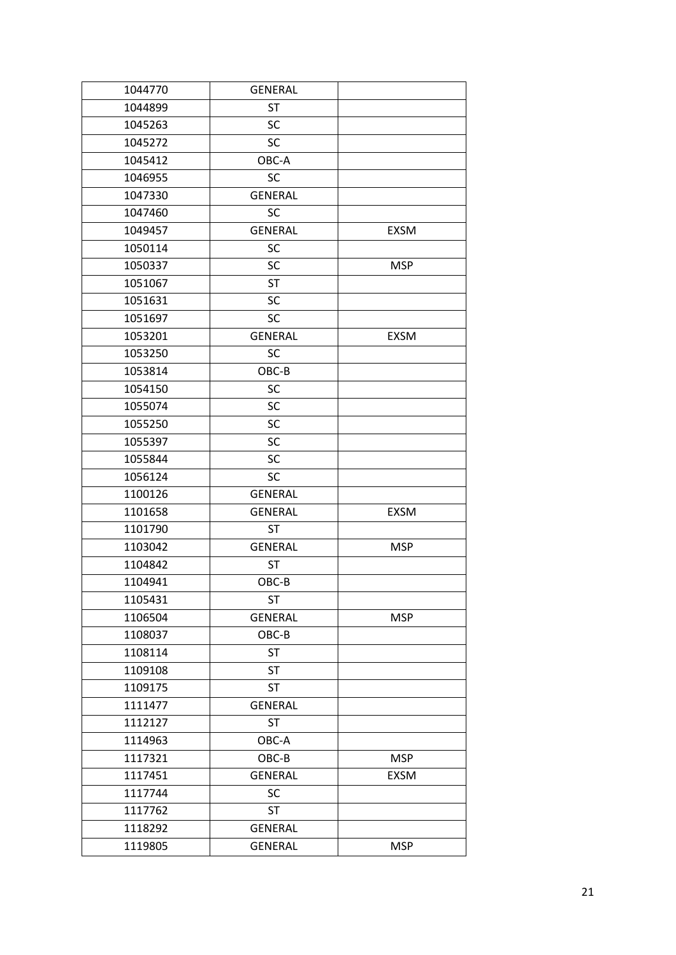| 1044770 | <b>GENERAL</b> |             |
|---------|----------------|-------------|
| 1044899 | <b>ST</b>      |             |
| 1045263 | SC             |             |
| 1045272 | SC             |             |
| 1045412 | OBC-A          |             |
| 1046955 | <b>SC</b>      |             |
| 1047330 | <b>GENERAL</b> |             |
| 1047460 | SC             |             |
| 1049457 | <b>GENERAL</b> | <b>EXSM</b> |
| 1050114 | SC             |             |
| 1050337 | SC             | <b>MSP</b>  |
| 1051067 | <b>ST</b>      |             |
| 1051631 | SC             |             |
| 1051697 | <b>SC</b>      |             |
| 1053201 | <b>GENERAL</b> | <b>EXSM</b> |
| 1053250 | SC             |             |
| 1053814 | OBC-B          |             |
| 1054150 | SC             |             |
| 1055074 | SC             |             |
| 1055250 | SC             |             |
| 1055397 | SC             |             |
| 1055844 | SC             |             |
| 1056124 | <b>SC</b>      |             |
| 1100126 | <b>GENERAL</b> |             |
| 1101658 | <b>GENERAL</b> | <b>EXSM</b> |
| 1101790 | <b>ST</b>      |             |
| 1103042 | <b>GENERAL</b> | <b>MSP</b>  |
| 1104842 | <b>ST</b>      |             |
| 1104941 | OBC-B          |             |
| 1105431 | ST             |             |
| 1106504 | <b>GENERAL</b> | <b>MSP</b>  |
| 1108037 | OBC-B          |             |
| 1108114 | <b>ST</b>      |             |
| 1109108 | <b>ST</b>      |             |
| 1109175 | <b>ST</b>      |             |
| 1111477 | <b>GENERAL</b> |             |
| 1112127 | <b>ST</b>      |             |
| 1114963 | OBC-A          |             |
| 1117321 | OBC-B          | <b>MSP</b>  |
| 1117451 | <b>GENERAL</b> | <b>EXSM</b> |
| 1117744 | SC             |             |
| 1117762 | <b>ST</b>      |             |
| 1118292 | <b>GENERAL</b> |             |
| 1119805 | <b>GENERAL</b> | <b>MSP</b>  |
|         |                |             |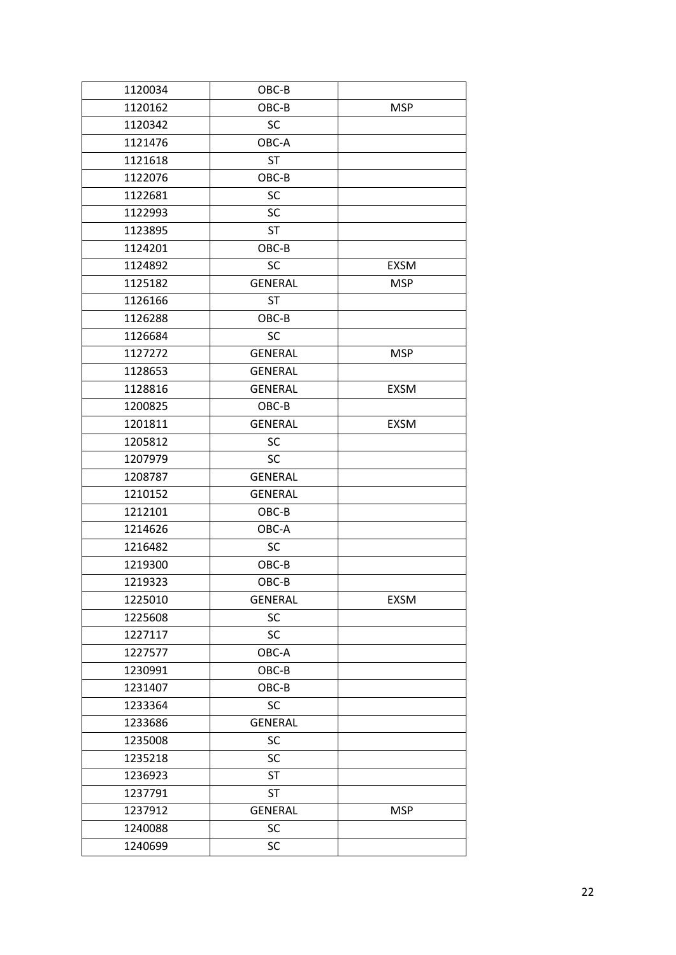| 1120162<br>OBC-B<br><b>MSP</b><br>1120342<br>SC<br>1121476<br>OBC-A<br><b>ST</b><br>1121618 |  |
|---------------------------------------------------------------------------------------------|--|
|                                                                                             |  |
|                                                                                             |  |
|                                                                                             |  |
|                                                                                             |  |
| 1122076<br>OBC-B                                                                            |  |
| 1122681<br>SC                                                                               |  |
| SC<br>1122993                                                                               |  |
| 1123895<br><b>ST</b>                                                                        |  |
| OBC-B<br>1124201                                                                            |  |
| <b>SC</b><br>1124892<br><b>EXSM</b>                                                         |  |
| 1125182<br><b>GENERAL</b><br><b>MSP</b>                                                     |  |
| 1126166<br>ST                                                                               |  |
| 1126288<br>OBC-B                                                                            |  |
| 1126684<br><b>SC</b>                                                                        |  |
| 1127272<br><b>GENERAL</b><br><b>MSP</b>                                                     |  |
| 1128653<br><b>GENERAL</b>                                                                   |  |
| 1128816<br><b>GENERAL</b><br><b>EXSM</b>                                                    |  |
| 1200825<br>OBC-B                                                                            |  |
| 1201811<br><b>GENERAL</b><br><b>EXSM</b>                                                    |  |
| 1205812<br>SC                                                                               |  |
| 1207979<br><b>SC</b>                                                                        |  |
| 1208787<br><b>GENERAL</b>                                                                   |  |
| 1210152<br><b>GENERAL</b>                                                                   |  |
| 1212101<br>OBC-B                                                                            |  |
| 1214626<br>OBC-A                                                                            |  |
| 1216482<br>SC                                                                               |  |
| OBC-B<br>1219300                                                                            |  |
| OBC-B<br>1219323                                                                            |  |
| 1225010<br><b>EXSM</b><br><b>GENERAL</b>                                                    |  |
| 1225608<br>SC                                                                               |  |
| 1227117<br><b>SC</b>                                                                        |  |
| 1227577<br>OBC-A                                                                            |  |
| 1230991<br>OBC-B                                                                            |  |
| 1231407<br>OBC-B                                                                            |  |
| SC<br>1233364                                                                               |  |
| <b>GENERAL</b><br>1233686                                                                   |  |
| 1235008<br>SC                                                                               |  |
| 1235218<br>SC                                                                               |  |
| <b>ST</b><br>1236923                                                                        |  |
| <b>ST</b><br>1237791                                                                        |  |
| 1237912<br><b>GENERAL</b><br><b>MSP</b>                                                     |  |
| 1240088<br>SC                                                                               |  |
| 1240699<br>SC                                                                               |  |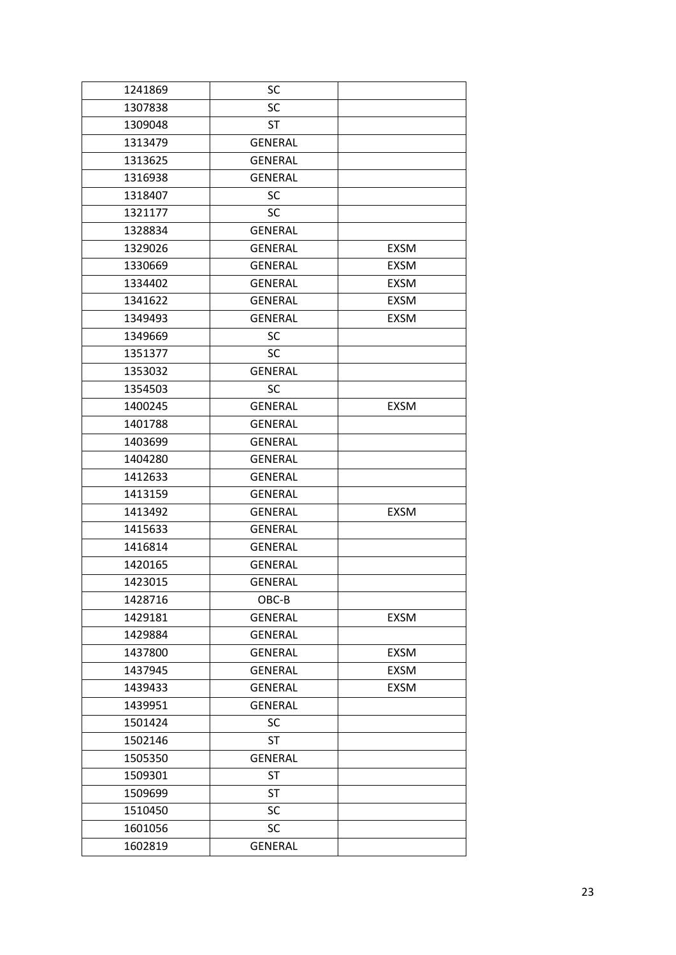| 1241869 | SC             |             |
|---------|----------------|-------------|
| 1307838 | SC             |             |
| 1309048 | <b>ST</b>      |             |
| 1313479 | <b>GENERAL</b> |             |
| 1313625 | <b>GENERAL</b> |             |
| 1316938 | <b>GENERAL</b> |             |
| 1318407 | <b>SC</b>      |             |
| 1321177 | SC             |             |
| 1328834 | <b>GENERAL</b> |             |
| 1329026 | <b>GENERAL</b> | <b>EXSM</b> |
| 1330669 | <b>GENERAL</b> | EXSM        |
| 1334402 | <b>GENERAL</b> | <b>EXSM</b> |
| 1341622 | <b>GENERAL</b> | <b>EXSM</b> |
| 1349493 | <b>GENERAL</b> | <b>EXSM</b> |
| 1349669 | SC             |             |
| 1351377 | <b>SC</b>      |             |
| 1353032 | <b>GENERAL</b> |             |
| 1354503 | SC             |             |
| 1400245 | <b>GENERAL</b> | <b>EXSM</b> |
| 1401788 | <b>GENERAL</b> |             |
| 1403699 | <b>GENERAL</b> |             |
| 1404280 | <b>GENERAL</b> |             |
| 1412633 | <b>GENERAL</b> |             |
| 1413159 | <b>GENERAL</b> |             |
| 1413492 | <b>GENERAL</b> | <b>EXSM</b> |
| 1415633 | <b>GENERAL</b> |             |
| 1416814 | <b>GENERAL</b> |             |
| 1420165 | <b>GENERAL</b> |             |
| 1423015 | <b>GENERAL</b> |             |
| 1428716 | OBC-B          |             |
| 1429181 | <b>GENERAL</b> | EXSM        |
| 1429884 | <b>GENERAL</b> |             |
| 1437800 | <b>GENERAL</b> | EXSM        |
| 1437945 | <b>GENERAL</b> | <b>EXSM</b> |
| 1439433 | <b>GENERAL</b> | EXSM        |
| 1439951 | <b>GENERAL</b> |             |
| 1501424 | SC             |             |
| 1502146 | <b>ST</b>      |             |
| 1505350 | <b>GENERAL</b> |             |
| 1509301 | <b>ST</b>      |             |
| 1509699 | <b>ST</b>      |             |
| 1510450 | SC             |             |
| 1601056 | SC             |             |
| 1602819 | <b>GENERAL</b> |             |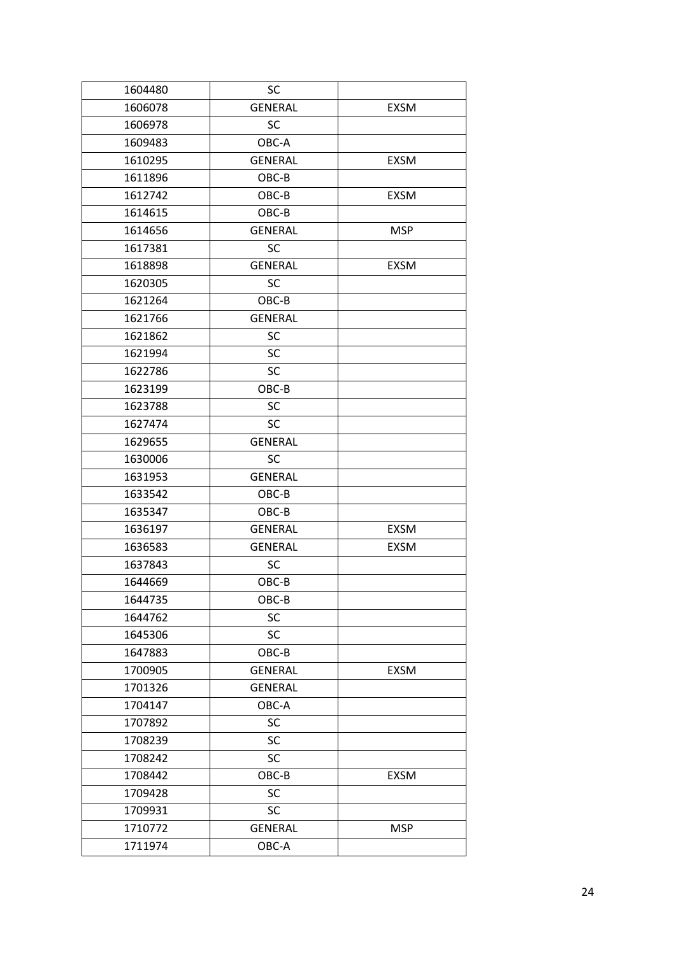| 1604480 | SC             |             |
|---------|----------------|-------------|
| 1606078 | <b>GENERAL</b> | <b>EXSM</b> |
| 1606978 | <b>SC</b>      |             |
| 1609483 | OBC-A          |             |
| 1610295 | <b>GENERAL</b> | <b>EXSM</b> |
| 1611896 | OBC-B          |             |
| 1612742 | OBC-B          | <b>EXSM</b> |
| 1614615 | OBC-B          |             |
| 1614656 | <b>GENERAL</b> | <b>MSP</b>  |
| 1617381 | SC             |             |
| 1618898 | <b>GENERAL</b> | <b>EXSM</b> |
| 1620305 | <b>SC</b>      |             |
| 1621264 | OBC-B          |             |
| 1621766 | <b>GENERAL</b> |             |
| 1621862 | SC             |             |
| 1621994 | SC             |             |
| 1622786 | SC             |             |
| 1623199 | OBC-B          |             |
| 1623788 | SC             |             |
| 1627474 | SC             |             |
| 1629655 | <b>GENERAL</b> |             |
| 1630006 | <b>SC</b>      |             |
| 1631953 | <b>GENERAL</b> |             |
| 1633542 | OBC-B          |             |
| 1635347 | OBC-B          |             |
| 1636197 | <b>GENERAL</b> | <b>EXSM</b> |
| 1636583 | <b>GENERAL</b> | EXSM        |
| 1637843 | <b>SC</b>      |             |
| 1644669 | OBC-B          |             |
| 1644735 | OBC-B          |             |
| 1644762 | SC             |             |
| 1645306 | SC             |             |
| 1647883 | OBC-B          |             |
| 1700905 | <b>GENERAL</b> | EXSM        |
| 1701326 | <b>GENERAL</b> |             |
| 1704147 | OBC-A          |             |
| 1707892 | SC             |             |
| 1708239 | SC             |             |
| 1708242 | SC             |             |
| 1708442 | $OBC-B$        | EXSM        |
| 1709428 | SC             |             |
| 1709931 | SC             |             |
| 1710772 | <b>GENERAL</b> | <b>MSP</b>  |
| 1711974 | OBC-A          |             |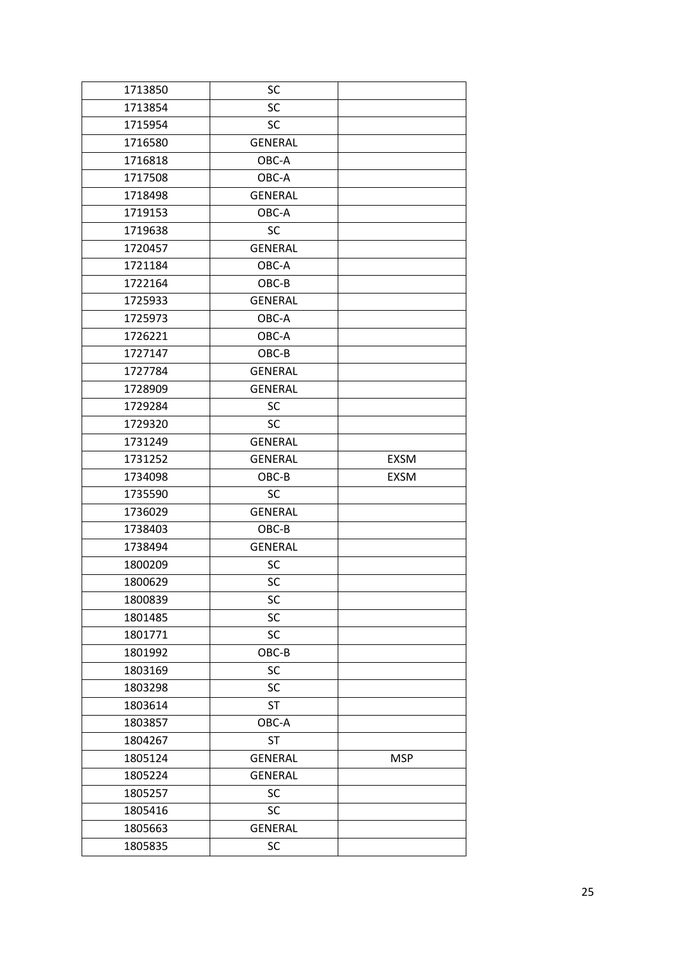| 1713850 | SC             |             |
|---------|----------------|-------------|
| 1713854 | SC             |             |
| 1715954 | <b>SC</b>      |             |
| 1716580 | <b>GENERAL</b> |             |
| 1716818 | OBC-A          |             |
| 1717508 | OBC-A          |             |
| 1718498 | <b>GENERAL</b> |             |
| 1719153 | OBC-A          |             |
| 1719638 | SC             |             |
| 1720457 | <b>GENERAL</b> |             |
| 1721184 | OBC-A          |             |
| 1722164 | OBC-B          |             |
| 1725933 | <b>GENERAL</b> |             |
| 1725973 | OBC-A          |             |
| 1726221 | OBC-A          |             |
| 1727147 | OBC-B          |             |
| 1727784 | <b>GENERAL</b> |             |
| 1728909 | <b>GENERAL</b> |             |
| 1729284 | SC             |             |
| 1729320 | <b>SC</b>      |             |
| 1731249 | <b>GENERAL</b> |             |
| 1731252 | <b>GENERAL</b> | <b>EXSM</b> |
| 1734098 | OBC-B          | <b>EXSM</b> |
| 1735590 | <b>SC</b>      |             |
| 1736029 | <b>GENERAL</b> |             |
| 1738403 | OBC-B          |             |
| 1738494 | <b>GENERAL</b> |             |
| 1800209 | <b>SC</b>      |             |
| 1800629 | SC             |             |
| 1800839 | SC             |             |
| 1801485 | SC             |             |
| 1801771 | SC             |             |
| 1801992 | OBC-B          |             |
| 1803169 | SC             |             |
| 1803298 | SC             |             |
| 1803614 |                |             |
|         | <b>ST</b>      |             |
| 1803857 | OBC-A          |             |
| 1804267 | <b>ST</b>      |             |
| 1805124 | <b>GENERAL</b> | <b>MSP</b>  |
| 1805224 | <b>GENERAL</b> |             |
| 1805257 | SC             |             |
| 1805416 | SC             |             |
| 1805663 | <b>GENERAL</b> |             |
| 1805835 | SC             |             |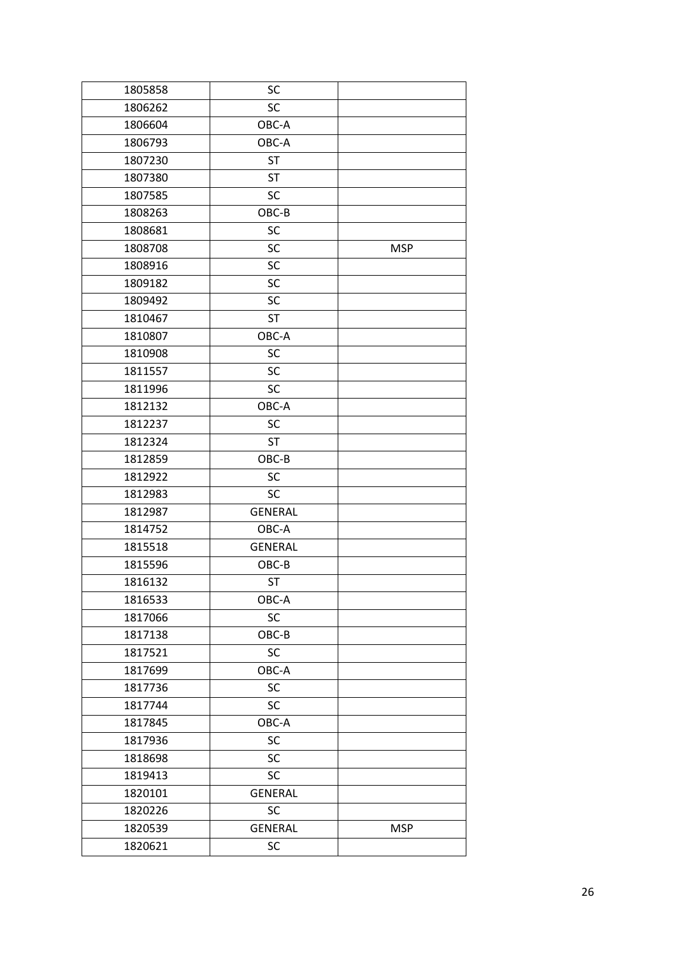| 1805858 | SC             |            |
|---------|----------------|------------|
| 1806262 | SC             |            |
| 1806604 | OBC-A          |            |
| 1806793 | OBC-A          |            |
| 1807230 | <b>ST</b>      |            |
| 1807380 | <b>ST</b>      |            |
| 1807585 | SC             |            |
| 1808263 | OBC-B          |            |
| 1808681 | SC             |            |
| 1808708 | SC             | <b>MSP</b> |
| 1808916 | SC             |            |
| 1809182 | SC             |            |
| 1809492 | SC             |            |
| 1810467 | <b>ST</b>      |            |
| 1810807 | OBC-A          |            |
| 1810908 | SC             |            |
| 1811557 | SC             |            |
| 1811996 | SC             |            |
| 1812132 | OBC-A          |            |
| 1812237 | SC             |            |
| 1812324 | <b>ST</b>      |            |
| 1812859 | OBC-B          |            |
| 1812922 | SC             |            |
| 1812983 | <b>SC</b>      |            |
| 1812987 | <b>GENERAL</b> |            |
| 1814752 | OBC-A          |            |
| 1815518 | <b>GENERAL</b> |            |
| 1815596 | OBC-B          |            |
| 1816132 | <b>ST</b>      |            |
| 1816533 | OBC-A          |            |
| 1817066 | SC             |            |
| 1817138 | OBC-B          |            |
| 1817521 | SC             |            |
| 1817699 | OBC-A          |            |
| 1817736 | SC             |            |
| 1817744 | <b>SC</b>      |            |
| 1817845 | OBC-A          |            |
| 1817936 | SC             |            |
| 1818698 | SC             |            |
| 1819413 | <b>SC</b>      |            |
| 1820101 | <b>GENERAL</b> |            |
| 1820226 | SC             |            |
| 1820539 | <b>GENERAL</b> | <b>MSP</b> |
| 1820621 | SC             |            |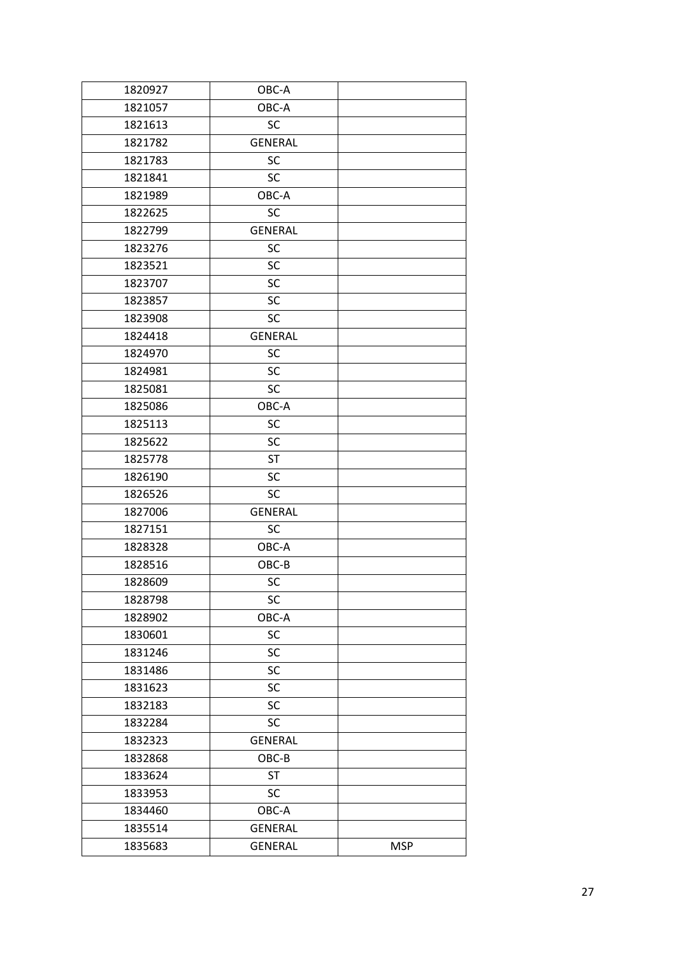| 1820927 | OBC-A          |            |
|---------|----------------|------------|
| 1821057 | OBC-A          |            |
| 1821613 | <b>SC</b>      |            |
| 1821782 | <b>GENERAL</b> |            |
| 1821783 | <b>SC</b>      |            |
| 1821841 | <b>SC</b>      |            |
| 1821989 | OBC-A          |            |
| 1822625 | <b>SC</b>      |            |
| 1822799 | <b>GENERAL</b> |            |
| 1823276 | <b>SC</b>      |            |
| 1823521 | <b>SC</b>      |            |
| 1823707 | <b>SC</b>      |            |
| 1823857 | SC             |            |
| 1823908 | <b>SC</b>      |            |
| 1824418 | <b>GENERAL</b> |            |
| 1824970 | SC             |            |
| 1824981 | <b>SC</b>      |            |
| 1825081 | <b>SC</b>      |            |
| 1825086 | OBC-A          |            |
| 1825113 | SC             |            |
| 1825622 | SC             |            |
| 1825778 | <b>ST</b>      |            |
| 1826190 | SC             |            |
| 1826526 | <b>SC</b>      |            |
| 1827006 | <b>GENERAL</b> |            |
| 1827151 | <b>SC</b>      |            |
| 1828328 | OBC-A          |            |
| 1828516 | OBC-B          |            |
| 1828609 | SC             |            |
| 1828798 | SC             |            |
| 1828902 | OBC-A          |            |
| 1830601 | SC             |            |
| 1831246 | <b>SC</b>      |            |
| 1831486 | <b>SC</b>      |            |
| 1831623 | <b>SC</b>      |            |
| 1832183 | <b>SC</b>      |            |
| 1832284 | <b>SC</b>      |            |
| 1832323 | <b>GENERAL</b> |            |
| 1832868 | OBC-B          |            |
| 1833624 | <b>ST</b>      |            |
| 1833953 | <b>SC</b>      |            |
| 1834460 | OBC-A          |            |
| 1835514 | <b>GENERAL</b> |            |
| 1835683 | <b>GENERAL</b> | <b>MSP</b> |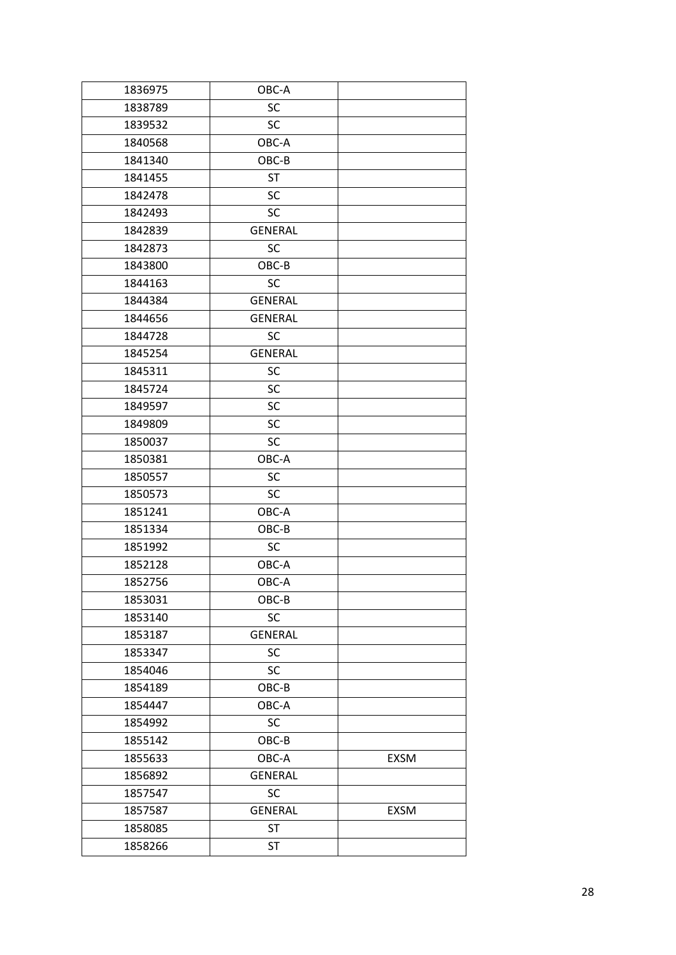| 1836975 | OBC-A          |             |
|---------|----------------|-------------|
| 1838789 | SC             |             |
| 1839532 | <b>SC</b>      |             |
| 1840568 | OBC-A          |             |
| 1841340 | OBC-B          |             |
| 1841455 | <b>ST</b>      |             |
| 1842478 | SC             |             |
| 1842493 | SC             |             |
| 1842839 | <b>GENERAL</b> |             |
| 1842873 | SC             |             |
| 1843800 | OBC-B          |             |
| 1844163 | <b>SC</b>      |             |
| 1844384 | <b>GENERAL</b> |             |
| 1844656 | <b>GENERAL</b> |             |
| 1844728 | <b>SC</b>      |             |
| 1845254 | <b>GENERAL</b> |             |
| 1845311 | SC             |             |
| 1845724 | SC             |             |
| 1849597 | SC             |             |
| 1849809 | SC             |             |
| 1850037 | SC             |             |
| 1850381 | OBC-A          |             |
| 1850557 | SC             |             |
| 1850573 | SC             |             |
| 1851241 | OBC-A          |             |
| 1851334 | OBC-B          |             |
| 1851992 | SC             |             |
| 1852128 | OBC-A          |             |
| 1852756 | OBC-A          |             |
| 1853031 | OBC-B          |             |
| 1853140 | SC             |             |
| 1853187 | <b>GENERAL</b> |             |
| 1853347 | <b>SC</b>      |             |
| 1854046 | <b>SC</b>      |             |
| 1854189 | OBC-B          |             |
| 1854447 | OBC-A          |             |
| 1854992 | <b>SC</b>      |             |
| 1855142 | OBC-B          |             |
| 1855633 | OBC-A          | EXSM        |
| 1856892 | <b>GENERAL</b> |             |
| 1857547 | SC             |             |
| 1857587 | <b>GENERAL</b> | <b>EXSM</b> |
| 1858085 | <b>ST</b>      |             |
| 1858266 | <b>ST</b>      |             |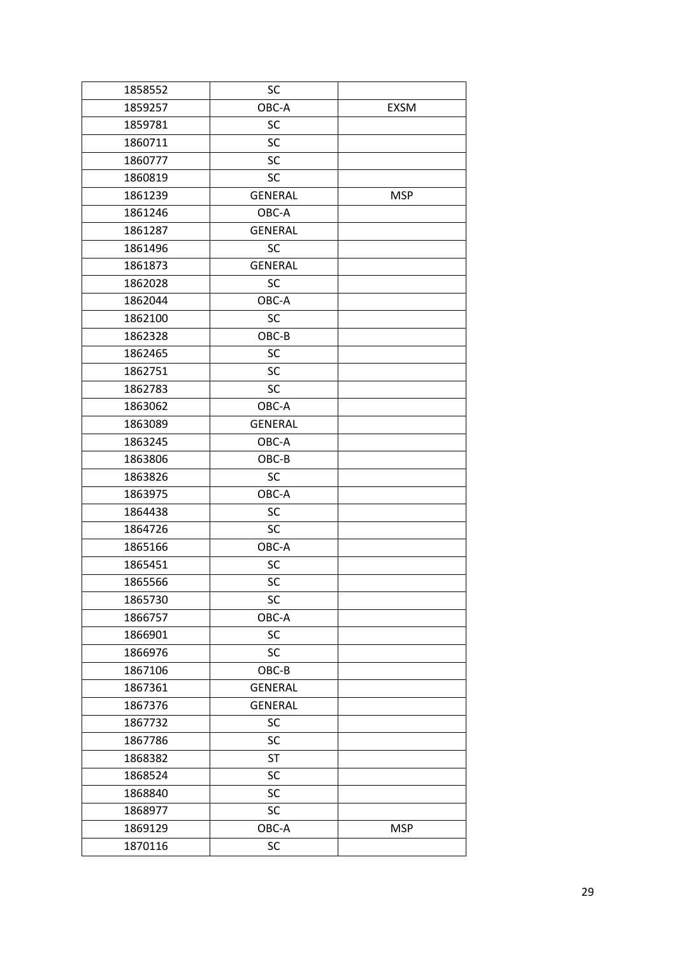| 1858552 | SC             |             |
|---------|----------------|-------------|
| 1859257 | OBC-A          | <b>EXSM</b> |
| 1859781 | SC             |             |
| 1860711 | SC             |             |
| 1860777 | SC             |             |
| 1860819 | <b>SC</b>      |             |
| 1861239 | <b>GENERAL</b> | <b>MSP</b>  |
| 1861246 | OBC-A          |             |
| 1861287 | <b>GENERAL</b> |             |
| 1861496 | <b>SC</b>      |             |
| 1861873 | <b>GENERAL</b> |             |
| 1862028 | <b>SC</b>      |             |
| 1862044 | OBC-A          |             |
| 1862100 | SC             |             |
| 1862328 | OBC-B          |             |
| 1862465 | SC             |             |
| 1862751 | SC             |             |
| 1862783 | SC             |             |
| 1863062 | OBC-A          |             |
| 1863089 | <b>GENERAL</b> |             |
| 1863245 | OBC-A          |             |
| 1863806 | OBC-B          |             |
| 1863826 | SC             |             |
| 1863975 | OBC-A          |             |
| 1864438 | SC             |             |
| 1864726 | SC             |             |
| 1865166 | OBC-A          |             |
| 1865451 | SC             |             |
| 1865566 | SC             |             |
| 1865730 | SC             |             |
| 1866757 | OBC-A          |             |
| 1866901 | SC             |             |
| 1866976 | SC             |             |
| 1867106 | OBC-B          |             |
| 1867361 | <b>GENERAL</b> |             |
| 1867376 | <b>GENERAL</b> |             |
| 1867732 | <b>SC</b>      |             |
| 1867786 | SC             |             |
| 1868382 | <b>ST</b>      |             |
| 1868524 | SC             |             |
| 1868840 | SC             |             |
| 1868977 | SC             |             |
| 1869129 | OBC-A          | <b>MSP</b>  |
| 1870116 | SC             |             |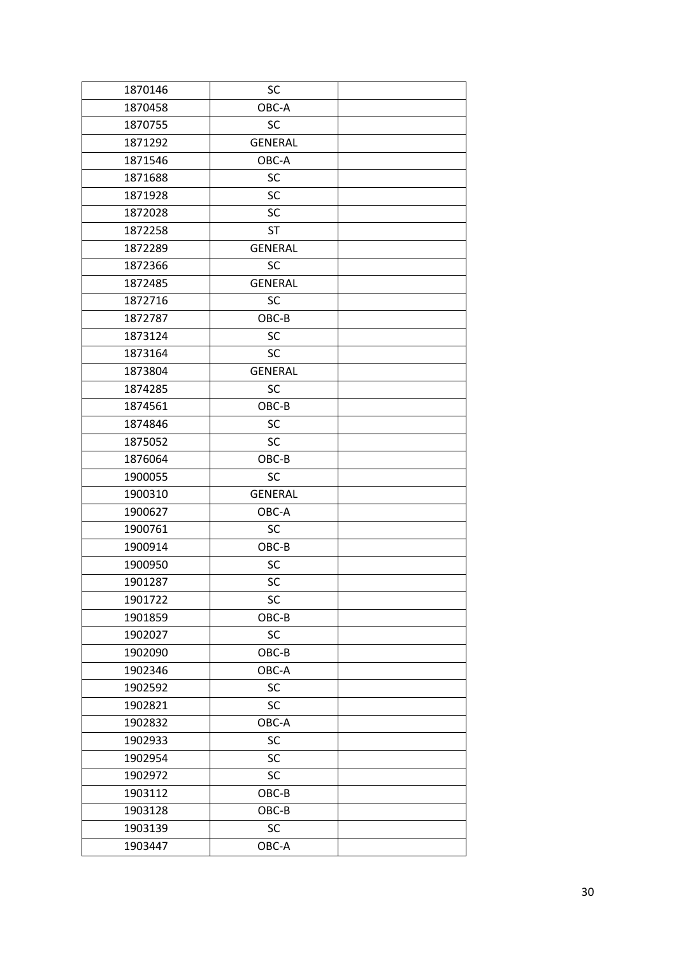| 1870146 | SC             |  |
|---------|----------------|--|
| 1870458 | OBC-A          |  |
| 1870755 | <b>SC</b>      |  |
| 1871292 | <b>GENERAL</b> |  |
| 1871546 | OBC-A          |  |
| 1871688 | SC             |  |
| 1871928 | SC             |  |
| 1872028 | <b>SC</b>      |  |
| 1872258 | <b>ST</b>      |  |
| 1872289 | <b>GENERAL</b> |  |
| 1872366 | <b>SC</b>      |  |
| 1872485 | <b>GENERAL</b> |  |
| 1872716 | SC             |  |
| 1872787 | OBC-B          |  |
| 1873124 | <b>SC</b>      |  |
| 1873164 | <b>SC</b>      |  |
| 1873804 | <b>GENERAL</b> |  |
| 1874285 | <b>SC</b>      |  |
| 1874561 | OBC-B          |  |
| 1874846 | <b>SC</b>      |  |
| 1875052 | <b>SC</b>      |  |
| 1876064 | OBC-B          |  |
| 1900055 | <b>SC</b>      |  |
| 1900310 | <b>GENERAL</b> |  |
| 1900627 | OBC-A          |  |
| 1900761 | SC             |  |
| 1900914 | OBC-B          |  |
| 1900950 | SC             |  |
| 1901287 | SC             |  |
| 1901722 | SC             |  |
| 1901859 | OBC-B          |  |
| 1902027 | SC             |  |
| 1902090 | OBC-B          |  |
| 1902346 | OBC-A          |  |
| 1902592 | SC             |  |
| 1902821 | SC             |  |
| 1902832 | OBC-A          |  |
| 1902933 | SC             |  |
| 1902954 | SC             |  |
| 1902972 | SC             |  |
| 1903112 | $OBC-B$        |  |
| 1903128 | OBC-B          |  |
| 1903139 | SC             |  |
| 1903447 | OBC-A          |  |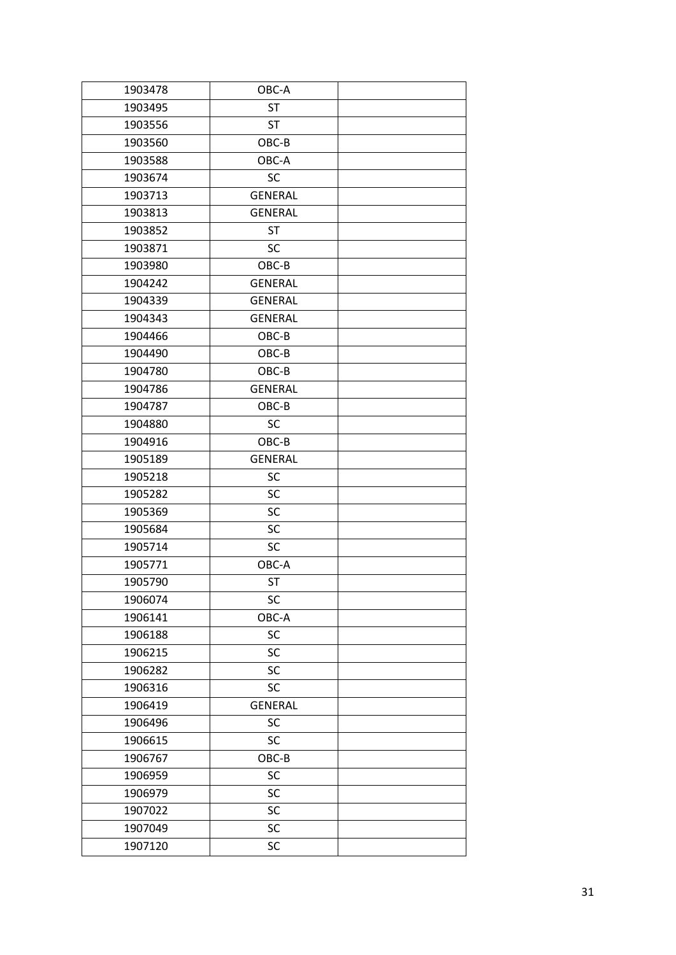| 1903478 | OBC-A          |  |
|---------|----------------|--|
| 1903495 | <b>ST</b>      |  |
| 1903556 | <b>ST</b>      |  |
| 1903560 | OBC-B          |  |
| 1903588 | OBC-A          |  |
| 1903674 | SC             |  |
| 1903713 | <b>GENERAL</b> |  |
| 1903813 | <b>GENERAL</b> |  |
| 1903852 | <b>ST</b>      |  |
| 1903871 | <b>SC</b>      |  |
| 1903980 | OBC-B          |  |
| 1904242 | <b>GENERAL</b> |  |
| 1904339 | <b>GENERAL</b> |  |
| 1904343 | <b>GENERAL</b> |  |
| 1904466 | OBC-B          |  |
| 1904490 | OBC-B          |  |
| 1904780 | OBC-B          |  |
| 1904786 | <b>GENERAL</b> |  |
| 1904787 | OBC-B          |  |
| 1904880 | <b>SC</b>      |  |
| 1904916 | OBC-B          |  |
| 1905189 | <b>GENERAL</b> |  |
| 1905218 | SC             |  |
| 1905282 | SC             |  |
| 1905369 | SC             |  |
| 1905684 | SC             |  |
| 1905714 | SC             |  |
| 1905771 | OBC-A          |  |
| 1905790 | <b>ST</b>      |  |
| 1906074 | SC             |  |
| 1906141 | OBC-A          |  |
| 1906188 | SC             |  |
| 1906215 | SC             |  |
| 1906282 | SC             |  |
| 1906316 | SC             |  |
| 1906419 | <b>GENERAL</b> |  |
| 1906496 | SC             |  |
| 1906615 | SC             |  |
| 1906767 | OBC-B          |  |
| 1906959 | SC             |  |
| 1906979 | SC             |  |
| 1907022 | SC             |  |
| 1907049 | SC             |  |
| 1907120 | SC             |  |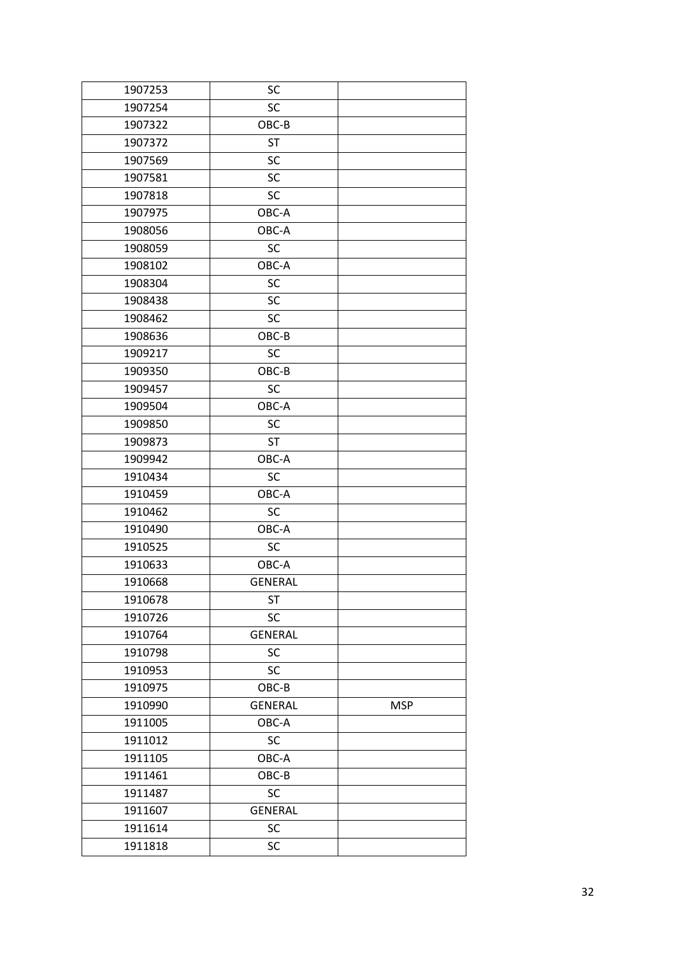| 1907253 | SC             |            |
|---------|----------------|------------|
| 1907254 | <b>SC</b>      |            |
| 1907322 | OBC-B          |            |
| 1907372 | <b>ST</b>      |            |
| 1907569 | <b>SC</b>      |            |
| 1907581 | SC             |            |
| 1907818 | SC             |            |
| 1907975 | OBC-A          |            |
| 1908056 | OBC-A          |            |
| 1908059 | <b>SC</b>      |            |
| 1908102 | OBC-A          |            |
| 1908304 | SC             |            |
| 1908438 | <b>SC</b>      |            |
| 1908462 | SC             |            |
| 1908636 | OBC-B          |            |
| 1909217 | <b>SC</b>      |            |
| 1909350 | OBC-B          |            |
| 1909457 | <b>SC</b>      |            |
| 1909504 | OBC-A          |            |
| 1909850 | SC             |            |
| 1909873 | <b>ST</b>      |            |
| 1909942 | OBC-A          |            |
| 1910434 | <b>SC</b>      |            |
| 1910459 | OBC-A          |            |
| 1910462 | <b>SC</b>      |            |
| 1910490 | OBC-A          |            |
| 1910525 | <b>SC</b>      |            |
| 1910633 | OBC-A          |            |
| 1910668 | <b>GENERAL</b> |            |
| 1910678 | ST             |            |
| 1910726 | SC             |            |
| 1910764 | <b>GENERAL</b> |            |
| 1910798 | SC             |            |
| 1910953 | <b>SC</b>      |            |
| 1910975 | OBC-B          |            |
| 1910990 | <b>GENERAL</b> | <b>MSP</b> |
| 1911005 | OBC-A          |            |
| 1911012 | SC             |            |
| 1911105 | OBC-A          |            |
| 1911461 | OBC-B          |            |
| 1911487 | SC             |            |
| 1911607 | <b>GENERAL</b> |            |
| 1911614 | SC             |            |
| 1911818 | SC             |            |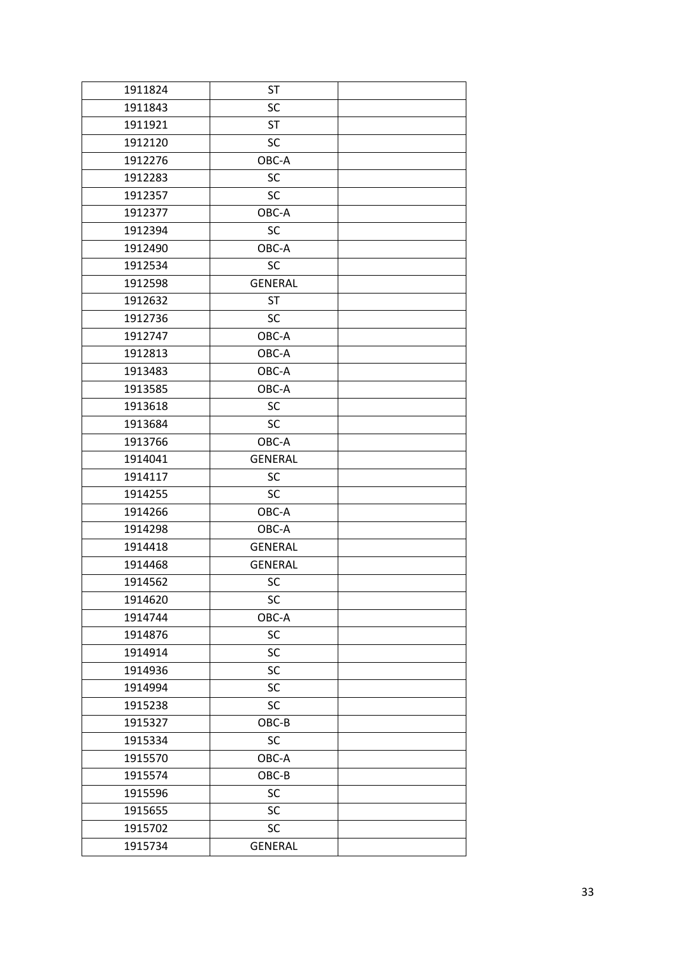| 1911824 | <b>ST</b>      |  |
|---------|----------------|--|
| 1911843 | <b>SC</b>      |  |
| 1911921 | <b>ST</b>      |  |
| 1912120 | <b>SC</b>      |  |
| 1912276 | OBC-A          |  |
| 1912283 | SC             |  |
| 1912357 | <b>SC</b>      |  |
| 1912377 | OBC-A          |  |
| 1912394 | <b>SC</b>      |  |
| 1912490 | OBC-A          |  |
| 1912534 | <b>SC</b>      |  |
| 1912598 | <b>GENERAL</b> |  |
| 1912632 | <b>ST</b>      |  |
| 1912736 | <b>SC</b>      |  |
| 1912747 | OBC-A          |  |
| 1912813 | OBC-A          |  |
| 1913483 | OBC-A          |  |
| 1913585 | OBC-A          |  |
| 1913618 | <b>SC</b>      |  |
| 1913684 | <b>SC</b>      |  |
| 1913766 | OBC-A          |  |
| 1914041 | <b>GENERAL</b> |  |
| 1914117 | <b>SC</b>      |  |
| 1914255 | <b>SC</b>      |  |
| 1914266 | OBC-A          |  |
| 1914298 | OBC-A          |  |
| 1914418 | <b>GENERAL</b> |  |
| 1914468 | <b>GENERAL</b> |  |
| 1914562 | SC             |  |
| 1914620 | SC             |  |
| 1914744 | OBC-A          |  |
| 1914876 | SC             |  |
| 1914914 | SC             |  |
| 1914936 | <b>SC</b>      |  |
| 1914994 | SC             |  |
| 1915238 | SC             |  |
| 1915327 | OBC-B          |  |
| 1915334 | SC             |  |
| 1915570 | OBC-A          |  |
| 1915574 | OBC-B          |  |
| 1915596 | SC             |  |
| 1915655 | <b>SC</b>      |  |
| 1915702 | SC             |  |
| 1915734 | <b>GENERAL</b> |  |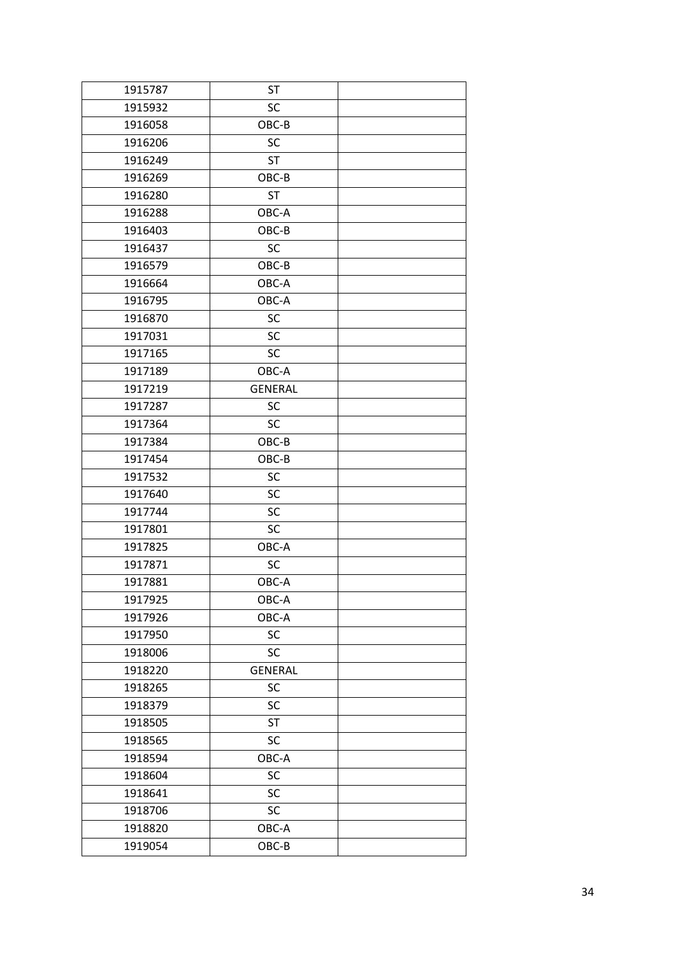| 1915787 | <b>ST</b>      |  |
|---------|----------------|--|
| 1915932 | <b>SC</b>      |  |
| 1916058 | OBC-B          |  |
| 1916206 | <b>SC</b>      |  |
| 1916249 | <b>ST</b>      |  |
| 1916269 | OBC-B          |  |
| 1916280 | <b>ST</b>      |  |
| 1916288 | OBC-A          |  |
| 1916403 | OBC-B          |  |
| 1916437 | <b>SC</b>      |  |
| 1916579 | OBC-B          |  |
| 1916664 | OBC-A          |  |
| 1916795 | OBC-A          |  |
| 1916870 | SC             |  |
| 1917031 | <b>SC</b>      |  |
| 1917165 | <b>SC</b>      |  |
| 1917189 | OBC-A          |  |
| 1917219 | <b>GENERAL</b> |  |
| 1917287 | <b>SC</b>      |  |
| 1917364 | <b>SC</b>      |  |
| 1917384 | OBC-B          |  |
| 1917454 | OBC-B          |  |
| 1917532 | SC             |  |
| 1917640 | SC             |  |
| 1917744 | SC             |  |
| 1917801 | <b>SC</b>      |  |
| 1917825 | OBC-A          |  |
| 1917871 | <b>SC</b>      |  |
| 1917881 | OBC-A          |  |
| 1917925 | OBC-A          |  |
| 1917926 | OBC-A          |  |
| 1917950 | SC             |  |
| 1918006 | SC             |  |
| 1918220 | <b>GENERAL</b> |  |
| 1918265 | SC             |  |
| 1918379 | SC             |  |
| 1918505 | ST             |  |
| 1918565 | SC             |  |
| 1918594 | OBC-A          |  |
| 1918604 | <b>SC</b>      |  |
| 1918641 | SC             |  |
| 1918706 | SC             |  |
| 1918820 | OBC-A          |  |
| 1919054 | OBC-B          |  |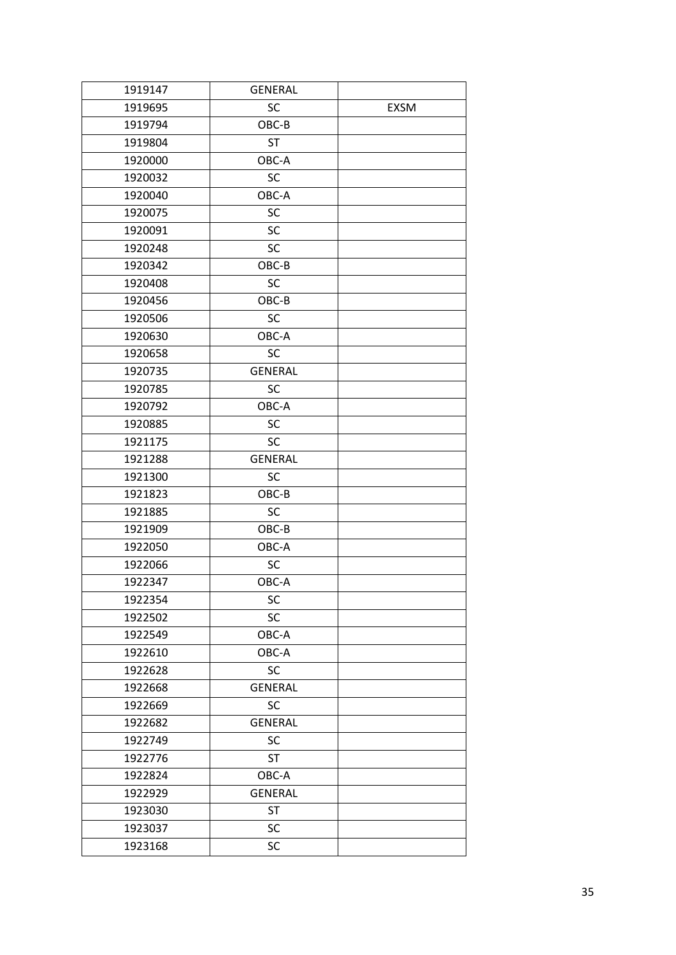| 1919147 | <b>GENERAL</b> |             |
|---------|----------------|-------------|
| 1919695 | SC             | <b>EXSM</b> |
| 1919794 | OBC-B          |             |
| 1919804 | <b>ST</b>      |             |
| 1920000 | OBC-A          |             |
| 1920032 | SC             |             |
| 1920040 | OBC-A          |             |
| 1920075 | SC             |             |
| 1920091 | SC             |             |
| 1920248 | <b>SC</b>      |             |
| 1920342 | OBC-B          |             |
| 1920408 | <b>SC</b>      |             |
| 1920456 | OBC-B          |             |
| 1920506 | <b>SC</b>      |             |
| 1920630 | OBC-A          |             |
| 1920658 | <b>SC</b>      |             |
| 1920735 | <b>GENERAL</b> |             |
| 1920785 | <b>SC</b>      |             |
| 1920792 | OBC-A          |             |
| 1920885 | <b>SC</b>      |             |
| 1921175 | <b>SC</b>      |             |
| 1921288 | <b>GENERAL</b> |             |
| 1921300 | SC             |             |
| 1921823 | OBC-B          |             |
| 1921885 | SC             |             |
| 1921909 | OBC-B          |             |
| 1922050 | OBC-A          |             |
| 1922066 | SC             |             |
| 1922347 | OBC-A          |             |
| 1922354 | SC             |             |
| 1922502 | SC             |             |
| 1922549 | OBC-A          |             |
| 1922610 | OBC-A          |             |
| 1922628 | <b>SC</b>      |             |
| 1922668 | <b>GENERAL</b> |             |
| 1922669 | SC             |             |
| 1922682 | <b>GENERAL</b> |             |
| 1922749 | SC             |             |
| 1922776 | <b>ST</b>      |             |
| 1922824 | OBC-A          |             |
| 1922929 | <b>GENERAL</b> |             |
| 1923030 | <b>ST</b>      |             |
| 1923037 | SC             |             |
| 1923168 | SC             |             |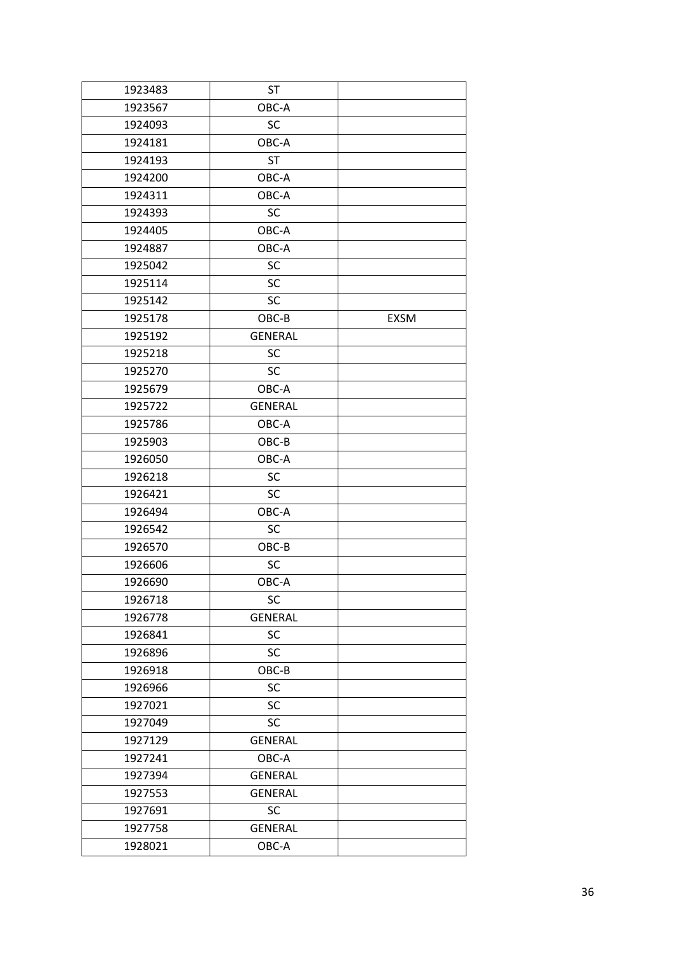| 1923483 | <b>ST</b>      |             |
|---------|----------------|-------------|
| 1923567 | OBC-A          |             |
| 1924093 | SC             |             |
| 1924181 | OBC-A          |             |
| 1924193 | <b>ST</b>      |             |
| 1924200 | OBC-A          |             |
| 1924311 | OBC-A          |             |
| 1924393 | SC             |             |
| 1924405 | OBC-A          |             |
| 1924887 | OBC-A          |             |
| 1925042 | <b>SC</b>      |             |
| 1925114 | SC             |             |
| 1925142 | SC             |             |
| 1925178 | OBC-B          | <b>EXSM</b> |
| 1925192 | <b>GENERAL</b> |             |
| 1925218 | SC             |             |
| 1925270 | <b>SC</b>      |             |
| 1925679 | OBC-A          |             |
| 1925722 | <b>GENERAL</b> |             |
| 1925786 | OBC-A          |             |
| 1925903 | OBC-B          |             |
| 1926050 | OBC-A          |             |
| 1926218 | SC             |             |
| 1926421 | SC             |             |
| 1926494 | OBC-A          |             |
| 1926542 | SC             |             |
| 1926570 | OBC-B          |             |
| 1926606 | <b>SC</b>      |             |
| 1926690 | OBC-A          |             |
| 1926718 | SC             |             |
| 1926778 | <b>GENERAL</b> |             |
| 1926841 | SC             |             |
| 1926896 | SC             |             |
| 1926918 | OBC-B          |             |
| 1926966 | SC             |             |
| 1927021 | SC             |             |
| 1927049 | SC             |             |
| 1927129 | <b>GENERAL</b> |             |
| 1927241 | OBC-A          |             |
| 1927394 | <b>GENERAL</b> |             |
| 1927553 | <b>GENERAL</b> |             |
| 1927691 | SC             |             |
| 1927758 | <b>GENERAL</b> |             |
| 1928021 | OBC-A          |             |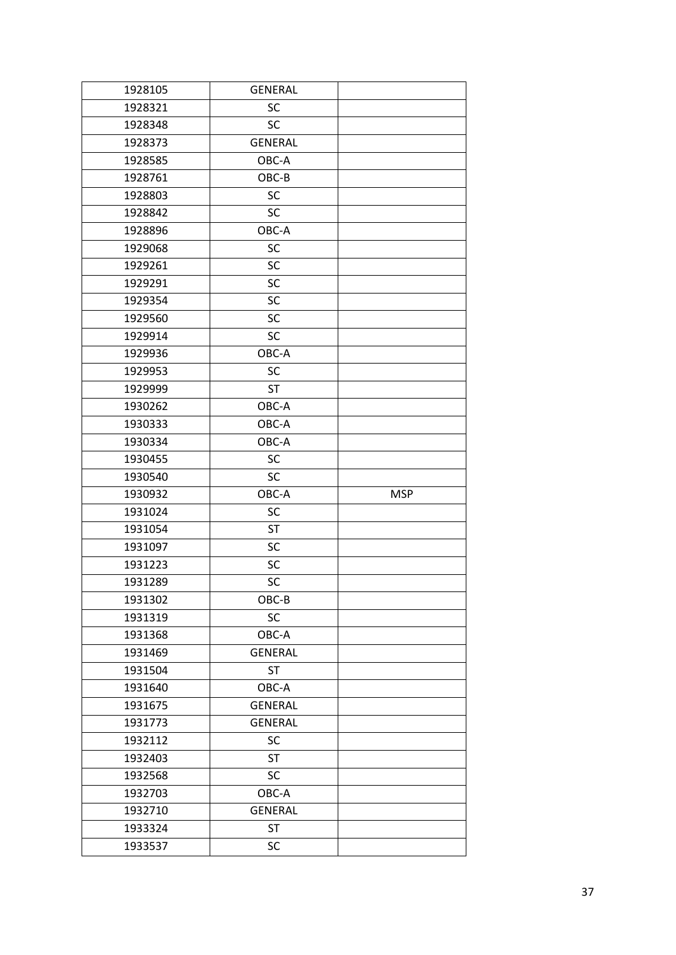| 1928105 | <b>GENERAL</b> |            |
|---------|----------------|------------|
| 1928321 | <b>SC</b>      |            |
| 1928348 | <b>SC</b>      |            |
| 1928373 | <b>GENERAL</b> |            |
| 1928585 | OBC-A          |            |
| 1928761 | OBC-B          |            |
| 1928803 | <b>SC</b>      |            |
| 1928842 | <b>SC</b>      |            |
| 1928896 | OBC-A          |            |
| 1929068 | SC             |            |
| 1929261 | SC             |            |
| 1929291 | SC             |            |
| 1929354 | SC             |            |
| 1929560 | SC             |            |
| 1929914 | <b>SC</b>      |            |
| 1929936 | OBC-A          |            |
| 1929953 | <b>SC</b>      |            |
| 1929999 | <b>ST</b>      |            |
| 1930262 | OBC-A          |            |
| 1930333 | OBC-A          |            |
| 1930334 | OBC-A          |            |
| 1930455 | <b>SC</b>      |            |
| 1930540 | <b>SC</b>      |            |
| 1930932 | OBC-A          | <b>MSP</b> |
| 1931024 | SC             |            |
| 1931054 | <b>ST</b>      |            |
| 1931097 | SC             |            |
| 1931223 | SC             |            |
| 1931289 | SC             |            |
| 1931302 | OBC-B          |            |
| 1931319 | SC             |            |
| 1931368 | OBC-A          |            |
| 1931469 | <b>GENERAL</b> |            |
| 1931504 | <b>ST</b>      |            |
| 1931640 | OBC-A          |            |
| 1931675 | <b>GENERAL</b> |            |
| 1931773 | <b>GENERAL</b> |            |
| 1932112 | SC             |            |
| 1932403 | <b>ST</b>      |            |
| 1932568 | <b>SC</b>      |            |
| 1932703 | OBC-A          |            |
| 1932710 | <b>GENERAL</b> |            |
| 1933324 | <b>ST</b>      |            |
| 1933537 | SC             |            |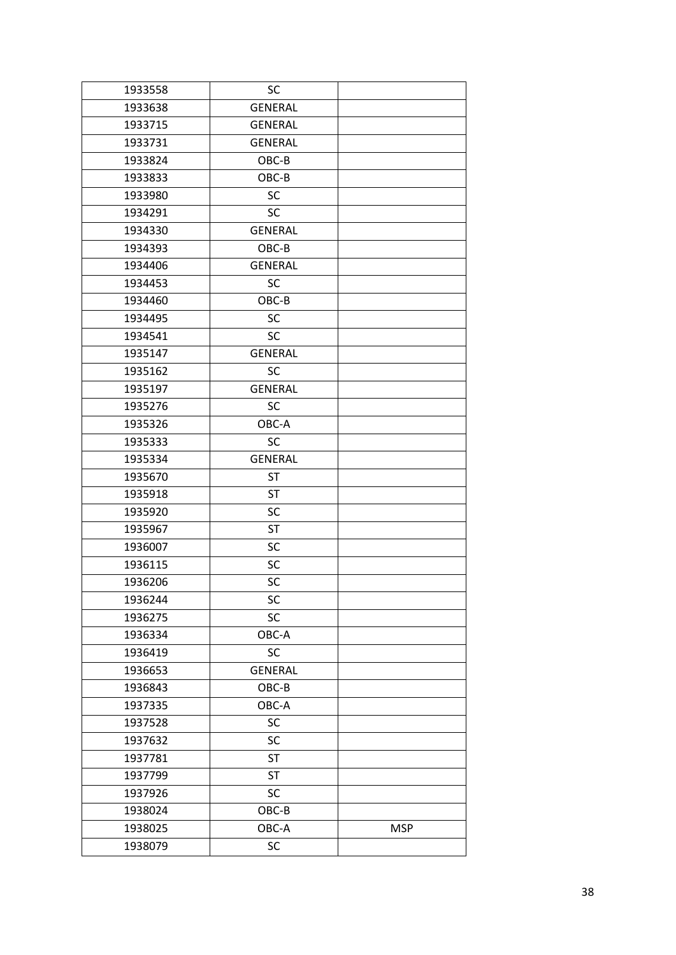| 1933558 | SC             |            |
|---------|----------------|------------|
| 1933638 | <b>GENERAL</b> |            |
| 1933715 | <b>GENERAL</b> |            |
| 1933731 | <b>GENERAL</b> |            |
| 1933824 | OBC-B          |            |
| 1933833 | OBC-B          |            |
| 1933980 | SC             |            |
| 1934291 | SC             |            |
| 1934330 | <b>GENERAL</b> |            |
| 1934393 | OBC-B          |            |
| 1934406 | <b>GENERAL</b> |            |
| 1934453 | SC             |            |
| 1934460 | OBC-B          |            |
| 1934495 | SC             |            |
| 1934541 | <b>SC</b>      |            |
| 1935147 | <b>GENERAL</b> |            |
| 1935162 | <b>SC</b>      |            |
| 1935197 | <b>GENERAL</b> |            |
| 1935276 | SC             |            |
| 1935326 | OBC-A          |            |
| 1935333 | SC             |            |
| 1935334 | <b>GENERAL</b> |            |
| 1935670 | <b>ST</b>      |            |
| 1935918 | <b>ST</b>      |            |
| 1935920 | SC             |            |
| 1935967 | <b>ST</b>      |            |
| 1936007 | SC             |            |
| 1936115 | SC             |            |
| 1936206 | SC             |            |
| 1936244 | SC             |            |
| 1936275 | SC             |            |
| 1936334 | OBC-A          |            |
| 1936419 | <b>SC</b>      |            |
| 1936653 | <b>GENERAL</b> |            |
| 1936843 | OBC-B          |            |
| 1937335 | OBC-A          |            |
| 1937528 | SC             |            |
| 1937632 | SC             |            |
| 1937781 | <b>ST</b>      |            |
| 1937799 | <b>ST</b>      |            |
| 1937926 | SC             |            |
| 1938024 | OBC-B          |            |
| 1938025 | OBC-A          | <b>MSP</b> |
| 1938079 | SC             |            |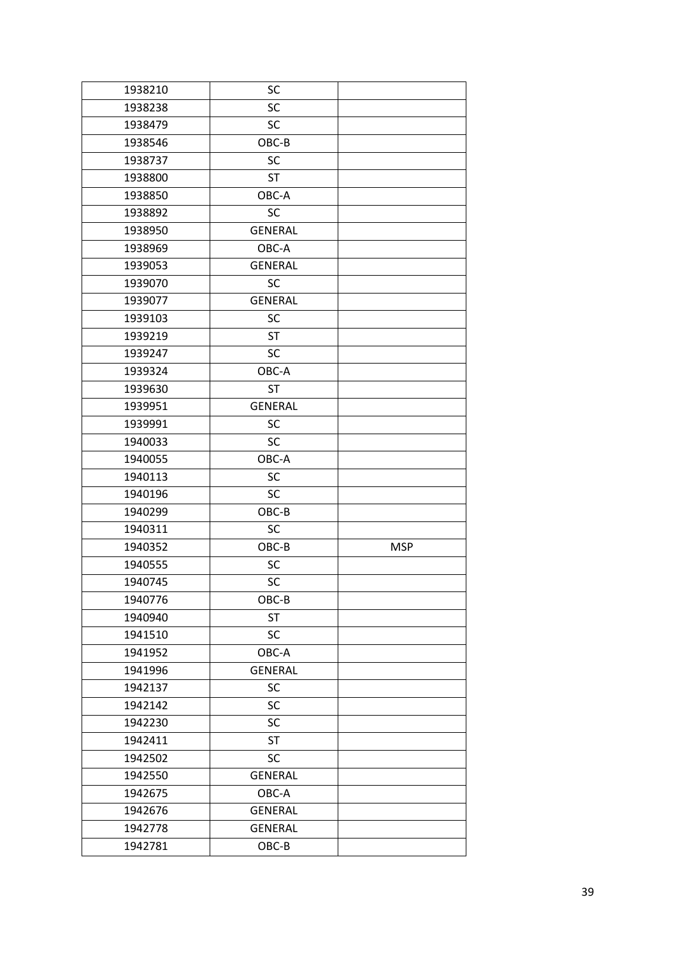| 1938210 | SC             |            |
|---------|----------------|------------|
| 1938238 | SC             |            |
| 1938479 | <b>SC</b>      |            |
| 1938546 | OBC-B          |            |
| 1938737 | SC             |            |
| 1938800 | <b>ST</b>      |            |
| 1938850 | OBC-A          |            |
| 1938892 | SC             |            |
| 1938950 | <b>GENERAL</b> |            |
| 1938969 | OBC-A          |            |
| 1939053 | <b>GENERAL</b> |            |
| 1939070 | <b>SC</b>      |            |
| 1939077 | <b>GENERAL</b> |            |
| 1939103 | <b>SC</b>      |            |
| 1939219 | <b>ST</b>      |            |
| 1939247 | SC             |            |
| 1939324 | OBC-A          |            |
| 1939630 | ST             |            |
| 1939951 | <b>GENERAL</b> |            |
| 1939991 | <b>SC</b>      |            |
| 1940033 | <b>SC</b>      |            |
| 1940055 | OBC-A          |            |
| 1940113 | SC             |            |
| 1940196 | <b>SC</b>      |            |
| 1940299 | OBC-B          |            |
| 1940311 | SC             |            |
| 1940352 | OBC-B          | <b>MSP</b> |
| 1940555 | SC             |            |
| 1940745 | SC             |            |
| 1940776 | OBC-B          |            |
| 1940940 | <b>ST</b>      |            |
| 1941510 | <b>SC</b>      |            |
| 1941952 | OBC-A          |            |
| 1941996 | <b>GENERAL</b> |            |
| 1942137 | SC             |            |
| 1942142 | SC             |            |
| 1942230 | SC             |            |
| 1942411 | <b>ST</b>      |            |
| 1942502 | <b>SC</b>      |            |
| 1942550 | <b>GENERAL</b> |            |
| 1942675 | OBC-A          |            |
| 1942676 | <b>GENERAL</b> |            |
| 1942778 | <b>GENERAL</b> |            |
| 1942781 | OBC-B          |            |
|         |                |            |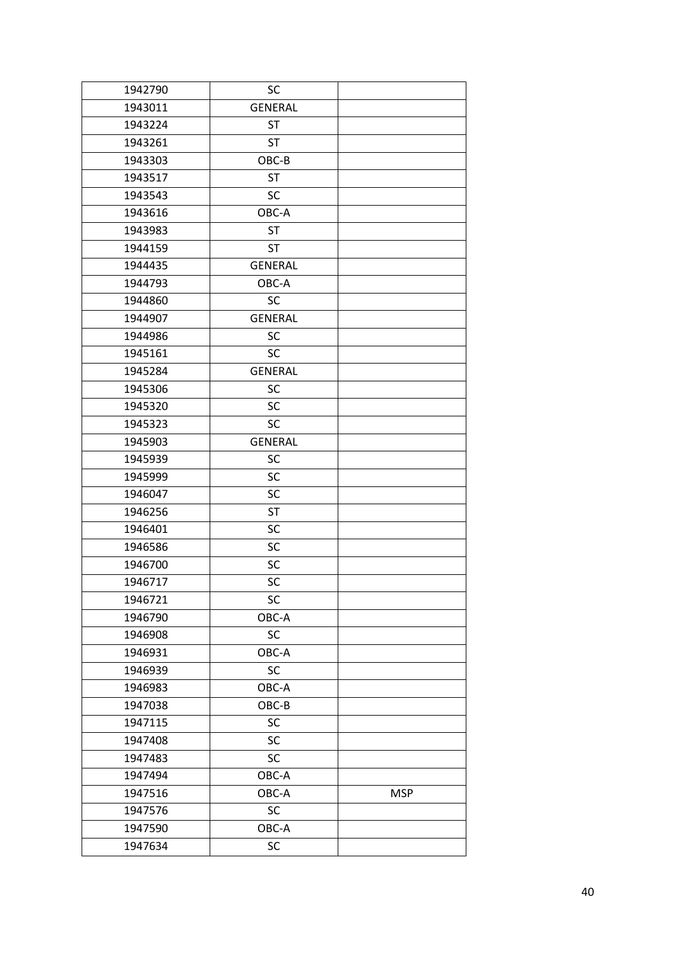| 1942790 | SC             |            |
|---------|----------------|------------|
| 1943011 | <b>GENERAL</b> |            |
| 1943224 | <b>ST</b>      |            |
| 1943261 | <b>ST</b>      |            |
| 1943303 | OBC-B          |            |
| 1943517 | <b>ST</b>      |            |
| 1943543 | SC             |            |
| 1943616 | OBC-A          |            |
| 1943983 | <b>ST</b>      |            |
| 1944159 | <b>ST</b>      |            |
| 1944435 | <b>GENERAL</b> |            |
| 1944793 | OBC-A          |            |
| 1944860 | <b>SC</b>      |            |
| 1944907 | <b>GENERAL</b> |            |
| 1944986 | SC             |            |
| 1945161 | <b>SC</b>      |            |
| 1945284 | <b>GENERAL</b> |            |
| 1945306 | <b>SC</b>      |            |
| 1945320 | <b>SC</b>      |            |
| 1945323 | <b>SC</b>      |            |
| 1945903 | <b>GENERAL</b> |            |
| 1945939 | SC             |            |
| 1945999 | SC             |            |
| 1946047 | SC             |            |
| 1946256 | <b>ST</b>      |            |
| 1946401 | SC             |            |
| 1946586 | SC             |            |
| 1946700 | SC             |            |
| 1946717 | SC             |            |
| 1946721 | SC             |            |
| 1946790 | OBC-A          |            |
| 1946908 | SC             |            |
| 1946931 | OBC-A          |            |
| 1946939 | SC             |            |
| 1946983 | OBC-A          |            |
| 1947038 | OBC-B          |            |
| 1947115 | SC             |            |
| 1947408 | SC             |            |
| 1947483 | SC             |            |
| 1947494 | OBC-A          |            |
| 1947516 | OBC-A          | <b>MSP</b> |
| 1947576 | SC             |            |
| 1947590 | OBC-A          |            |
| 1947634 | SC             |            |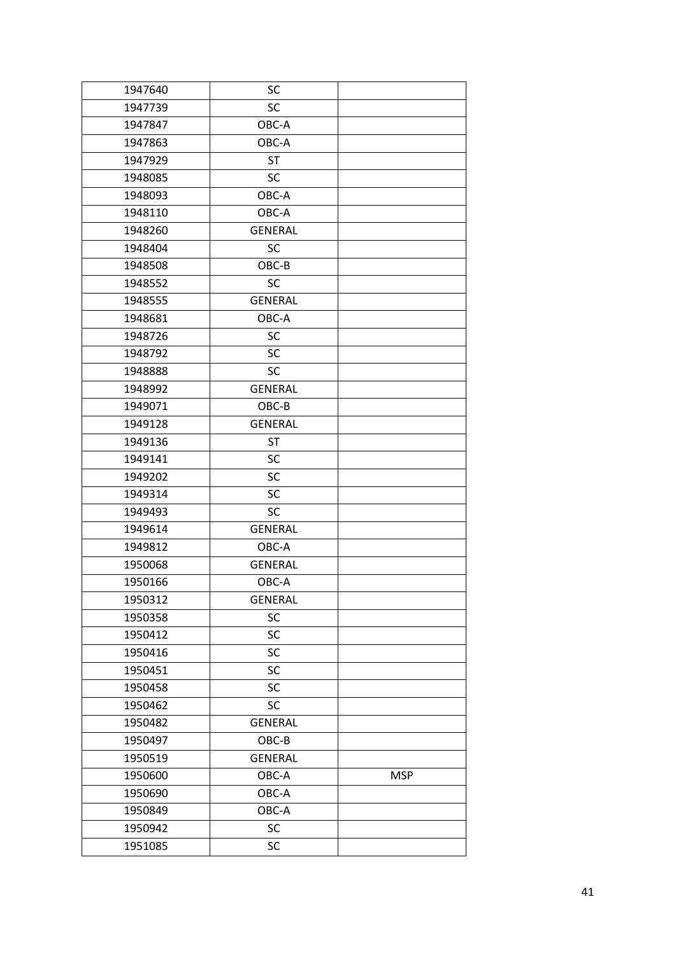| 1947640 | SC             |            |
|---------|----------------|------------|
| 1947739 | SC             |            |
| 1947847 | OBC-A          |            |
| 1947863 | OBC-A          |            |
| 1947929 | <b>ST</b>      |            |
| 1948085 | SC             |            |
| 1948093 | OBC-A          |            |
| 1948110 | OBC-A          |            |
| 1948260 | <b>GENERAL</b> |            |
| 1948404 | SC             |            |
| 1948508 | OBC-B          |            |
| 1948552 | <b>SC</b>      |            |
| 1948555 | <b>GENERAL</b> |            |
| 1948681 | OBC-A          |            |
| 1948726 | <b>SC</b>      |            |
| 1948792 | SC             |            |
| 1948888 | <b>SC</b>      |            |
| 1948992 | <b>GENERAL</b> |            |
| 1949071 | OBC-B          |            |
| 1949128 | <b>GENERAL</b> |            |
| 1949136 | <b>ST</b>      |            |
| 1949141 | SC             |            |
| 1949202 | SC             |            |
| 1949314 | SC             |            |
| 1949493 | <b>SC</b>      |            |
| 1949614 | <b>GENERAL</b> |            |
| 1949812 | OBC-A          |            |
| 1950068 | <b>GENERAL</b> |            |
| 1950166 | OBC-A          |            |
| 1950312 | <b>GENERAL</b> |            |
| 1950358 | SC             |            |
| 1950412 | SC             |            |
| 1950416 | SC             |            |
| 1950451 | <b>SC</b>      |            |
| 1950458 | SC             |            |
| 1950462 | <b>SC</b>      |            |
| 1950482 | <b>GENERAL</b> |            |
| 1950497 | OBC-B          |            |
| 1950519 | <b>GENERAL</b> |            |
| 1950600 | OBC-A          | <b>MSP</b> |
| 1950690 | OBC-A          |            |
| 1950849 | OBC-A          |            |
| 1950942 | SC             |            |
| 1951085 | SC             |            |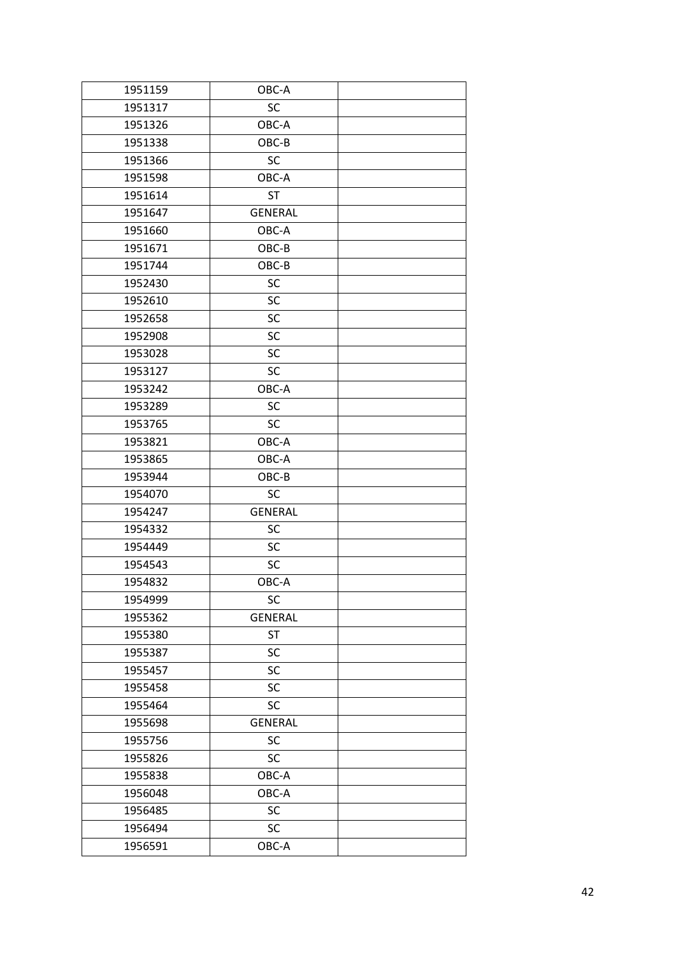| 1951159 | OBC-A          |  |
|---------|----------------|--|
| 1951317 | SC             |  |
| 1951326 | OBC-A          |  |
| 1951338 | OBC-B          |  |
| 1951366 | <b>SC</b>      |  |
| 1951598 | OBC-A          |  |
| 1951614 | <b>ST</b>      |  |
| 1951647 | <b>GENERAL</b> |  |
| 1951660 | OBC-A          |  |
| 1951671 | OBC-B          |  |
| 1951744 | OBC-B          |  |
| 1952430 | <b>SC</b>      |  |
| 1952610 | SC             |  |
| 1952658 | SC             |  |
| 1952908 | SC             |  |
| 1953028 | SC             |  |
| 1953127 | SC             |  |
| 1953242 | OBC-A          |  |
| 1953289 | <b>SC</b>      |  |
| 1953765 | <b>SC</b>      |  |
| 1953821 | OBC-A          |  |
| 1953865 | OBC-A          |  |
| 1953944 | OBC-B          |  |
| 1954070 | <b>SC</b>      |  |
| 1954247 | <b>GENERAL</b> |  |
| 1954332 | SC             |  |
| 1954449 | SC             |  |
| 1954543 | SC             |  |
| 1954832 | OBC-A          |  |
| 1954999 | SC             |  |
| 1955362 | <b>GENERAL</b> |  |
| 1955380 | <b>ST</b>      |  |
| 1955387 | SC             |  |
| 1955457 | <b>SC</b>      |  |
| 1955458 | SC             |  |
| 1955464 | <b>SC</b>      |  |
| 1955698 | <b>GENERAL</b> |  |
| 1955756 | SC             |  |
| 1955826 | <b>SC</b>      |  |
| 1955838 | OBC-A          |  |
| 1956048 | OBC-A          |  |
| 1956485 | SC             |  |
| 1956494 | <b>SC</b>      |  |
| 1956591 | OBC-A          |  |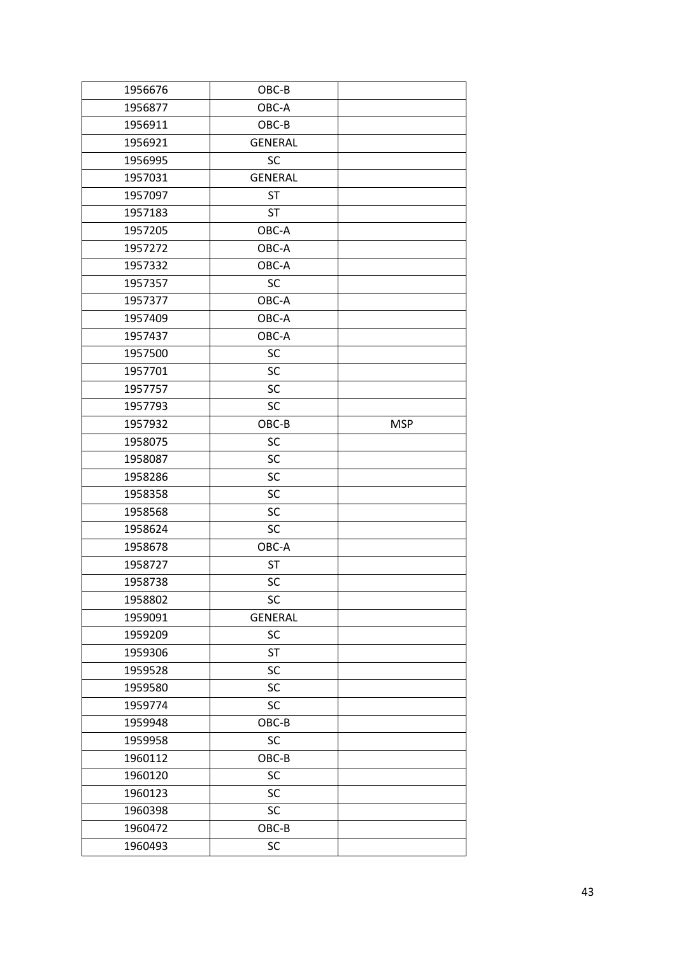| 1956676 | OBC-B          |            |
|---------|----------------|------------|
| 1956877 | OBC-A          |            |
| 1956911 | OBC-B          |            |
| 1956921 | <b>GENERAL</b> |            |
| 1956995 | <b>SC</b>      |            |
| 1957031 | <b>GENERAL</b> |            |
| 1957097 | <b>ST</b>      |            |
| 1957183 | <b>ST</b>      |            |
| 1957205 | OBC-A          |            |
| 1957272 | OBC-A          |            |
| 1957332 | OBC-A          |            |
| 1957357 | <b>SC</b>      |            |
| 1957377 | OBC-A          |            |
| 1957409 | OBC-A          |            |
| 1957437 | OBC-A          |            |
| 1957500 | SC             |            |
| 1957701 | SC             |            |
| 1957757 | SC             |            |
| 1957793 | SC             |            |
| 1957932 | OBC-B          | <b>MSP</b> |
| 1958075 | SC             |            |
| 1958087 | SC             |            |
| 1958286 | SC             |            |
| 1958358 | SC             |            |
| 1958568 | SC             |            |
| 1958624 | SC             |            |
| 1958678 | OBC-A          |            |
| 1958727 | <b>ST</b>      |            |
| 1958738 | SC             |            |
| 1958802 | SC             |            |
| 1959091 | <b>GENERAL</b> |            |
| 1959209 | SC             |            |
| 1959306 | <b>ST</b>      |            |
| 1959528 | SC             |            |
| 1959580 | SC             |            |
| 1959774 | SC             |            |
| 1959948 | OBC-B          |            |
| 1959958 | SC             |            |
| 1960112 | OBC-B          |            |
| 1960120 | SC             |            |
| 1960123 | SC             |            |
| 1960398 | SC             |            |
| 1960472 | OBC-B          |            |
| 1960493 | SC             |            |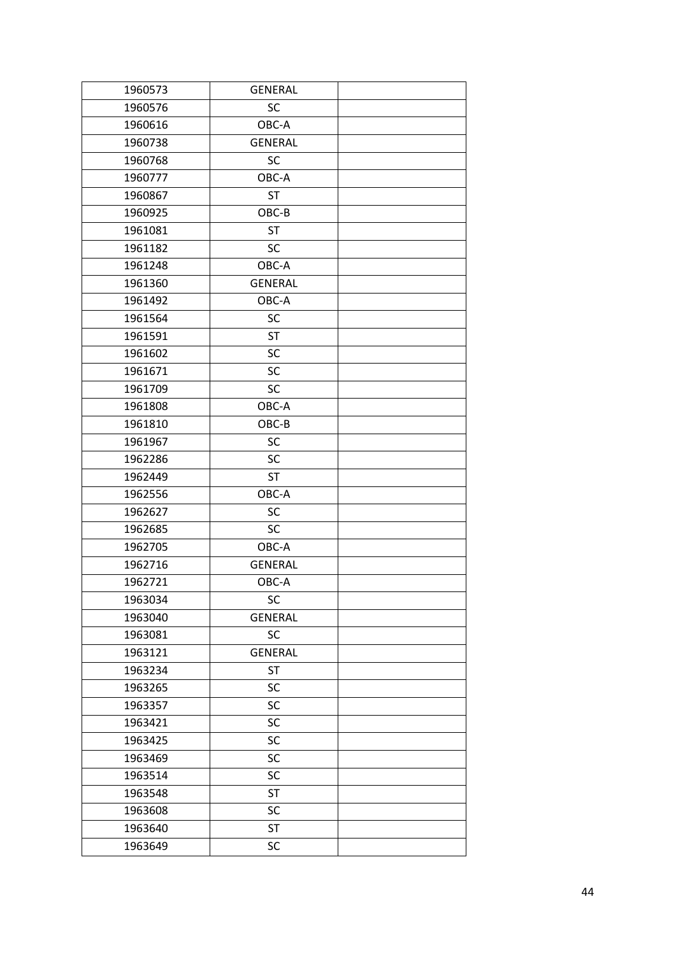| 1960573 | <b>GENERAL</b> |  |
|---------|----------------|--|
| 1960576 | SC             |  |
| 1960616 | OBC-A          |  |
| 1960738 | <b>GENERAL</b> |  |
| 1960768 | <b>SC</b>      |  |
| 1960777 | OBC-A          |  |
| 1960867 | <b>ST</b>      |  |
| 1960925 | OBC-B          |  |
| 1961081 | <b>ST</b>      |  |
| 1961182 | <b>SC</b>      |  |
| 1961248 | OBC-A          |  |
| 1961360 | <b>GENERAL</b> |  |
| 1961492 | OBC-A          |  |
| 1961564 | <b>SC</b>      |  |
| 1961591 | <b>ST</b>      |  |
| 1961602 | SC             |  |
| 1961671 | SC             |  |
| 1961709 | SC             |  |
| 1961808 | OBC-A          |  |
| 1961810 | OBC-B          |  |
| 1961967 | <b>SC</b>      |  |
| 1962286 | SC             |  |
| 1962449 | <b>ST</b>      |  |
| 1962556 | OBC-A          |  |
| 1962627 | SC             |  |
| 1962685 | SC             |  |
| 1962705 | OBC-A          |  |
| 1962716 | <b>GENERAL</b> |  |
| 1962721 | OBC-A          |  |
| 1963034 | SC             |  |
| 1963040 | <b>GENERAL</b> |  |
| 1963081 | SC             |  |
| 1963121 | <b>GENERAL</b> |  |
| 1963234 | <b>ST</b>      |  |
| 1963265 | SC             |  |
| 1963357 | SC             |  |
| 1963421 | SC             |  |
| 1963425 | SC             |  |
| 1963469 | SC             |  |
| 1963514 | SC             |  |
| 1963548 | <b>ST</b>      |  |
| 1963608 | SC             |  |
| 1963640 | <b>ST</b>      |  |
| 1963649 | SC             |  |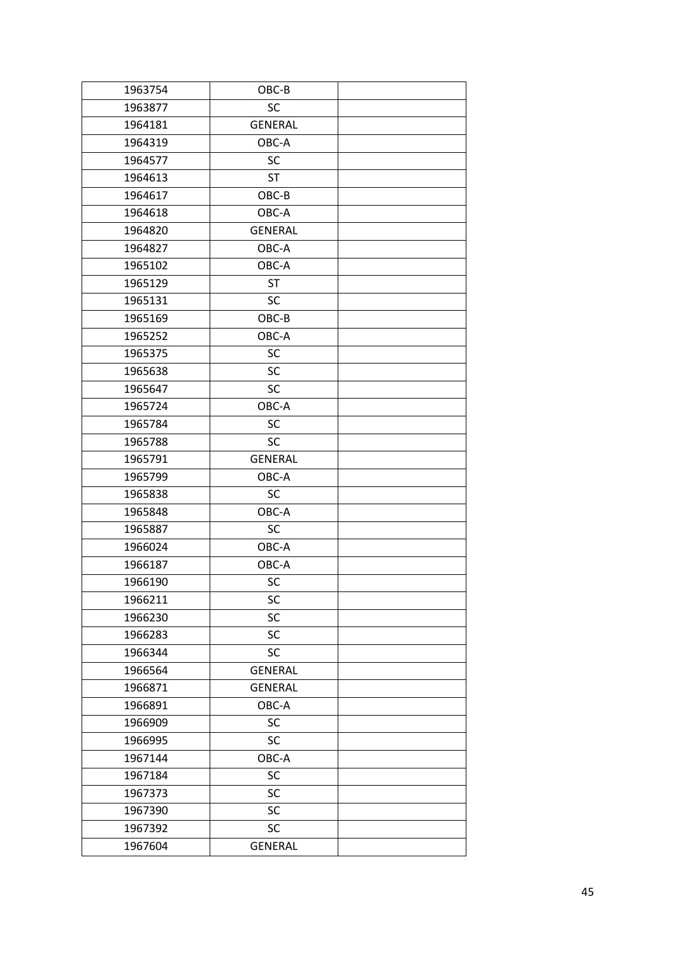| 1963754 | OBC-B          |  |
|---------|----------------|--|
| 1963877 | SC             |  |
| 1964181 | <b>GENERAL</b> |  |
| 1964319 | OBC-A          |  |
| 1964577 | <b>SC</b>      |  |
| 1964613 | <b>ST</b>      |  |
| 1964617 | OBC-B          |  |
| 1964618 | OBC-A          |  |
| 1964820 | <b>GENERAL</b> |  |
| 1964827 | OBC-A          |  |
| 1965102 | OBC-A          |  |
| 1965129 | <b>ST</b>      |  |
| 1965131 | SC             |  |
| 1965169 | OBC-B          |  |
| 1965252 | OBC-A          |  |
| 1965375 | SC             |  |
| 1965638 | SC             |  |
| 1965647 | <b>SC</b>      |  |
| 1965724 | OBC-A          |  |
| 1965784 | <b>SC</b>      |  |
| 1965788 | <b>SC</b>      |  |
| 1965791 | <b>GENERAL</b> |  |
| 1965799 | OBC-A          |  |
| 1965838 | SC             |  |
| 1965848 | OBC-A          |  |
| 1965887 | SC             |  |
| 1966024 | OBC-A          |  |
| 1966187 | OBC-A          |  |
| 1966190 | SC             |  |
| 1966211 | SC             |  |
| 1966230 | SC             |  |
| 1966283 | SC             |  |
| 1966344 | <b>SC</b>      |  |
| 1966564 | <b>GENERAL</b> |  |
| 1966871 | <b>GENERAL</b> |  |
| 1966891 | OBC-A          |  |
| 1966909 | SC             |  |
| 1966995 | SC             |  |
| 1967144 | OBC-A          |  |
| 1967184 | SC             |  |
| 1967373 | SC             |  |
| 1967390 | SC             |  |
| 1967392 | SC             |  |
| 1967604 | <b>GENERAL</b> |  |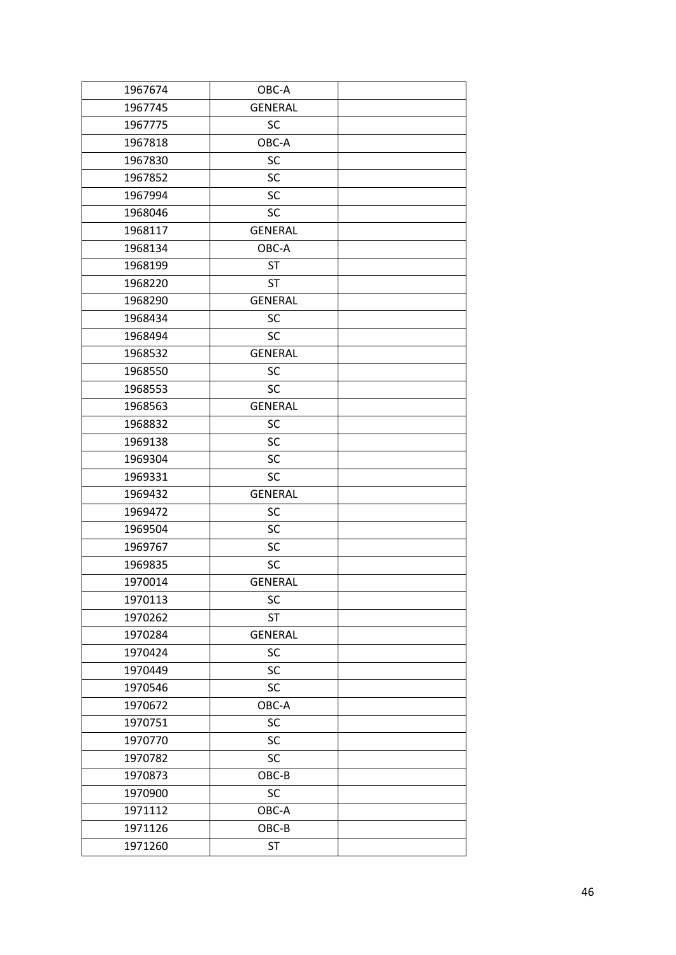| 1967674 | OBC-A          |  |
|---------|----------------|--|
| 1967745 | <b>GENERAL</b> |  |
| 1967775 | SC             |  |
| 1967818 | OBC-A          |  |
| 1967830 | SC             |  |
| 1967852 | SC             |  |
| 1967994 | SC             |  |
| 1968046 | <b>SC</b>      |  |
| 1968117 | <b>GENERAL</b> |  |
| 1968134 | OBC-A          |  |
| 1968199 | <b>ST</b>      |  |
| 1968220 | <b>ST</b>      |  |
| 1968290 | <b>GENERAL</b> |  |
| 1968434 | <b>SC</b>      |  |
| 1968494 | <b>SC</b>      |  |
| 1968532 | <b>GENERAL</b> |  |
| 1968550 | SC             |  |
| 1968553 | <b>SC</b>      |  |
| 1968563 | <b>GENERAL</b> |  |
| 1968832 | SC             |  |
| 1969138 | SC             |  |
| 1969304 | <b>SC</b>      |  |
| 1969331 | SC             |  |
| 1969432 | <b>GENERAL</b> |  |
| 1969472 | SC             |  |
| 1969504 | SC             |  |
| 1969767 | SC             |  |
| 1969835 | SC             |  |
| 1970014 | <b>GENERAL</b> |  |
| 1970113 | SC             |  |
| 1970262 | <b>ST</b>      |  |
| 1970284 | <b>GENERAL</b> |  |
| 1970424 | SC             |  |
| 1970449 | SC             |  |
| 1970546 | SC             |  |
| 1970672 | OBC-A          |  |
| 1970751 | SC             |  |
| 1970770 | SC             |  |
| 1970782 | SC             |  |
| 1970873 | OBC-B          |  |
| 1970900 | SC             |  |
| 1971112 | OBC-A          |  |
| 1971126 | OBC-B          |  |
| 1971260 | <b>ST</b>      |  |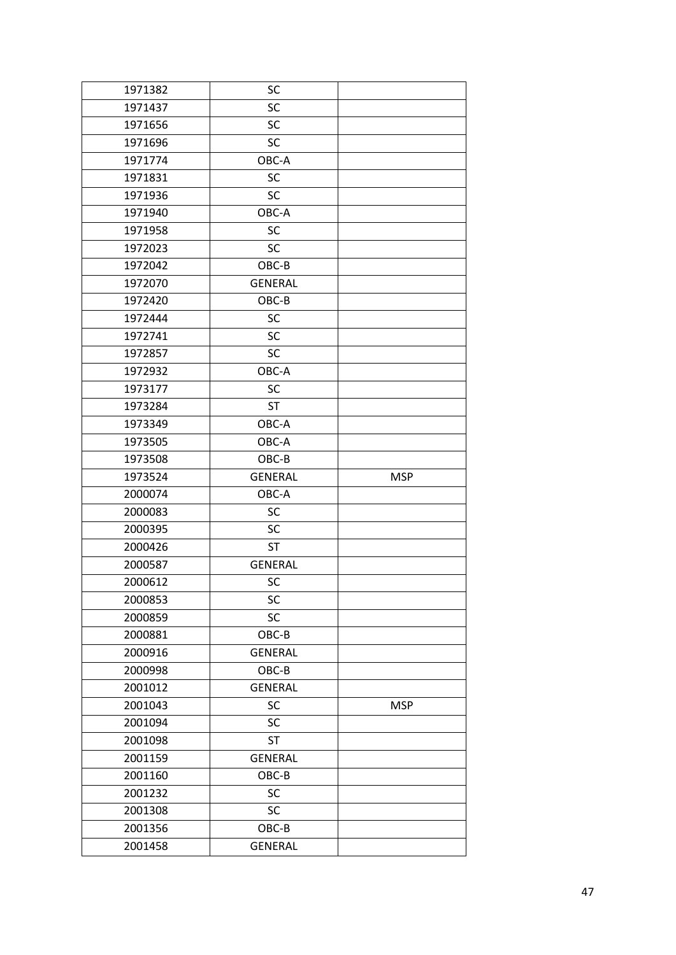| 1971382 | SC             |            |
|---------|----------------|------------|
| 1971437 | <b>SC</b>      |            |
| 1971656 | <b>SC</b>      |            |
| 1971696 | <b>SC</b>      |            |
| 1971774 | OBC-A          |            |
| 1971831 | SC             |            |
| 1971936 | SC             |            |
| 1971940 | OBC-A          |            |
| 1971958 | <b>SC</b>      |            |
| 1972023 | <b>SC</b>      |            |
| 1972042 | OBC-B          |            |
| 1972070 | <b>GENERAL</b> |            |
| 1972420 | OBC-B          |            |
| 1972444 | SC             |            |
| 1972741 | <b>SC</b>      |            |
| 1972857 | <b>SC</b>      |            |
| 1972932 | OBC-A          |            |
| 1973177 | <b>SC</b>      |            |
| 1973284 | <b>ST</b>      |            |
| 1973349 | OBC-A          |            |
| 1973505 | OBC-A          |            |
| 1973508 | OBC-B          |            |
| 1973524 | <b>GENERAL</b> | <b>MSP</b> |
| 2000074 | OBC-A          |            |
| 2000083 | <b>SC</b>      |            |
| 2000395 | <b>SC</b>      |            |
| 2000426 | <b>ST</b>      |            |
| 2000587 | <b>GENERAL</b> |            |
| 2000612 | SC             |            |
| 2000853 | SC             |            |
| 2000859 | SC             |            |
| 2000881 | OBC-B          |            |
| 2000916 | <b>GENERAL</b> |            |
| 2000998 | OBC-B          |            |
| 2001012 | <b>GENERAL</b> |            |
| 2001043 | SC             | <b>MSP</b> |
| 2001094 | <b>SC</b>      |            |
| 2001098 | <b>ST</b>      |            |
| 2001159 | <b>GENERAL</b> |            |
| 2001160 | OBC-B          |            |
| 2001232 | SC             |            |
|         |                |            |
| 2001308 | SC             |            |
| 2001356 | OBC-B          |            |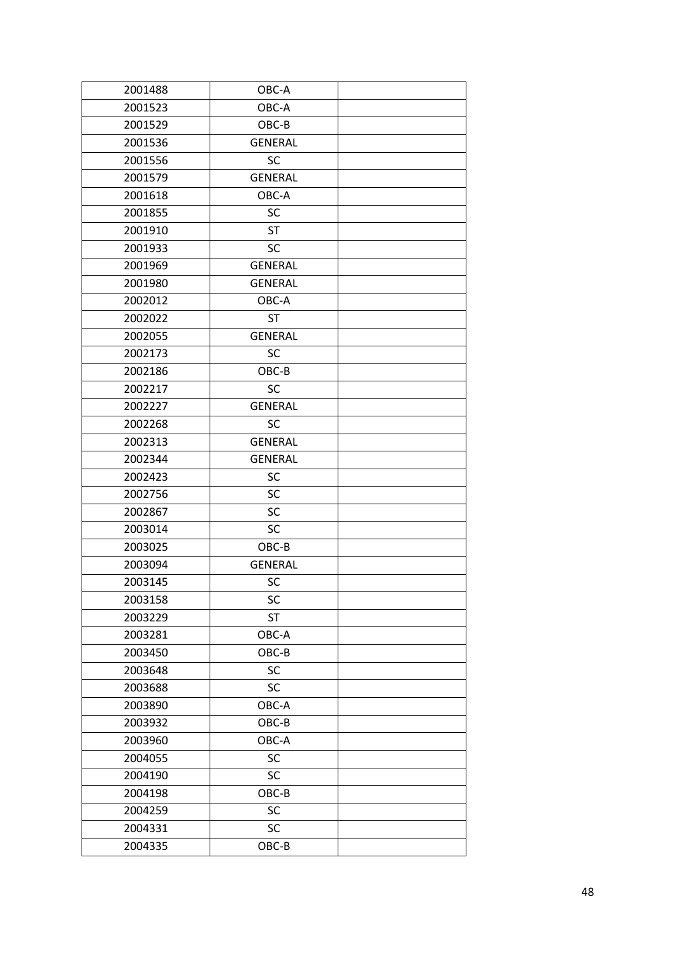| 2001488 | OBC-A          |  |
|---------|----------------|--|
| 2001523 | OBC-A          |  |
| 2001529 | OBC-B          |  |
| 2001536 | <b>GENERAL</b> |  |
| 2001556 | <b>SC</b>      |  |
| 2001579 | <b>GENERAL</b> |  |
| 2001618 | OBC-A          |  |
| 2001855 | <b>SC</b>      |  |
| 2001910 | <b>ST</b>      |  |
| 2001933 | <b>SC</b>      |  |
| 2001969 | <b>GENERAL</b> |  |
| 2001980 | <b>GENERAL</b> |  |
| 2002012 | OBC-A          |  |
| 2002022 | <b>ST</b>      |  |
| 2002055 | <b>GENERAL</b> |  |
| 2002173 | <b>SC</b>      |  |
| 2002186 | OBC-B          |  |
| 2002217 | <b>SC</b>      |  |
| 2002227 | <b>GENERAL</b> |  |
| 2002268 | <b>SC</b>      |  |
| 2002313 | <b>GENERAL</b> |  |
| 2002344 | <b>GENERAL</b> |  |
| 2002423 | SC             |  |
| 2002756 | SC             |  |
| 2002867 | <b>SC</b>      |  |
| 2003014 | <b>SC</b>      |  |
| 2003025 | OBC-B          |  |
| 2003094 | <b>GENERAL</b> |  |
| 2003145 | <b>SC</b>      |  |
| 2003158 | SC             |  |
| 2003229 | ST             |  |
| 2003281 | OBC-A          |  |
| 2003450 | OBC-B          |  |
| 2003648 | SC             |  |
| 2003688 | <b>SC</b>      |  |
| 2003890 | OBC-A          |  |
| 2003932 | OBC-B          |  |
| 2003960 | OBC-A          |  |
| 2004055 | SC             |  |
| 2004190 | SC             |  |
| 2004198 | OBC-B          |  |
| 2004259 | SC             |  |
| 2004331 | SC             |  |
| 2004335 | OBC-B          |  |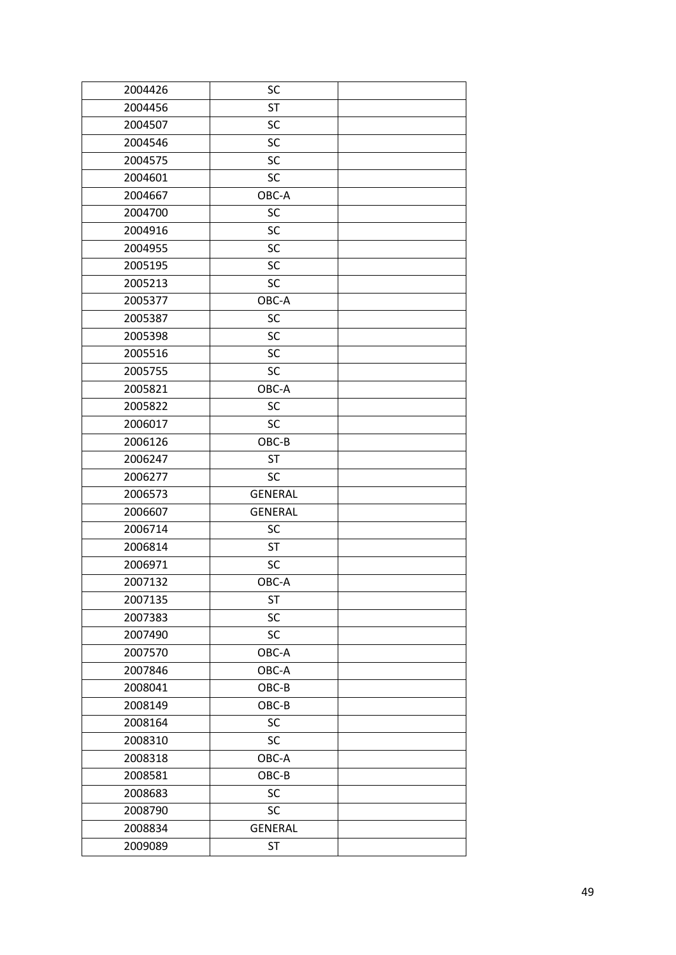| 2004426 | SC             |  |
|---------|----------------|--|
| 2004456 | <b>ST</b>      |  |
| 2004507 | SC             |  |
| 2004546 | SC             |  |
| 2004575 | SC             |  |
| 2004601 | SC             |  |
| 2004667 | OBC-A          |  |
| 2004700 | SC             |  |
| 2004916 | SC             |  |
| 2004955 | SC             |  |
| 2005195 | SC             |  |
| 2005213 | SC             |  |
| 2005377 | OBC-A          |  |
| 2005387 | SC             |  |
| 2005398 | SC             |  |
| 2005516 | SC             |  |
| 2005755 | SC             |  |
| 2005821 | OBC-A          |  |
| 2005822 | SC             |  |
| 2006017 | <b>SC</b>      |  |
| 2006126 | OBC-B          |  |
| 2006247 | <b>ST</b>      |  |
| 2006277 | SC             |  |
| 2006573 | <b>GENERAL</b> |  |
| 2006607 | <b>GENERAL</b> |  |
| 2006714 | SC             |  |
| 2006814 | <b>ST</b>      |  |
| 2006971 | SC             |  |
| 2007132 | OBC-A          |  |
| 2007135 | <b>ST</b>      |  |
| 2007383 | SC             |  |
| 2007490 | SC             |  |
| 2007570 | OBC-A          |  |
| 2007846 | OBC-A          |  |
| 2008041 | OBC-B          |  |
| 2008149 | OBC-B          |  |
| 2008164 | SC             |  |
| 2008310 | SC             |  |
| 2008318 | OBC-A          |  |
| 2008581 | OBC-B          |  |
| 2008683 | SC             |  |
| 2008790 | <b>SC</b>      |  |
| 2008834 | <b>GENERAL</b> |  |
| 2009089 | ST             |  |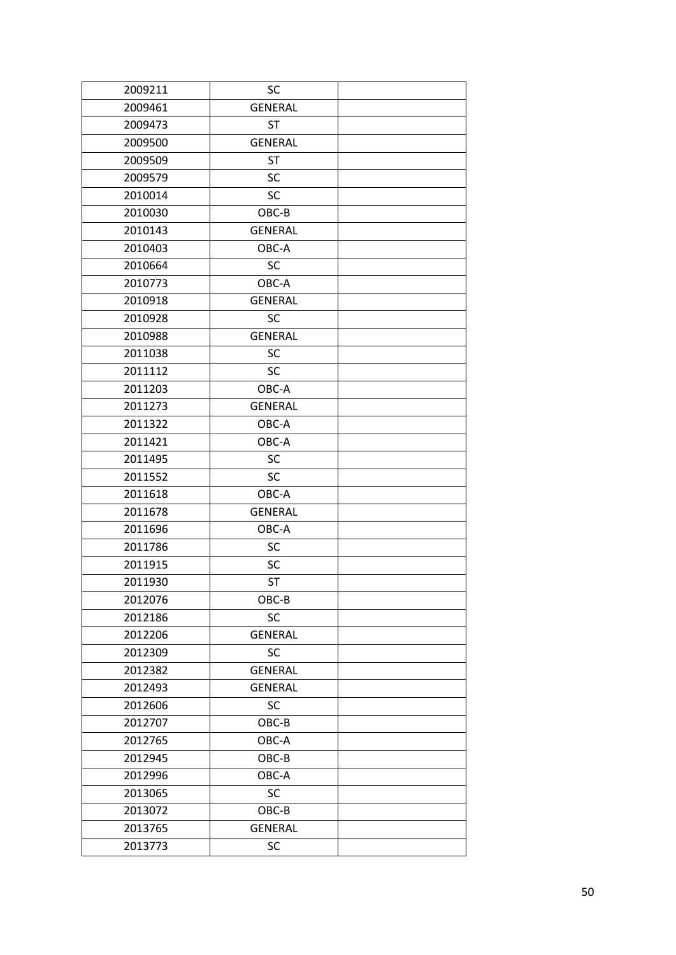| 2009211 | <b>SC</b>      |  |
|---------|----------------|--|
| 2009461 | <b>GENERAL</b> |  |
| 2009473 | <b>ST</b>      |  |
| 2009500 | <b>GENERAL</b> |  |
| 2009509 | <b>ST</b>      |  |
| 2009579 | <b>SC</b>      |  |
| 2010014 | SC             |  |
| 2010030 | OBC-B          |  |
| 2010143 | <b>GENERAL</b> |  |
| 2010403 | OBC-A          |  |
| 2010664 | <b>SC</b>      |  |
| 2010773 | OBC-A          |  |
| 2010918 | <b>GENERAL</b> |  |
| 2010928 | <b>SC</b>      |  |
| 2010988 | <b>GENERAL</b> |  |
| 2011038 | SC             |  |
| 2011112 | <b>SC</b>      |  |
| 2011203 | OBC-A          |  |
| 2011273 | <b>GENERAL</b> |  |
| 2011322 | OBC-A          |  |
| 2011421 | OBC-A          |  |
| 2011495 | <b>SC</b>      |  |
| 2011552 | <b>SC</b>      |  |
| 2011618 | OBC-A          |  |
| 2011678 | <b>GENERAL</b> |  |
| 2011696 | OBC-A          |  |
| 2011786 | <b>SC</b>      |  |
| 2011915 | SC             |  |
| 2011930 | <b>ST</b>      |  |
| 2012076 | OBC-B          |  |
| 2012186 | SC             |  |
| 2012206 | <b>GENERAL</b> |  |
| 2012309 | <b>SC</b>      |  |
| 2012382 | <b>GENERAL</b> |  |
| 2012493 | <b>GENERAL</b> |  |
| 2012606 | <b>SC</b>      |  |
| 2012707 | OBC-B          |  |
| 2012765 | OBC-A          |  |
| 2012945 | OBC-B          |  |
| 2012996 | OBC-A          |  |
| 2013065 | SC             |  |
| 2013072 | OBC-B          |  |
| 2013765 | <b>GENERAL</b> |  |
| 2013773 | SC             |  |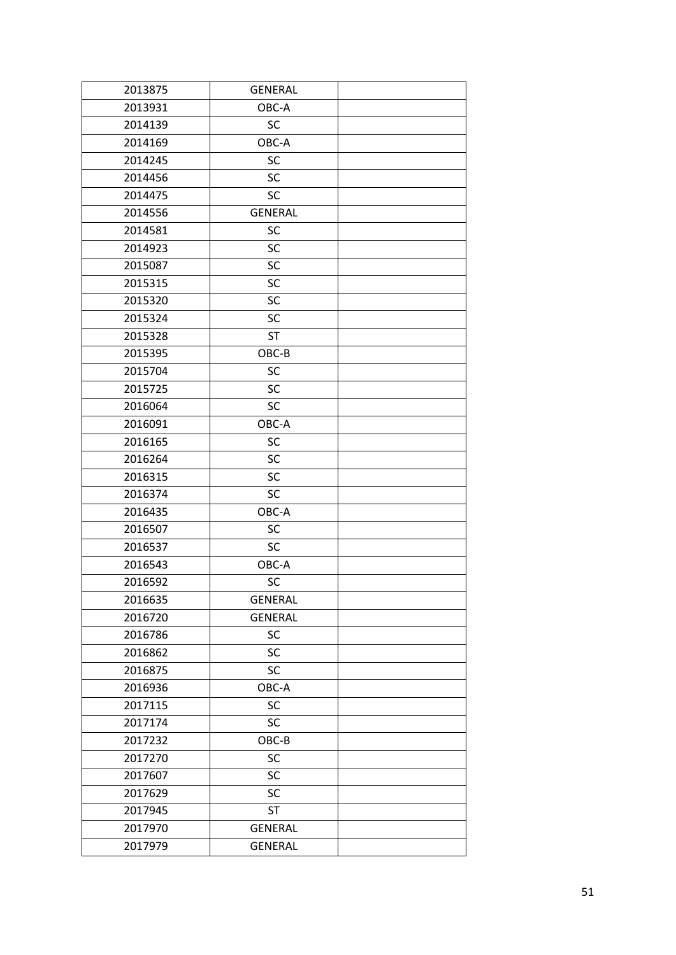| 2013875 | <b>GENERAL</b> |  |
|---------|----------------|--|
| 2013931 | OBC-A          |  |
| 2014139 | <b>SC</b>      |  |
| 2014169 | OBC-A          |  |
| 2014245 | <b>SC</b>      |  |
| 2014456 | <b>SC</b>      |  |
| 2014475 | <b>SC</b>      |  |
| 2014556 | <b>GENERAL</b> |  |
| 2014581 | SC             |  |
| 2014923 | <b>SC</b>      |  |
| 2015087 | SC             |  |
| 2015315 | SC             |  |
| 2015320 | SC             |  |
| 2015324 | SC             |  |
| 2015328 | <b>ST</b>      |  |
| 2015395 | OBC-B          |  |
| 2015704 | <b>SC</b>      |  |
| 2015725 | <b>SC</b>      |  |
| 2016064 | <b>SC</b>      |  |
| 2016091 | OBC-A          |  |
| 2016165 | <b>SC</b>      |  |
| 2016264 | <b>SC</b>      |  |
| 2016315 | <b>SC</b>      |  |
| 2016374 | <b>SC</b>      |  |
| 2016435 | OBC-A          |  |
| 2016507 | <b>SC</b>      |  |
| 2016537 | <b>SC</b>      |  |
| 2016543 | OBC-A          |  |
| 2016592 | SC             |  |
| 2016635 | <b>GENERAL</b> |  |
| 2016720 | <b>GENERAL</b> |  |
| 2016786 | SC             |  |
| 2016862 | SC             |  |
| 2016875 | <b>SC</b>      |  |
| 2016936 | OBC-A          |  |
| 2017115 | SC             |  |
| 2017174 | SC             |  |
| 2017232 | OBC-B          |  |
| 2017270 | SC             |  |
| 2017607 | <b>SC</b>      |  |
| 2017629 | SC             |  |
| 2017945 | <b>ST</b>      |  |
| 2017970 | <b>GENERAL</b> |  |
| 2017979 | <b>GENERAL</b> |  |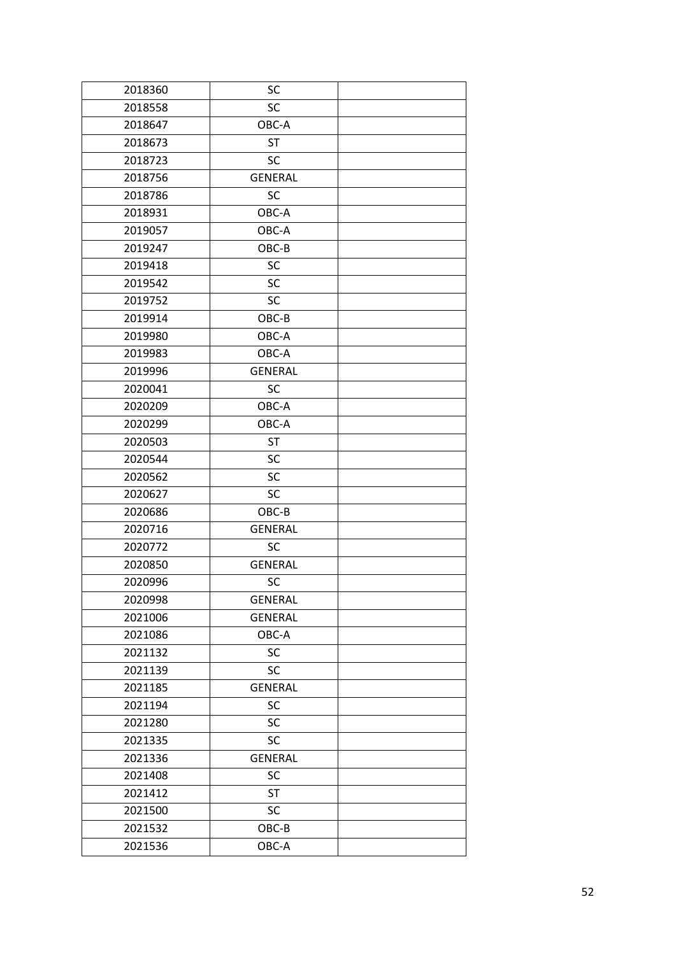| 2018360 | SC             |  |
|---------|----------------|--|
| 2018558 | <b>SC</b>      |  |
| 2018647 | OBC-A          |  |
| 2018673 | <b>ST</b>      |  |
| 2018723 | <b>SC</b>      |  |
| 2018756 | <b>GENERAL</b> |  |
| 2018786 | <b>SC</b>      |  |
| 2018931 | OBC-A          |  |
| 2019057 | OBC-A          |  |
| 2019247 | OBC-B          |  |
| 2019418 | <b>SC</b>      |  |
| 2019542 | <b>SC</b>      |  |
| 2019752 | <b>SC</b>      |  |
| 2019914 | OBC-B          |  |
| 2019980 | OBC-A          |  |
| 2019983 | OBC-A          |  |
| 2019996 | <b>GENERAL</b> |  |
| 2020041 | <b>SC</b>      |  |
| 2020209 | OBC-A          |  |
| 2020299 | OBC-A          |  |
| 2020503 | <b>ST</b>      |  |
| 2020544 | <b>SC</b>      |  |
| 2020562 | <b>SC</b>      |  |
| 2020627 | <b>SC</b>      |  |
| 2020686 | OBC-B          |  |
| 2020716 | <b>GENERAL</b> |  |
| 2020772 | <b>SC</b>      |  |
| 2020850 | <b>GENERAL</b> |  |
| 2020996 | SC             |  |
| 2020998 | <b>GENERAL</b> |  |
| 2021006 | <b>GENERAL</b> |  |
| 2021086 | OBC-A          |  |
| 2021132 | SC             |  |
| 2021139 | <b>SC</b>      |  |
| 2021185 | <b>GENERAL</b> |  |
| 2021194 | SC             |  |
| 2021280 | SC             |  |
| 2021335 | SC             |  |
| 2021336 | <b>GENERAL</b> |  |
| 2021408 | <b>SC</b>      |  |
| 2021412 | <b>ST</b>      |  |
| 2021500 | SC             |  |
| 2021532 | $OBC-B$        |  |
| 2021536 | OBC-A          |  |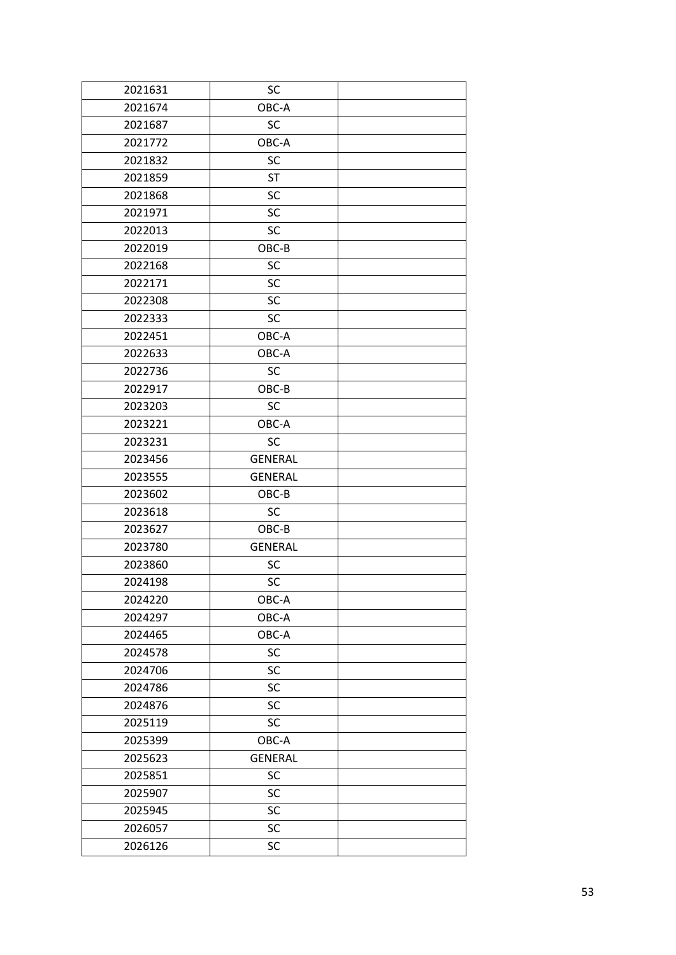| 2021631 | SC             |  |
|---------|----------------|--|
| 2021674 | OBC-A          |  |
| 2021687 | <b>SC</b>      |  |
| 2021772 | OBC-A          |  |
| 2021832 | <b>SC</b>      |  |
| 2021859 | <b>ST</b>      |  |
| 2021868 | SC             |  |
| 2021971 | SC             |  |
| 2022013 | <b>SC</b>      |  |
| 2022019 | OBC-B          |  |
| 2022168 | SC             |  |
| 2022171 | <b>SC</b>      |  |
| 2022308 | <b>SC</b>      |  |
| 2022333 | <b>SC</b>      |  |
| 2022451 | OBC-A          |  |
| 2022633 | OBC-A          |  |
| 2022736 | <b>SC</b>      |  |
| 2022917 | OBC-B          |  |
| 2023203 | <b>SC</b>      |  |
| 2023221 | OBC-A          |  |
| 2023231 | <b>SC</b>      |  |
| 2023456 | <b>GENERAL</b> |  |
| 2023555 | <b>GENERAL</b> |  |
| 2023602 | OBC-B          |  |
| 2023618 | <b>SC</b>      |  |
| 2023627 | OBC-B          |  |
| 2023780 | <b>GENERAL</b> |  |
| 2023860 | <b>SC</b>      |  |
| 2024198 | <b>SC</b>      |  |
| 2024220 | OBC-A          |  |
| 2024297 | OBC-A          |  |
| 2024465 | OBC-A          |  |
| 2024578 | SC             |  |
| 2024706 | SC             |  |
| 2024786 | SC             |  |
| 2024876 | SC             |  |
| 2025119 | SC             |  |
| 2025399 | OBC-A          |  |
| 2025623 | <b>GENERAL</b> |  |
| 2025851 | <b>SC</b>      |  |
| 2025907 | SC             |  |
| 2025945 | SC             |  |
| 2026057 | SC             |  |
| 2026126 | SC             |  |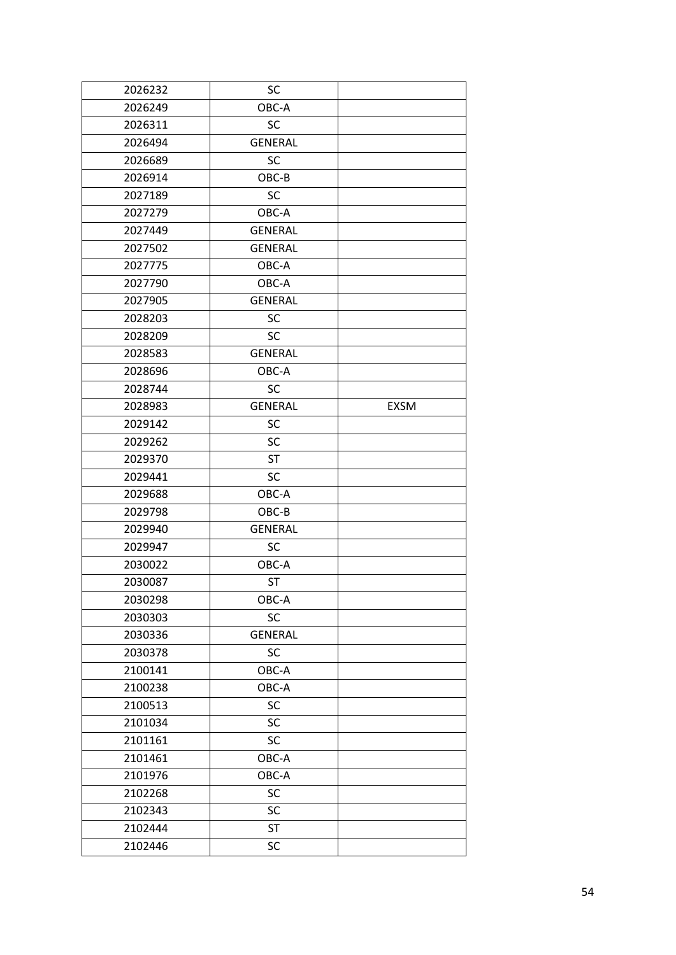| 2026232 | SC             |             |
|---------|----------------|-------------|
| 2026249 | OBC-A          |             |
| 2026311 | <b>SC</b>      |             |
| 2026494 | <b>GENERAL</b> |             |
| 2026689 | <b>SC</b>      |             |
| 2026914 | OBC-B          |             |
| 2027189 | <b>SC</b>      |             |
| 2027279 | OBC-A          |             |
| 2027449 | <b>GENERAL</b> |             |
| 2027502 | <b>GENERAL</b> |             |
| 2027775 | OBC-A          |             |
| 2027790 | OBC-A          |             |
| 2027905 | <b>GENERAL</b> |             |
| 2028203 | <b>SC</b>      |             |
| 2028209 | <b>SC</b>      |             |
| 2028583 | <b>GENERAL</b> |             |
| 2028696 | OBC-A          |             |
| 2028744 | <b>SC</b>      |             |
| 2028983 | <b>GENERAL</b> | <b>EXSM</b> |
| 2029142 | <b>SC</b>      |             |
| 2029262 | <b>SC</b>      |             |
| 2029370 | <b>ST</b>      |             |
| 2029441 | SC             |             |
| 2029688 | OBC-A          |             |
| 2029798 | $OBC-B$        |             |
| 2029940 | <b>GENERAL</b> |             |
| 2029947 | <b>SC</b>      |             |
| 2030022 | OBC-A          |             |
| 2030087 | <b>ST</b>      |             |
| 2030298 | OBC-A          |             |
| 2030303 | SC             |             |
| 2030336 | <b>GENERAL</b> |             |
| 2030378 | <b>SC</b>      |             |
| 2100141 | OBC-A          |             |
| 2100238 | OBC-A          |             |
| 2100513 | SC             |             |
| 2101034 | SC             |             |
| 2101161 | SC             |             |
| 2101461 | OBC-A          |             |
| 2101976 | OBC-A          |             |
| 2102268 | SC             |             |
| 2102343 | SC             |             |
| 2102444 | <b>ST</b>      |             |
| 2102446 | SC             |             |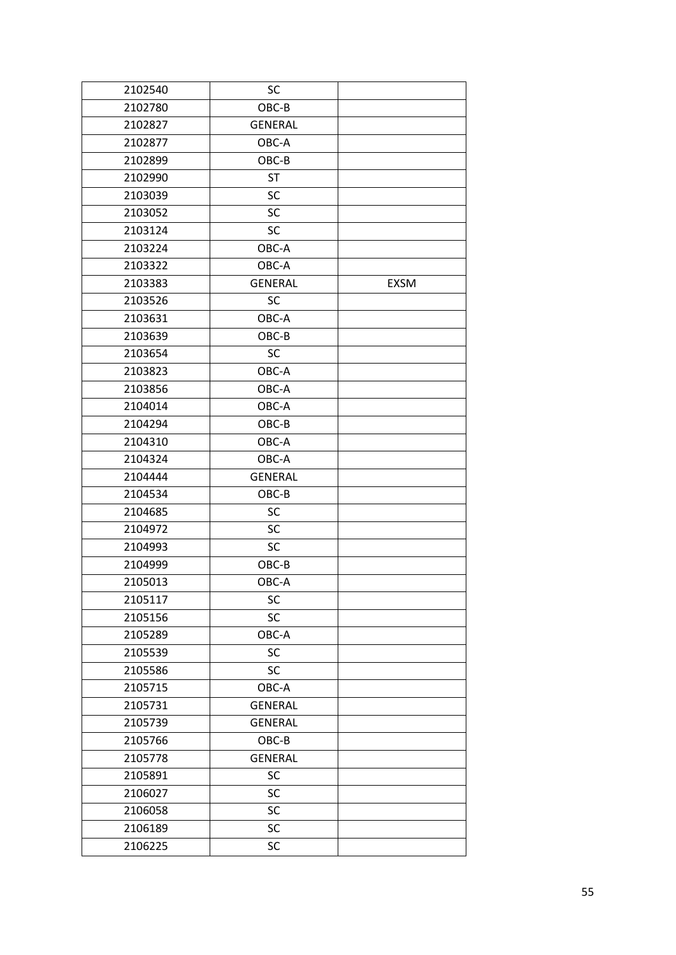| 2102540 | SC             |             |
|---------|----------------|-------------|
| 2102780 | OBC-B          |             |
| 2102827 | <b>GENERAL</b> |             |
| 2102877 | OBC-A          |             |
| 2102899 | OBC-B          |             |
| 2102990 | <b>ST</b>      |             |
| 2103039 | SC             |             |
| 2103052 | SC             |             |
| 2103124 | SC             |             |
| 2103224 | OBC-A          |             |
| 2103322 | OBC-A          |             |
| 2103383 | <b>GENERAL</b> | <b>EXSM</b> |
| 2103526 | SC             |             |
| 2103631 | OBC-A          |             |
| 2103639 | OBC-B          |             |
| 2103654 | SC             |             |
| 2103823 | OBC-A          |             |
| 2103856 | OBC-A          |             |
| 2104014 | OBC-A          |             |
| 2104294 | OBC-B          |             |
| 2104310 | OBC-A          |             |
| 2104324 | OBC-A          |             |
| 2104444 | <b>GENERAL</b> |             |
| 2104534 | OBC-B          |             |
| 2104685 | SC             |             |
| 2104972 | SC             |             |
| 2104993 | SC             |             |
| 2104999 | OBC-B          |             |
| 2105013 | OBC-A          |             |
| 2105117 | SC             |             |
| 2105156 | SC             |             |
| 2105289 | OBC-A          |             |
| 2105539 | SC             |             |
| 2105586 | SC             |             |
| 2105715 | OBC-A          |             |
| 2105731 | <b>GENERAL</b> |             |
| 2105739 | <b>GENERAL</b> |             |
| 2105766 | OBC-B          |             |
| 2105778 | <b>GENERAL</b> |             |
| 2105891 | <b>SC</b>      |             |
| 2106027 | SC             |             |
| 2106058 | SC             |             |
| 2106189 | SC             |             |
| 2106225 | SC             |             |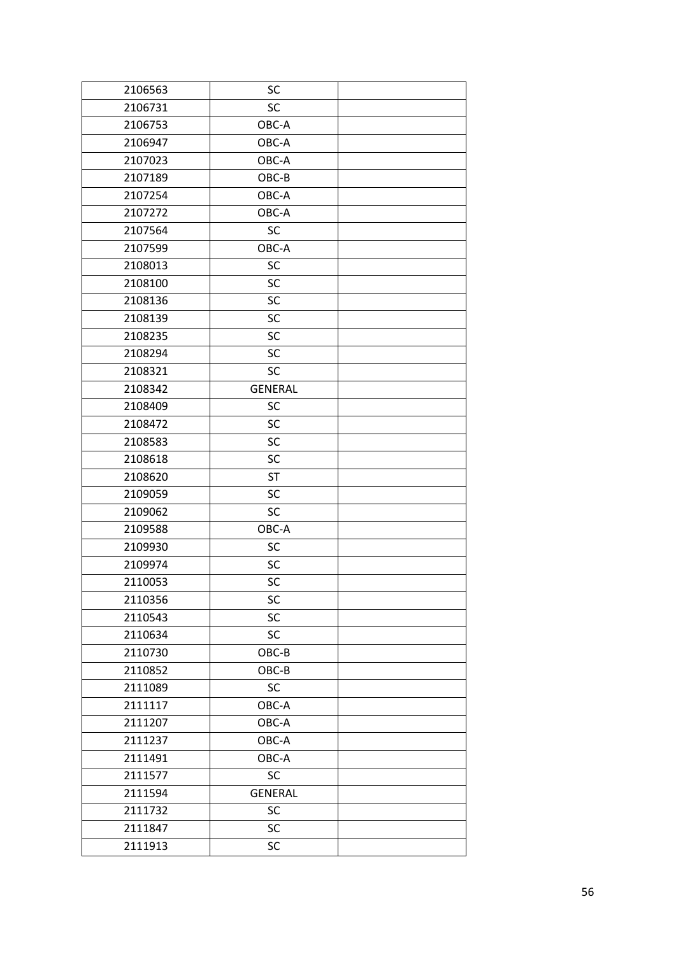| 2106563 | SC             |  |
|---------|----------------|--|
| 2106731 | <b>SC</b>      |  |
| 2106753 | OBC-A          |  |
| 2106947 | OBC-A          |  |
| 2107023 | OBC-A          |  |
| 2107189 | OBC-B          |  |
| 2107254 | OBC-A          |  |
| 2107272 | OBC-A          |  |
| 2107564 | <b>SC</b>      |  |
| 2107599 | OBC-A          |  |
| 2108013 | SC             |  |
| 2108100 | SC             |  |
| 2108136 | SC             |  |
| 2108139 | SC             |  |
| 2108235 | SC             |  |
| 2108294 | SC             |  |
| 2108321 | SC             |  |
| 2108342 | <b>GENERAL</b> |  |
| 2108409 | SC             |  |
| 2108472 | SC             |  |
| 2108583 | SC             |  |
| 2108618 | SC             |  |
| 2108620 | <b>ST</b>      |  |
| 2109059 | SC             |  |
| 2109062 | <b>SC</b>      |  |
| 2109588 | OBC-A          |  |
| 2109930 | SC             |  |
| 2109974 | SC             |  |
| 2110053 | SC             |  |
| 2110356 | SC             |  |
| 2110543 | SC             |  |
| 2110634 | SC             |  |
| 2110730 | $OBC-B$        |  |
| 2110852 | OBC-B          |  |
| 2111089 | <b>SC</b>      |  |
| 2111117 | OBC-A          |  |
| 2111207 | OBC-A          |  |
| 2111237 | OBC-A          |  |
| 2111491 | OBC-A          |  |
| 2111577 | <b>SC</b>      |  |
| 2111594 | <b>GENERAL</b> |  |
| 2111732 | SC             |  |
| 2111847 | SC             |  |
| 2111913 | SC             |  |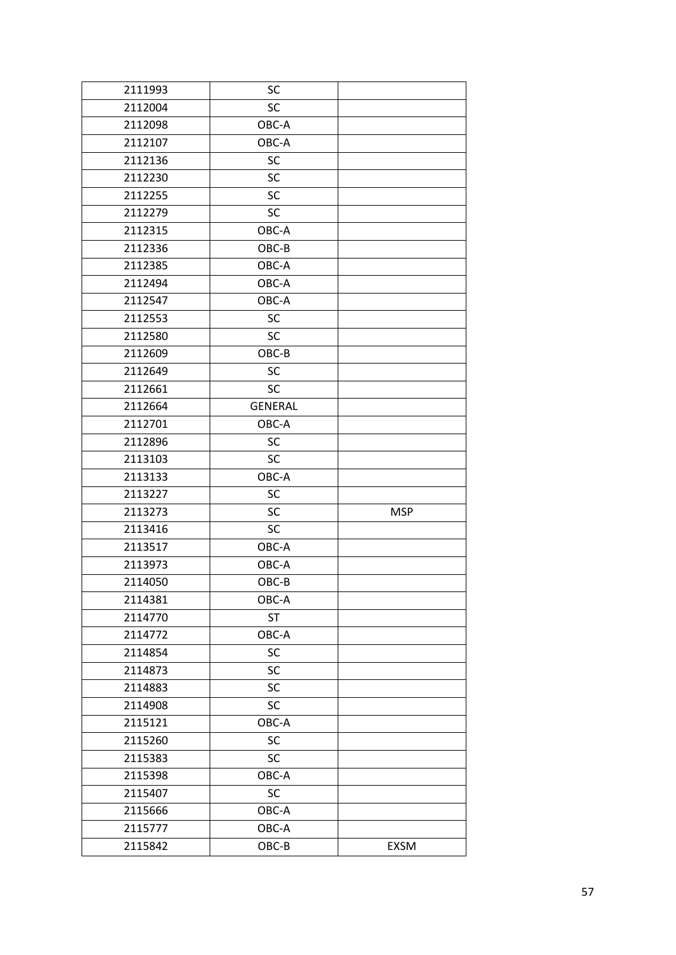| 2111993 | SC             |             |
|---------|----------------|-------------|
| 2112004 | <b>SC</b>      |             |
| 2112098 | OBC-A          |             |
| 2112107 | OBC-A          |             |
| 2112136 | SC             |             |
| 2112230 | SC             |             |
| 2112255 | SC             |             |
| 2112279 | <b>SC</b>      |             |
| 2112315 | OBC-A          |             |
| 2112336 | OBC-B          |             |
| 2112385 | OBC-A          |             |
| 2112494 | OBC-A          |             |
| 2112547 | OBC-A          |             |
| 2112553 | <b>SC</b>      |             |
| 2112580 | <b>SC</b>      |             |
| 2112609 | OBC-B          |             |
| 2112649 | <b>SC</b>      |             |
| 2112661 | <b>SC</b>      |             |
| 2112664 | <b>GENERAL</b> |             |
| 2112701 | OBC-A          |             |
| 2112896 | <b>SC</b>      |             |
| 2113103 | <b>SC</b>      |             |
| 2113133 | OBC-A          |             |
| 2113227 | SC             |             |
| 2113273 | <b>SC</b>      | <b>MSP</b>  |
| 2113416 | <b>SC</b>      |             |
| 2113517 | OBC-A          |             |
| 2113973 | OBC-A          |             |
| 2114050 | OBC-B          |             |
| 2114381 | OBC-A          |             |
| 2114770 | <b>ST</b>      |             |
| 2114772 | OBC-A          |             |
| 2114854 | SC             |             |
| 2114873 | SC             |             |
| 2114883 | SC             |             |
| 2114908 | SC             |             |
| 2115121 | OBC-A          |             |
| 2115260 | SC             |             |
| 2115383 | <b>SC</b>      |             |
| 2115398 | OBC-A          |             |
| 2115407 | SC             |             |
| 2115666 | OBC-A          |             |
| 2115777 | OBC-A          |             |
| 2115842 | OBC-B          | <b>EXSM</b> |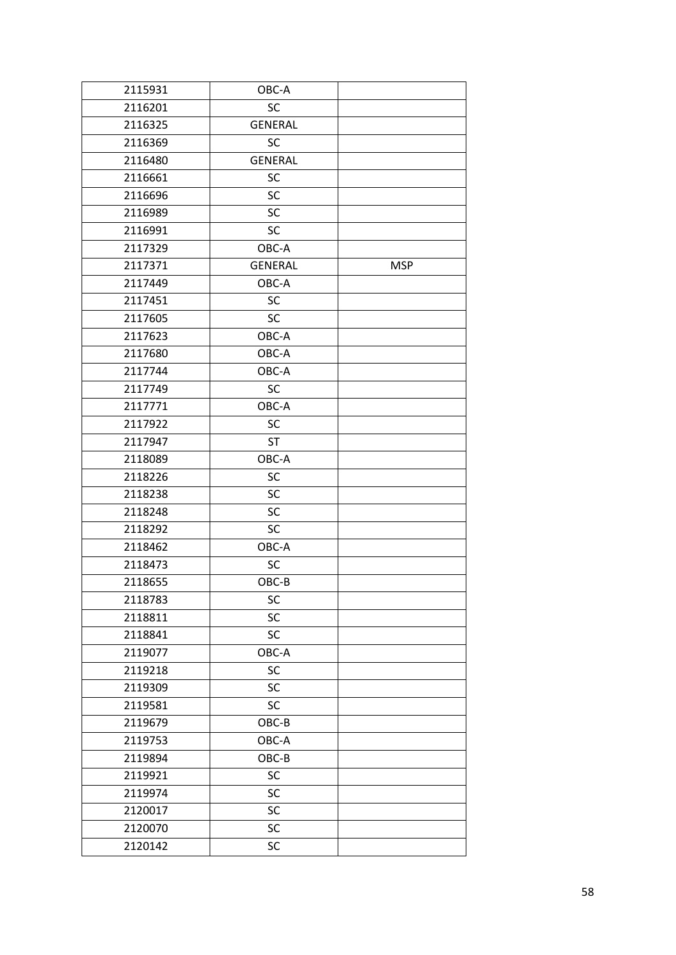| 2115931 | OBC-A          |            |
|---------|----------------|------------|
| 2116201 | SC             |            |
| 2116325 | <b>GENERAL</b> |            |
| 2116369 | <b>SC</b>      |            |
| 2116480 | <b>GENERAL</b> |            |
| 2116661 | SC             |            |
| 2116696 | SC             |            |
| 2116989 | SC             |            |
| 2116991 | SC             |            |
| 2117329 | OBC-A          |            |
| 2117371 | <b>GENERAL</b> | <b>MSP</b> |
| 2117449 | OBC-A          |            |
| 2117451 | SC             |            |
| 2117605 | <b>SC</b>      |            |
| 2117623 | OBC-A          |            |
| 2117680 | OBC-A          |            |
| 2117744 | OBC-A          |            |
| 2117749 | <b>SC</b>      |            |
| 2117771 | OBC-A          |            |
| 2117922 | <b>SC</b>      |            |
| 2117947 | <b>ST</b>      |            |
| 2118089 | OBC-A          |            |
| 2118226 | SC             |            |
| 2118238 | SC             |            |
| 2118248 | SC             |            |
| 2118292 | SC             |            |
| 2118462 | OBC-A          |            |
| 2118473 | SC             |            |
| 2118655 | OBC-B          |            |
| 2118783 | SC             |            |
| 2118811 | SC             |            |
| 2118841 | SC             |            |
| 2119077 | OBC-A          |            |
| 2119218 | SC             |            |
| 2119309 | SC             |            |
| 2119581 | SC             |            |
| 2119679 | OBC-B          |            |
| 2119753 | OBC-A          |            |
| 2119894 | OBC-B          |            |
| 2119921 | SC             |            |
| 2119974 | SC             |            |
| 2120017 | SC             |            |
| 2120070 | SC             |            |
| 2120142 | SC             |            |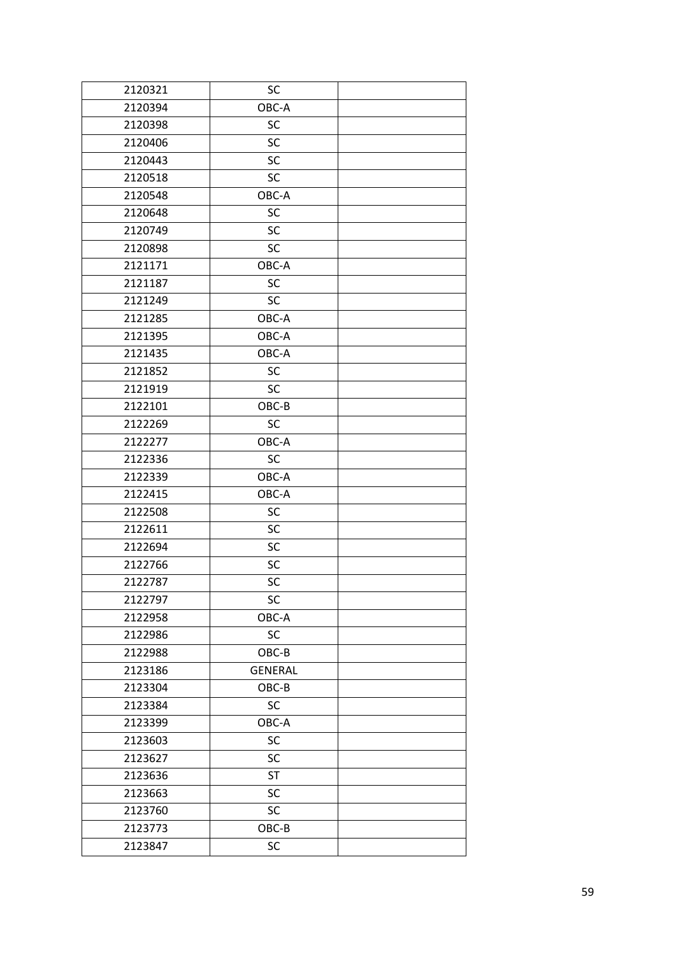| 2120321 | SC             |  |
|---------|----------------|--|
| 2120394 | OBC-A          |  |
| 2120398 | SC             |  |
| 2120406 | <b>SC</b>      |  |
| 2120443 | <b>SC</b>      |  |
| 2120518 | SC             |  |
| 2120548 | OBC-A          |  |
| 2120648 | SC             |  |
| 2120749 | SC             |  |
| 2120898 | SC             |  |
| 2121171 | OBC-A          |  |
| 2121187 | SC             |  |
| 2121249 | <b>SC</b>      |  |
| 2121285 | OBC-A          |  |
| 2121395 | OBC-A          |  |
| 2121435 | OBC-A          |  |
| 2121852 | SC             |  |
| 2121919 | <b>SC</b>      |  |
| 2122101 | OBC-B          |  |
| 2122269 | <b>SC</b>      |  |
| 2122277 | OBC-A          |  |
| 2122336 | <b>SC</b>      |  |
| 2122339 | OBC-A          |  |
| 2122415 | OBC-A          |  |
| 2122508 | SC             |  |
| 2122611 | <b>SC</b>      |  |
| 2122694 | SC             |  |
| 2122766 | SC             |  |
| 2122787 | SC             |  |
| 2122797 | SC             |  |
| 2122958 | OBC-A          |  |
| 2122986 | SC             |  |
| 2122988 | $OBC-B$        |  |
| 2123186 | <b>GENERAL</b> |  |
| 2123304 | OBC-B          |  |
| 2123384 | SC             |  |
| 2123399 | OBC-A          |  |
| 2123603 | SC             |  |
| 2123627 | SC             |  |
| 2123636 | <b>ST</b>      |  |
| 2123663 | SC             |  |
| 2123760 | SC             |  |
| 2123773 | OBC-B          |  |
| 2123847 | SC             |  |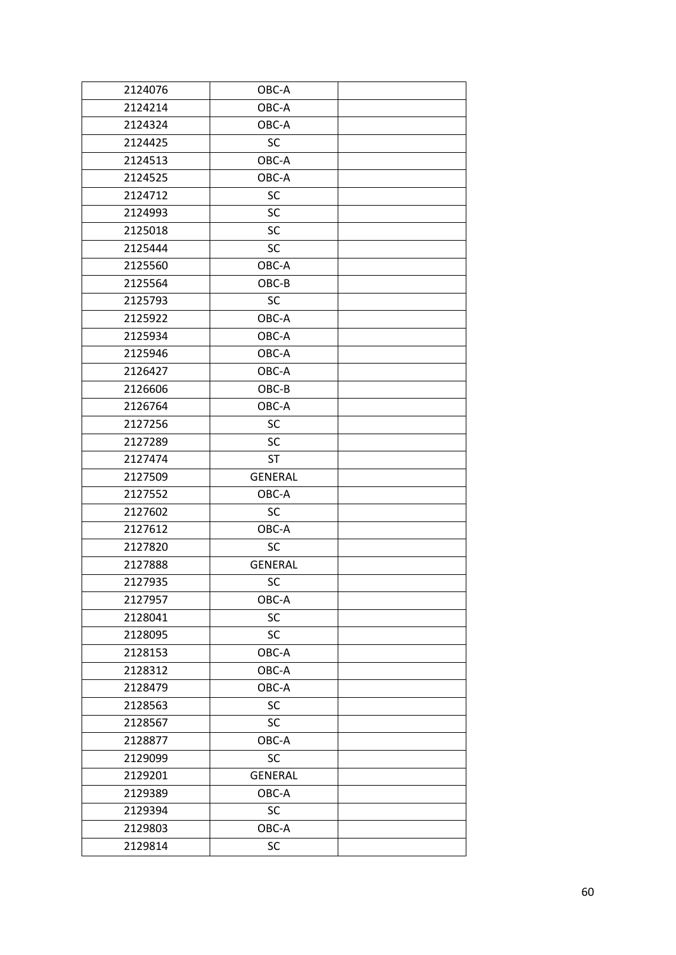| 2124076 | OBC-A          |  |
|---------|----------------|--|
| 2124214 | OBC-A          |  |
| 2124324 | OBC-A          |  |
| 2124425 | <b>SC</b>      |  |
| 2124513 | OBC-A          |  |
| 2124525 | OBC-A          |  |
| 2124712 | <b>SC</b>      |  |
| 2124993 | SC             |  |
| 2125018 | SC             |  |
| 2125444 | <b>SC</b>      |  |
| 2125560 | OBC-A          |  |
| 2125564 | OBC-B          |  |
| 2125793 | SC             |  |
| 2125922 | OBC-A          |  |
| 2125934 | OBC-A          |  |
| 2125946 | OBC-A          |  |
| 2126427 | OBC-A          |  |
| 2126606 | OBC-B          |  |
| 2126764 | OBC-A          |  |
| 2127256 | SC             |  |
| 2127289 | <b>SC</b>      |  |
| 2127474 | <b>ST</b>      |  |
| 2127509 | <b>GENERAL</b> |  |
| 2127552 | OBC-A          |  |
| 2127602 | <b>SC</b>      |  |
| 2127612 | OBC-A          |  |
| 2127820 | <b>SC</b>      |  |
| 2127888 | <b>GENERAL</b> |  |
| 2127935 | SC             |  |
| 2127957 | OBC-A          |  |
| 2128041 | SC             |  |
| 2128095 | SC             |  |
| 2128153 | OBC-A          |  |
| 2128312 | OBC-A          |  |
| 2128479 | OBC-A          |  |
| 2128563 | SC             |  |
| 2128567 | <b>SC</b>      |  |
| 2128877 | OBC-A          |  |
| 2129099 | SC             |  |
| 2129201 | <b>GENERAL</b> |  |
| 2129389 | OBC-A          |  |
| 2129394 | SC             |  |
| 2129803 | OBC-A          |  |
| 2129814 | SC             |  |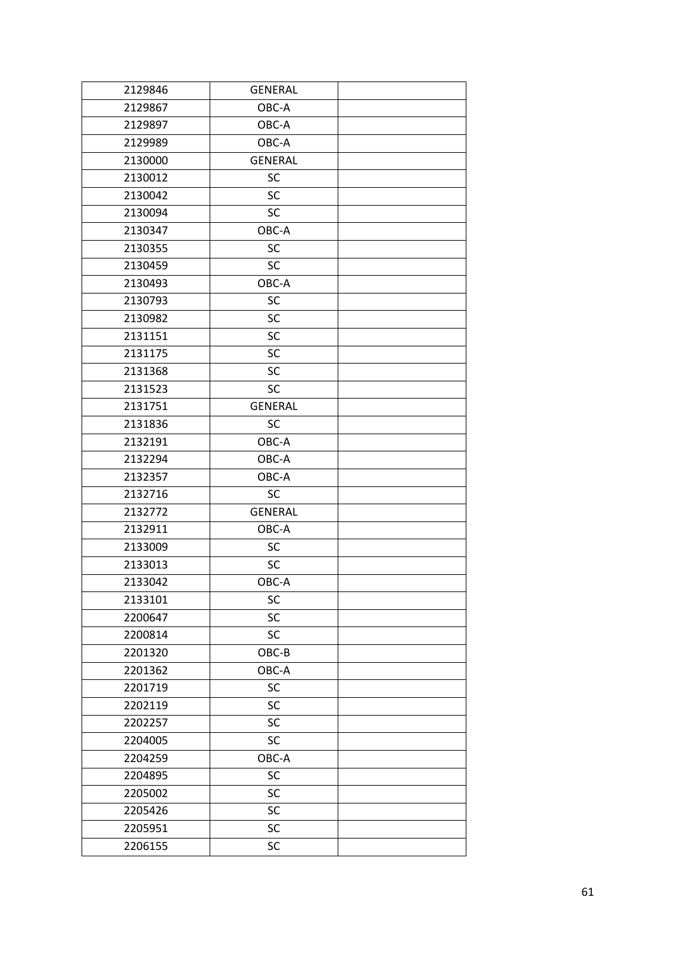| 2129846 | <b>GENERAL</b> |  |
|---------|----------------|--|
| 2129867 | OBC-A          |  |
| 2129897 | OBC-A          |  |
| 2129989 | OBC-A          |  |
| 2130000 | <b>GENERAL</b> |  |
| 2130012 | SC             |  |
| 2130042 | <b>SC</b>      |  |
| 2130094 | <b>SC</b>      |  |
| 2130347 | OBC-A          |  |
| 2130355 | SC             |  |
| 2130459 | <b>SC</b>      |  |
| 2130493 | OBC-A          |  |
| 2130793 | SC             |  |
| 2130982 | SC             |  |
| 2131151 | SC             |  |
| 2131175 | <b>SC</b>      |  |
| 2131368 | <b>SC</b>      |  |
| 2131523 | <b>SC</b>      |  |
| 2131751 | <b>GENERAL</b> |  |
| 2131836 | <b>SC</b>      |  |
| 2132191 | OBC-A          |  |
| 2132294 | OBC-A          |  |
| 2132357 | OBC-A          |  |
| 2132716 | <b>SC</b>      |  |
| 2132772 | <b>GENERAL</b> |  |
| 2132911 | OBC-A          |  |
| 2133009 | SC             |  |
| 2133013 | <b>SC</b>      |  |
| 2133042 | OBC-A          |  |
| 2133101 | SC             |  |
| 2200647 | SC             |  |
| 2200814 | SC             |  |
| 2201320 | $OBC-B$        |  |
| 2201362 | OBC-A          |  |
| 2201719 | SC             |  |
| 2202119 | SC             |  |
| 2202257 | SC             |  |
| 2204005 | SC             |  |
| 2204259 | OBC-A          |  |
| 2204895 | <b>SC</b>      |  |
| 2205002 | SC             |  |
| 2205426 | SC             |  |
| 2205951 | SC             |  |
| 2206155 | SC             |  |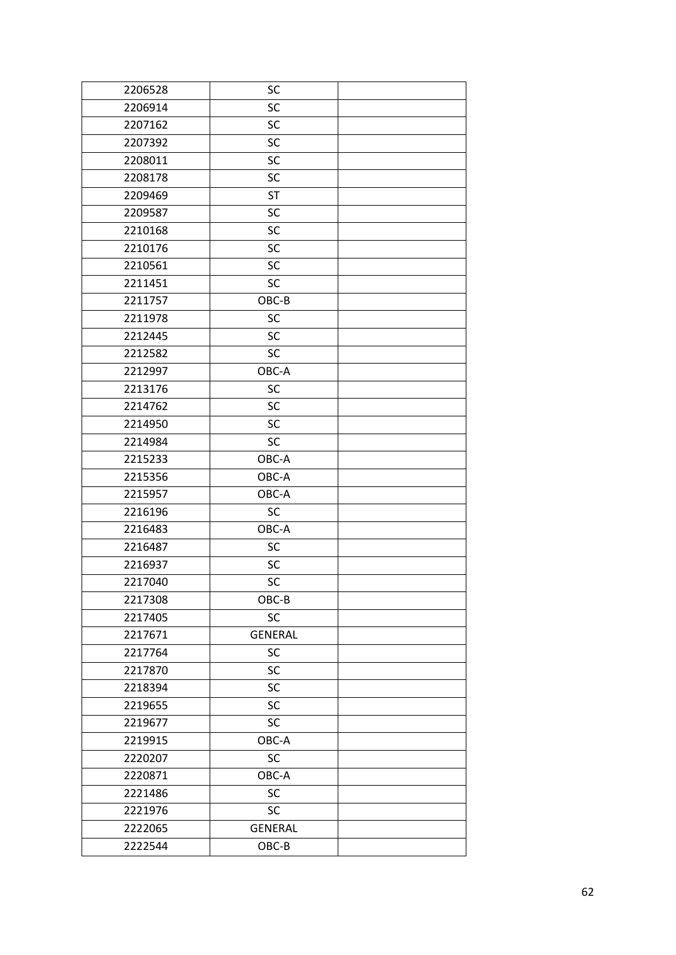| SC             |  |
|----------------|--|
| SC             |  |
| <b>SC</b>      |  |
| SC             |  |
| <b>SC</b>      |  |
| SC             |  |
| <b>ST</b>      |  |
| SC             |  |
| SC             |  |
| SC             |  |
| <b>SC</b>      |  |
| <b>SC</b>      |  |
| OBC-B          |  |
| SC             |  |
| <b>SC</b>      |  |
| <b>SC</b>      |  |
| OBC-A          |  |
| <b>SC</b>      |  |
| <b>SC</b>      |  |
| SC             |  |
| SC             |  |
| OBC-A          |  |
| OBC-A          |  |
| OBC-A          |  |
| <b>SC</b>      |  |
| OBC-A          |  |
| SC             |  |
| <b>SC</b>      |  |
| SC             |  |
| $OBC-B$        |  |
| SC             |  |
| <b>GENERAL</b> |  |
| SC             |  |
| SC             |  |
| SC             |  |
| SC             |  |
| SC             |  |
| OBC-A          |  |
| SC             |  |
| OBC-A          |  |
|                |  |
| SC             |  |
| SC             |  |
| <b>GENERAL</b> |  |
|                |  |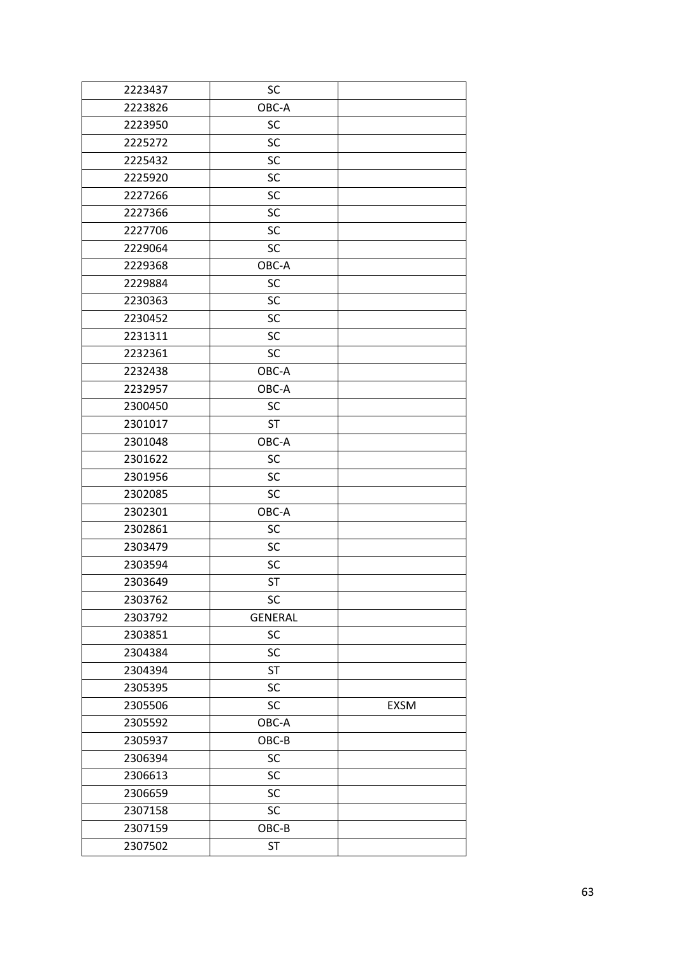| 2223437 | SC             |             |
|---------|----------------|-------------|
| 2223826 | OBC-A          |             |
| 2223950 | SC             |             |
| 2225272 | SC             |             |
| 2225432 | SC             |             |
| 2225920 | SC             |             |
| 2227266 | SC             |             |
| 2227366 | SC             |             |
| 2227706 | SC             |             |
| 2229064 | SC             |             |
| 2229368 | OBC-A          |             |
| 2229884 | SC             |             |
| 2230363 | SC             |             |
| 2230452 | SC             |             |
| 2231311 | SC             |             |
| 2232361 | <b>SC</b>      |             |
| 2232438 | OBC-A          |             |
| 2232957 | OBC-A          |             |
| 2300450 | <b>SC</b>      |             |
| 2301017 | <b>ST</b>      |             |
| 2301048 | OBC-A          |             |
| 2301622 | SC             |             |
| 2301956 | SC             |             |
| 2302085 | SC             |             |
| 2302301 | OBC-A          |             |
| 2302861 | SC             |             |
| 2303479 | SC             |             |
| 2303594 | SC             |             |
| 2303649 | <b>ST</b>      |             |
| 2303762 | SC             |             |
| 2303792 | <b>GENERAL</b> |             |
| 2303851 | SC             |             |
| 2304384 | SC             |             |
| 2304394 | <b>ST</b>      |             |
| 2305395 | SC             |             |
| 2305506 | SC             | <b>EXSM</b> |
| 2305592 | OBC-A          |             |
| 2305937 | OBC-B          |             |
| 2306394 | SC             |             |
| 2306613 | SC             |             |
| 2306659 | SC             |             |
| 2307158 | SC             |             |
| 2307159 | OBC-B          |             |
| 2307502 | ST             |             |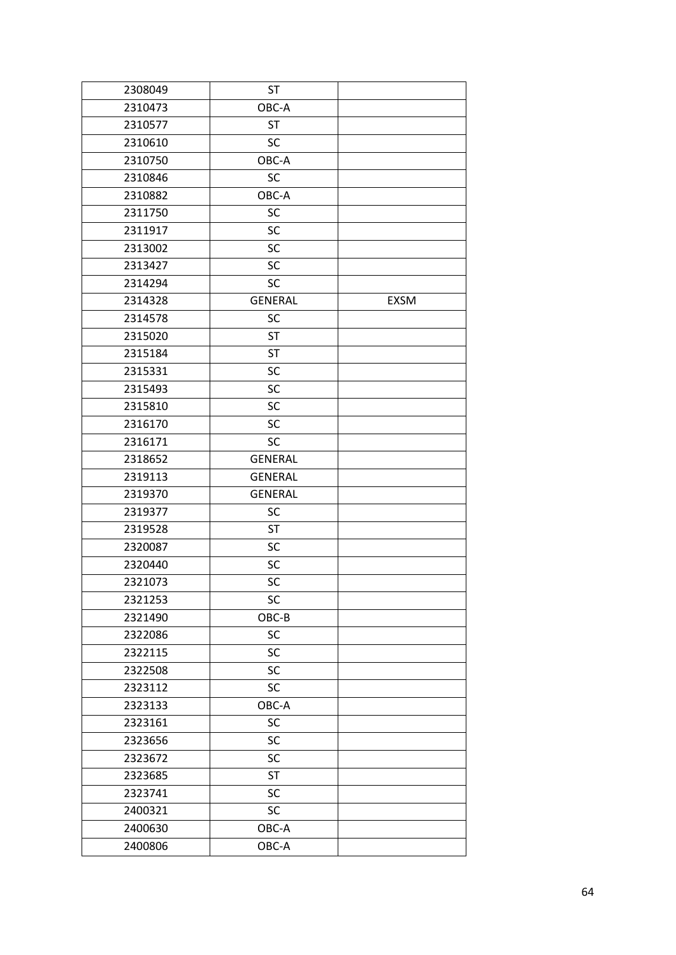| 2308049 | <b>ST</b>      |             |
|---------|----------------|-------------|
| 2310473 | OBC-A          |             |
| 2310577 | <b>ST</b>      |             |
| 2310610 | SC             |             |
| 2310750 | OBC-A          |             |
| 2310846 | SC             |             |
| 2310882 | OBC-A          |             |
| 2311750 | SC             |             |
| 2311917 | SC             |             |
| 2313002 | SC             |             |
| 2313427 | SC             |             |
| 2314294 | SC             |             |
| 2314328 | <b>GENERAL</b> | <b>EXSM</b> |
| 2314578 | SC             |             |
| 2315020 | <b>ST</b>      |             |
| 2315184 | <b>ST</b>      |             |
| 2315331 | SC             |             |
| 2315493 | SC             |             |
| 2315810 | SC             |             |
| 2316170 | SC             |             |
| 2316171 | SC             |             |
| 2318652 | <b>GENERAL</b> |             |
| 2319113 | <b>GENERAL</b> |             |
| 2319370 | <b>GENERAL</b> |             |
| 2319377 | SC             |             |
| 2319528 | <b>ST</b>      |             |
| 2320087 | SC             |             |
| 2320440 | SC             |             |
| 2321073 | SC             |             |
| 2321253 | SC             |             |
| 2321490 | OBC-B          |             |
| 2322086 | SC             |             |
| 2322115 | SC             |             |
| 2322508 | SC             |             |
| 2323112 | SC             |             |
| 2323133 | OBC-A          |             |
| 2323161 | SC             |             |
| 2323656 | SC             |             |
| 2323672 | SC             |             |
| 2323685 | <b>ST</b>      |             |
| 2323741 | SC             |             |
| 2400321 | SC             |             |
| 2400630 | OBC-A          |             |
| 2400806 | OBC-A          |             |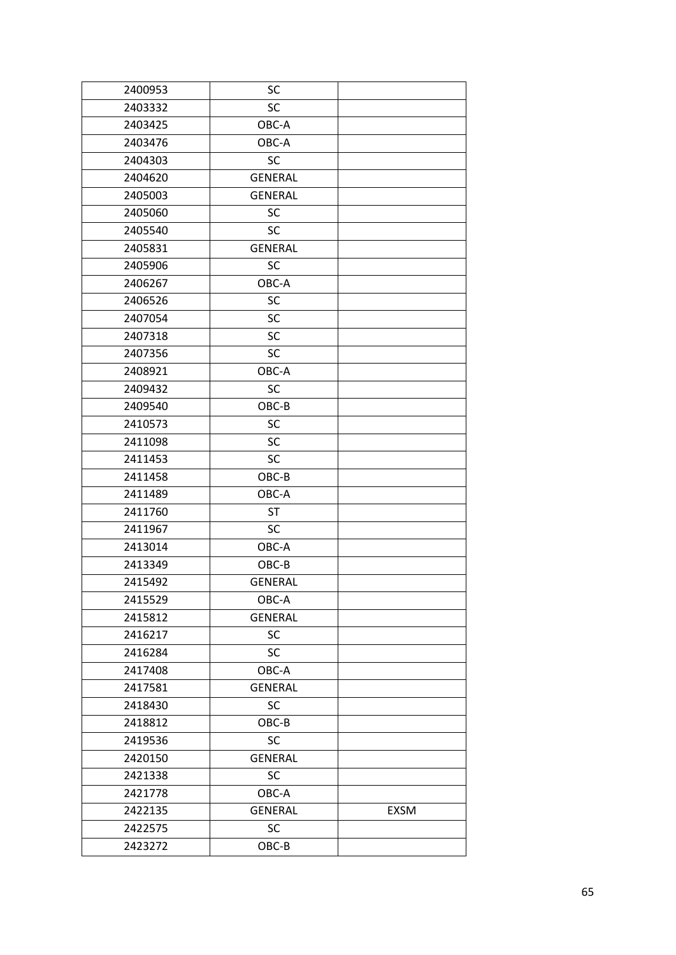| 2400953 | SC             |      |
|---------|----------------|------|
| 2403332 | <b>SC</b>      |      |
| 2403425 | OBC-A          |      |
| 2403476 | OBC-A          |      |
| 2404303 | <b>SC</b>      |      |
| 2404620 | <b>GENERAL</b> |      |
| 2405003 | <b>GENERAL</b> |      |
| 2405060 | <b>SC</b>      |      |
| 2405540 | <b>SC</b>      |      |
| 2405831 | <b>GENERAL</b> |      |
| 2405906 | <b>SC</b>      |      |
| 2406267 | OBC-A          |      |
| 2406526 | SC             |      |
| 2407054 | SC             |      |
| 2407318 | <b>SC</b>      |      |
| 2407356 | <b>SC</b>      |      |
| 2408921 | OBC-A          |      |
| 2409432 | <b>SC</b>      |      |
| 2409540 | OBC-B          |      |
| 2410573 | SC             |      |
| 2411098 | <b>SC</b>      |      |
| 2411453 | <b>SC</b>      |      |
| 2411458 | OBC-B          |      |
| 2411489 | OBC-A          |      |
| 2411760 | <b>ST</b>      |      |
| 2411967 | <b>SC</b>      |      |
| 2413014 | OBC-A          |      |
| 2413349 | OBC-B          |      |
| 2415492 | <b>GENERAL</b> |      |
| 2415529 | OBC-A          |      |
| 2415812 | <b>GENERAL</b> |      |
| 2416217 | SC             |      |
| 2416284 | SC             |      |
| 2417408 | OBC-A          |      |
| 2417581 | <b>GENERAL</b> |      |
| 2418430 | SC             |      |
| 2418812 | OBC-B          |      |
| 2419536 | SC             |      |
| 2420150 | <b>GENERAL</b> |      |
| 2421338 | <b>SC</b>      |      |
| 2421778 | OBC-A          |      |
| 2422135 | <b>GENERAL</b> | EXSM |
| 2422575 | SC             |      |
| 2423272 | $OBC-B$        |      |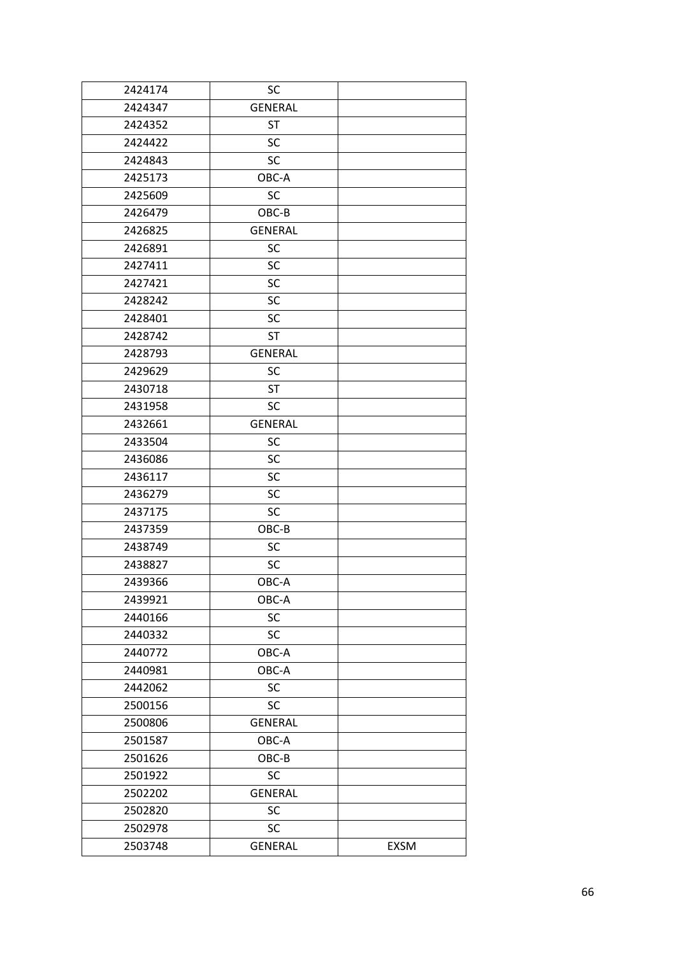| 2424174 | SC             |      |
|---------|----------------|------|
| 2424347 | <b>GENERAL</b> |      |
| 2424352 | <b>ST</b>      |      |
| 2424422 | SC             |      |
| 2424843 | <b>SC</b>      |      |
| 2425173 | OBC-A          |      |
| 2425609 | <b>SC</b>      |      |
| 2426479 | OBC-B          |      |
| 2426825 | <b>GENERAL</b> |      |
| 2426891 | <b>SC</b>      |      |
| 2427411 | <b>SC</b>      |      |
| 2427421 | <b>SC</b>      |      |
| 2428242 | SC             |      |
| 2428401 | <b>SC</b>      |      |
| 2428742 | <b>ST</b>      |      |
| 2428793 | <b>GENERAL</b> |      |
| 2429629 | <b>SC</b>      |      |
| 2430718 | <b>ST</b>      |      |
| 2431958 | <b>SC</b>      |      |
| 2432661 | <b>GENERAL</b> |      |
| 2433504 | <b>SC</b>      |      |
| 2436086 | <b>SC</b>      |      |
| 2436117 | <b>SC</b>      |      |
| 2436279 | <b>SC</b>      |      |
| 2437175 | <b>SC</b>      |      |
| 2437359 | OBC-B          |      |
| 2438749 | SC             |      |
| 2438827 | <b>SC</b>      |      |
| 2439366 | OBC-A          |      |
| 2439921 | OBC-A          |      |
| 2440166 | SC             |      |
| 2440332 | <b>SC</b>      |      |
| 2440772 | OBC-A          |      |
| 2440981 | OBC-A          |      |
| 2442062 | <b>SC</b>      |      |
| 2500156 | SC             |      |
| 2500806 | <b>GENERAL</b> |      |
| 2501587 | OBC-A          |      |
| 2501626 | $OBC-B$        |      |
| 2501922 | <b>SC</b>      |      |
| 2502202 | <b>GENERAL</b> |      |
| 2502820 | SC             |      |
| 2502978 | SC             |      |
| 2503748 | <b>GENERAL</b> | EXSM |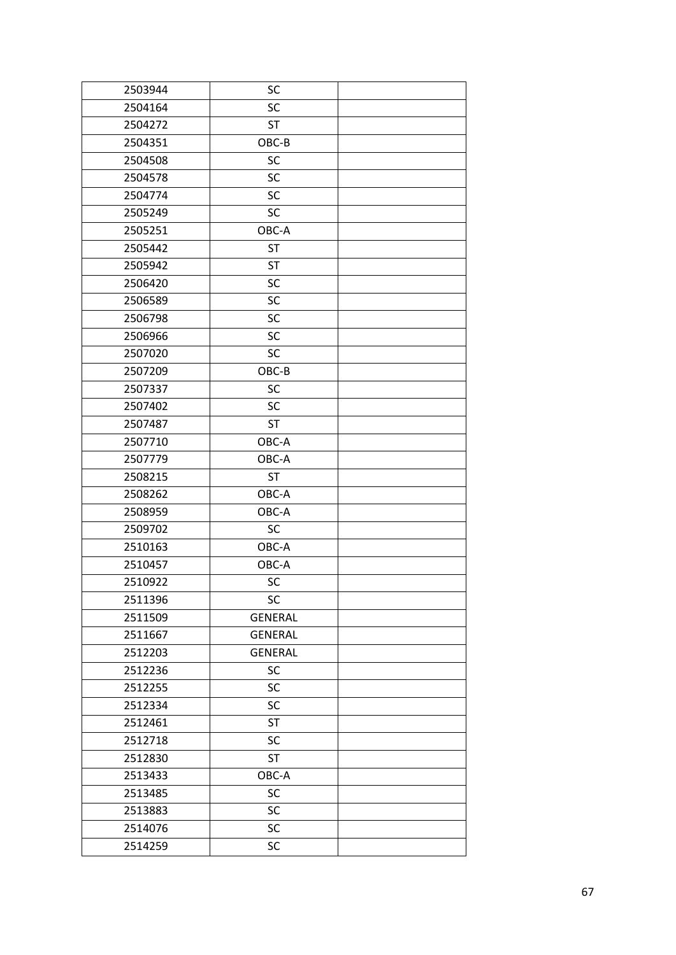| 2503944 | SC             |  |
|---------|----------------|--|
| 2504164 | <b>SC</b>      |  |
| 2504272 | <b>ST</b>      |  |
| 2504351 | OBC-B          |  |
| 2504508 | <b>SC</b>      |  |
| 2504578 | SC             |  |
| 2504774 | SC             |  |
| 2505249 | <b>SC</b>      |  |
| 2505251 | OBC-A          |  |
| 2505442 | <b>ST</b>      |  |
| 2505942 | <b>ST</b>      |  |
| 2506420 | <b>SC</b>      |  |
| 2506589 | SC             |  |
| 2506798 | SC             |  |
| 2506966 | SC             |  |
| 2507020 | <b>SC</b>      |  |
| 2507209 | OBC-B          |  |
| 2507337 | <b>SC</b>      |  |
| 2507402 | <b>SC</b>      |  |
| 2507487 | <b>ST</b>      |  |
| 2507710 | OBC-A          |  |
| 2507779 | OBC-A          |  |
| 2508215 | <b>ST</b>      |  |
| 2508262 | OBC-A          |  |
| 2508959 | OBC-A          |  |
| 2509702 | SC             |  |
| 2510163 | OBC-A          |  |
| 2510457 | OBC-A          |  |
| 2510922 | SC             |  |
| 2511396 | <b>SC</b>      |  |
| 2511509 | <b>GENERAL</b> |  |
| 2511667 | <b>GENERAL</b> |  |
| 2512203 | <b>GENERAL</b> |  |
| 2512236 | <b>SC</b>      |  |
| 2512255 | SC             |  |
| 2512334 | SC             |  |
| 2512461 | ST             |  |
| 2512718 | SC             |  |
| 2512830 | <b>ST</b>      |  |
| 2513433 | OBC-A          |  |
| 2513485 | SC             |  |
| 2513883 | <b>SC</b>      |  |
| 2514076 | SC             |  |
| 2514259 | SC             |  |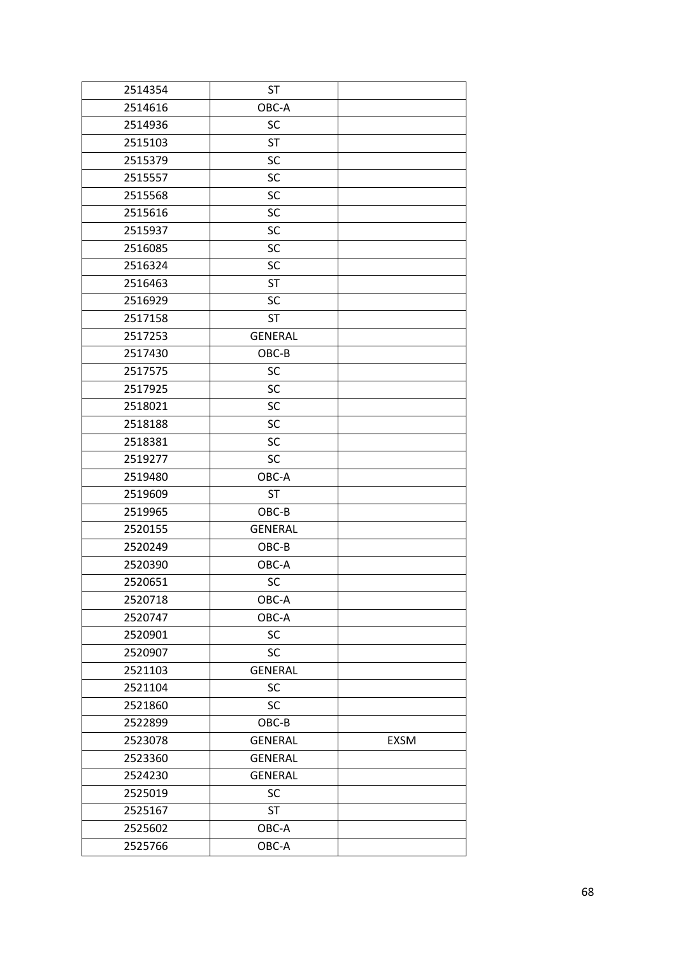| 2514354 | <b>ST</b>      |      |
|---------|----------------|------|
| 2514616 | OBC-A          |      |
| 2514936 | SC             |      |
| 2515103 | <b>ST</b>      |      |
| 2515379 | SC             |      |
| 2515557 | SC             |      |
| 2515568 | SC             |      |
| 2515616 | SC             |      |
| 2515937 | SC             |      |
| 2516085 | SC             |      |
| 2516324 | SC             |      |
| 2516463 | ST             |      |
| 2516929 | SC             |      |
| 2517158 | <b>ST</b>      |      |
| 2517253 | <b>GENERAL</b> |      |
| 2517430 | OBC-B          |      |
| 2517575 | <b>SC</b>      |      |
| 2517925 | SC             |      |
| 2518021 | SC             |      |
| 2518188 | SC             |      |
| 2518381 | SC             |      |
| 2519277 | <b>SC</b>      |      |
| 2519480 | OBC-A          |      |
| 2519609 | <b>ST</b>      |      |
| 2519965 | OBC-B          |      |
| 2520155 | <b>GENERAL</b> |      |
| 2520249 | OBC-B          |      |
| 2520390 | OBC-A          |      |
| 2520651 | SC             |      |
| 2520718 | OBC-A          |      |
| 2520747 | OBC-A          |      |
| 2520901 | SC             |      |
| 2520907 | <b>SC</b>      |      |
| 2521103 | <b>GENERAL</b> |      |
| 2521104 | SC             |      |
| 2521860 | <b>SC</b>      |      |
| 2522899 | OBC-B          |      |
| 2523078 | <b>GENERAL</b> | EXSM |
| 2523360 | <b>GENERAL</b> |      |
| 2524230 | <b>GENERAL</b> |      |
| 2525019 | SC             |      |
| 2525167 | <b>ST</b>      |      |
| 2525602 | OBC-A          |      |
| 2525766 | OBC-A          |      |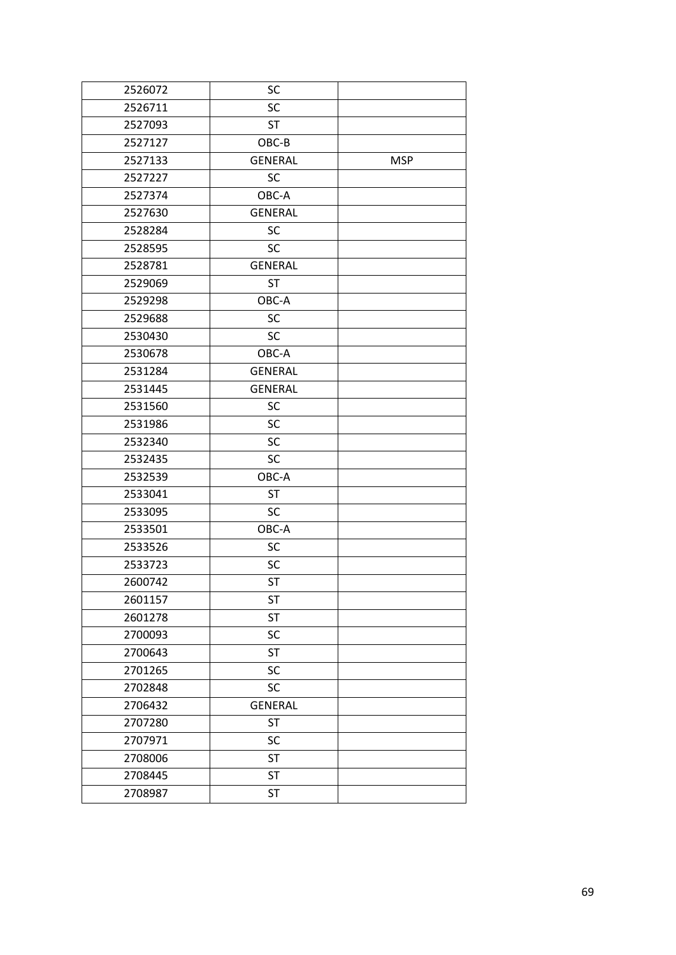| 2526072 | SC             |            |
|---------|----------------|------------|
| 2526711 | SC             |            |
| 2527093 | <b>ST</b>      |            |
| 2527127 | OBC-B          |            |
| 2527133 | <b>GENERAL</b> | <b>MSP</b> |
| 2527227 | SC             |            |
| 2527374 | OBC-A          |            |
| 2527630 | <b>GENERAL</b> |            |
| 2528284 | SC             |            |
| 2528595 | <b>SC</b>      |            |
| 2528781 | <b>GENERAL</b> |            |
| 2529069 | <b>ST</b>      |            |
| 2529298 | OBC-A          |            |
| 2529688 | <b>SC</b>      |            |
| 2530430 | <b>SC</b>      |            |
| 2530678 | OBC-A          |            |
| 2531284 | <b>GENERAL</b> |            |
| 2531445 | <b>GENERAL</b> |            |
| 2531560 | SC             |            |
| 2531986 | <b>SC</b>      |            |
| 2532340 | SC             |            |
| 2532435 | SC             |            |
| 2532539 | OBC-A          |            |
| 2533041 | <b>ST</b>      |            |
| 2533095 | SC             |            |
| 2533501 | OBC-A          |            |
| 2533526 | SC             |            |
| 2533723 | SC             |            |
| 2600742 | <b>ST</b>      |            |
| 2601157 | <b>ST</b>      |            |
| 2601278 | <b>ST</b>      |            |
| 2700093 | SC             |            |
| 2700643 | <b>ST</b>      |            |
| 2701265 | SC             |            |
| 2702848 | SC             |            |
| 2706432 | <b>GENERAL</b> |            |
| 2707280 | <b>ST</b>      |            |
| 2707971 | SC             |            |
| 2708006 | <b>ST</b>      |            |
| 2708445 | <b>ST</b>      |            |
| 2708987 | <b>ST</b>      |            |